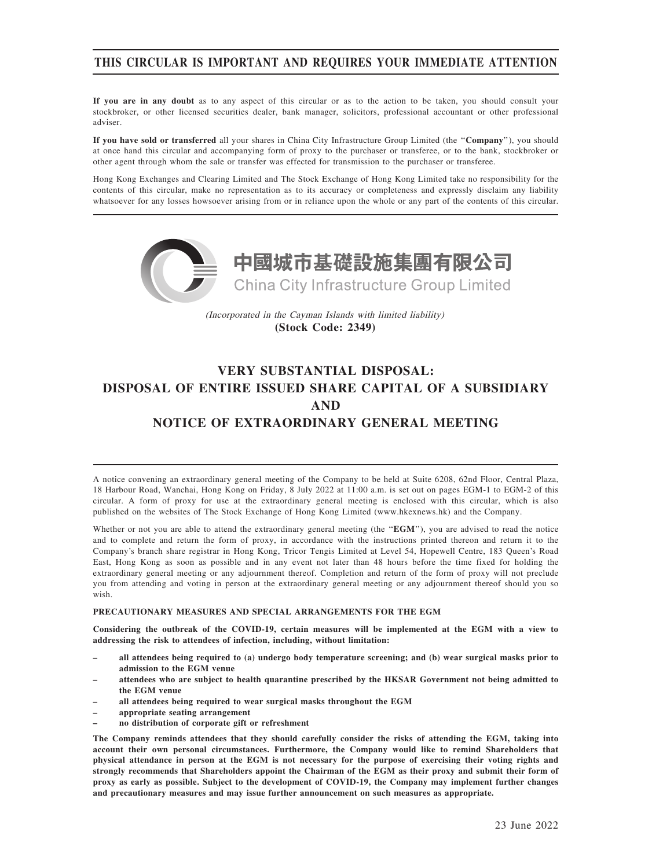# THIS CIRCULAR IS IMPORTANT AND REQUIRES YOUR IMMEDIATE ATTENTION

If you are in any doubt as to any aspect of this circular or as to the action to be taken, you should consult your stockbroker, or other licensed securities dealer, bank manager, solicitors, professional accountant or other professional adviser.

If you have sold or transferred all your shares in China City Infrastructure Group Limited (the ''Company''), you should at once hand this circular and accompanying form of proxy to the purchaser or transferee, or to the bank, stockbroker or other agent through whom the sale or transfer was effected for transmission to the purchaser or transferee.

Hong Kong Exchanges and Clearing Limited and The Stock Exchange of Hong Kong Limited take no responsibility for the contents of this circular, make no representation as to its accuracy or completeness and expressly disclaim any liability whatsoever for any losses howsoever arising from or in reliance upon the whole or any part of the contents of this circular.



(Incorporated in the Cayman Islands with limited liability) **(Stock Code: 2349)**

# VERY SUBSTANTIAL DISPOSAL: DISPOSAL OF ENTIRE ISSUED SHARE CAPITAL OF A SUBSIDIARY AND NOTICE OF EXTRAORDINARY GENERAL MEETING

A notice convening an extraordinary general meeting of the Company to be held at Suite 6208, 62nd Floor, Central Plaza, 18 Harbour Road, Wanchai, Hong Kong on Friday, 8 July 2022 at 11:00 a.m. is set out on pages EGM-1 to EGM-2 of this circular. A form of proxy for use at the extraordinary general meeting is enclosed with this circular, which is also published on the websites of The Stock Exchange of Hong Kong Limited (www.hkexnews.hk) and the Company.

Whether or not you are able to attend the extraordinary general meeting (the "EGM"), you are advised to read the notice and to complete and return the form of proxy, in accordance with the instructions printed thereon and return it to the Company's branch share registrar in Hong Kong, Tricor Tengis Limited at Level 54, Hopewell Centre, 183 Queen's Road East, Hong Kong as soon as possible and in any event not later than 48 hours before the time fixed for holding the extraordinary general meeting or any adjournment thereof. Completion and return of the form of proxy will not preclude you from attending and voting in person at the extraordinary general meeting or any adjournment thereof should you so wish.

### PRECAUTIONARY MEASURES AND SPECIAL ARRANGEMENTS FOR THE EGM

Considering the outbreak of the COVID-19, certain measures will be implemented at the EGM with a view to addressing the risk to attendees of infection, including, without limitation:

- all attendees being required to (a) undergo body temperature screening; and (b) wear surgical masks prior to admission to the EGM venue
- attendees who are subject to health quarantine prescribed by the HKSAR Government not being admitted to the EGM venue
- all attendees being required to wear surgical masks throughout the EGM
- appropriate seating arrangement
- no distribution of corporate gift or refreshment

The Company reminds attendees that they should carefully consider the risks of attending the EGM, taking into account their own personal circumstances. Furthermore, the Company would like to remind Shareholders that physical attendance in person at the EGM is not necessary for the purpose of exercising their voting rights and strongly recommends that Shareholders appoint the Chairman of the EGM as their proxy and submit their form of proxy as early as possible. Subject to the development of COVID-19, the Company may implement further changes and precautionary measures and may issue further announcement on such measures as appropriate.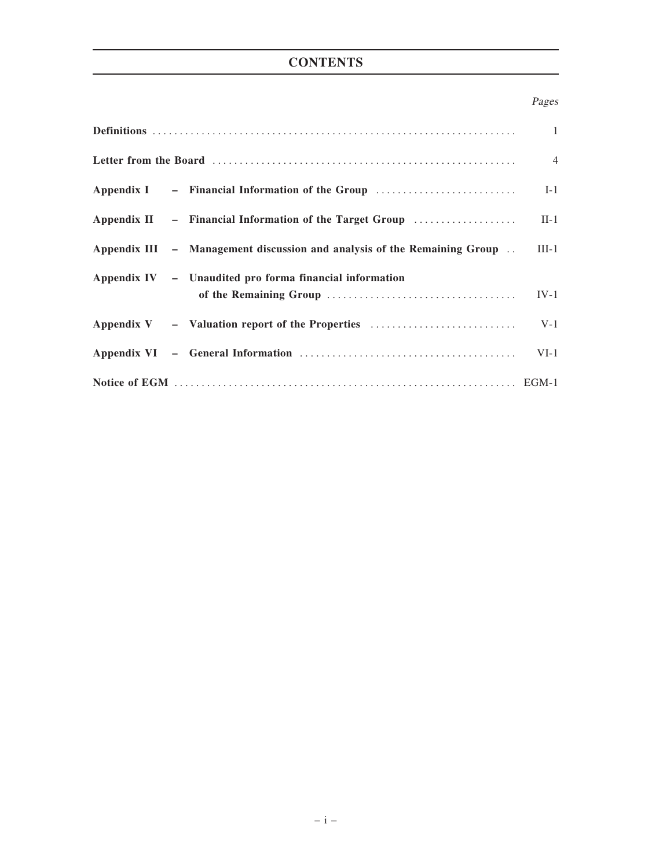# **CONTENTS**

# Pages

|  | Appendix III – Management discussion and analysis of the Remaining Group . III-1 |       |
|--|----------------------------------------------------------------------------------|-------|
|  | Appendix IV - Unaudited pro forma financial information                          |       |
|  |                                                                                  |       |
|  |                                                                                  | $V-1$ |
|  |                                                                                  |       |
|  |                                                                                  |       |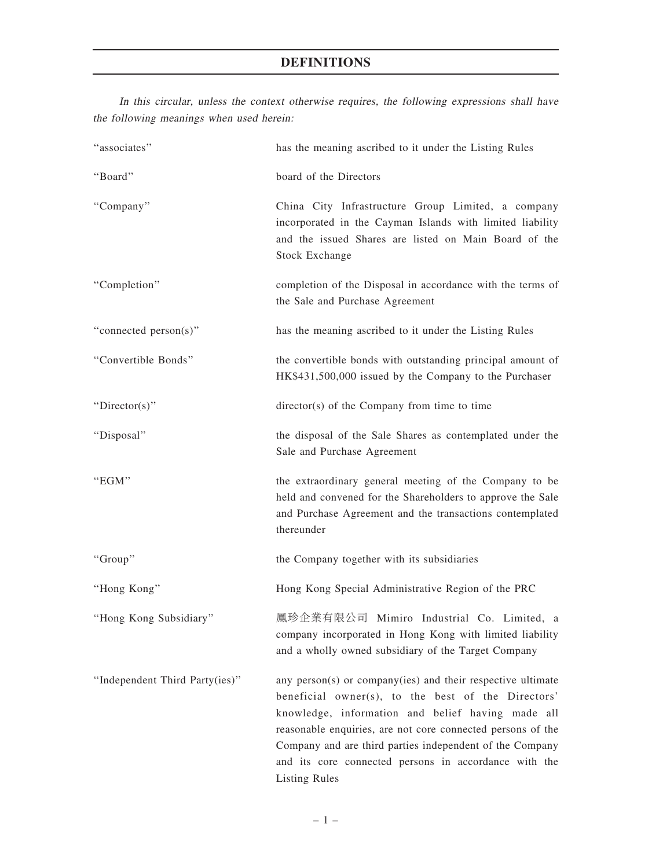# DEFINITIONS

|                                          |  |  |  |  | In this circular, unless the context otherwise requires, the following expressions shall have |  |
|------------------------------------------|--|--|--|--|-----------------------------------------------------------------------------------------------|--|
| the following meanings when used herein: |  |  |  |  |                                                                                               |  |

| "associates"                   | has the meaning ascribed to it under the Listing Rules                                                                                                                                                                                                                                                                                                                             |
|--------------------------------|------------------------------------------------------------------------------------------------------------------------------------------------------------------------------------------------------------------------------------------------------------------------------------------------------------------------------------------------------------------------------------|
| "Board"                        | board of the Directors                                                                                                                                                                                                                                                                                                                                                             |
| "Company"                      | China City Infrastructure Group Limited, a company<br>incorporated in the Cayman Islands with limited liability<br>and the issued Shares are listed on Main Board of the<br><b>Stock Exchange</b>                                                                                                                                                                                  |
| "Completion"                   | completion of the Disposal in accordance with the terms of<br>the Sale and Purchase Agreement                                                                                                                                                                                                                                                                                      |
| "connected person(s)"          | has the meaning ascribed to it under the Listing Rules                                                                                                                                                                                                                                                                                                                             |
| "Convertible Bonds"            | the convertible bonds with outstanding principal amount of<br>HK\$431,500,000 issued by the Company to the Purchaser                                                                                                                                                                                                                                                               |
| "Director(s)"                  | director(s) of the Company from time to time                                                                                                                                                                                                                                                                                                                                       |
| "Disposal"                     | the disposal of the Sale Shares as contemplated under the<br>Sale and Purchase Agreement                                                                                                                                                                                                                                                                                           |
| "EGM"                          | the extraordinary general meeting of the Company to be<br>held and convened for the Shareholders to approve the Sale<br>and Purchase Agreement and the transactions contemplated<br>thereunder                                                                                                                                                                                     |
| "Group"                        | the Company together with its subsidiaries                                                                                                                                                                                                                                                                                                                                         |
| "Hong Kong"                    | Hong Kong Special Administrative Region of the PRC                                                                                                                                                                                                                                                                                                                                 |
| "Hong Kong Subsidiary"         | 鳳珍企業有限公司 Mimiro Industrial Co. Limited, a<br>company incorporated in Hong Kong with limited liability<br>and a wholly owned subsidiary of the Target Company                                                                                                                                                                                                                       |
| "Independent Third Party(ies)" | any person(s) or company(ies) and their respective ultimate<br>beneficial owner(s), to the best of the Directors'<br>knowledge, information and belief having made all<br>reasonable enquiries, are not core connected persons of the<br>Company and are third parties independent of the Company<br>and its core connected persons in accordance with the<br><b>Listing Rules</b> |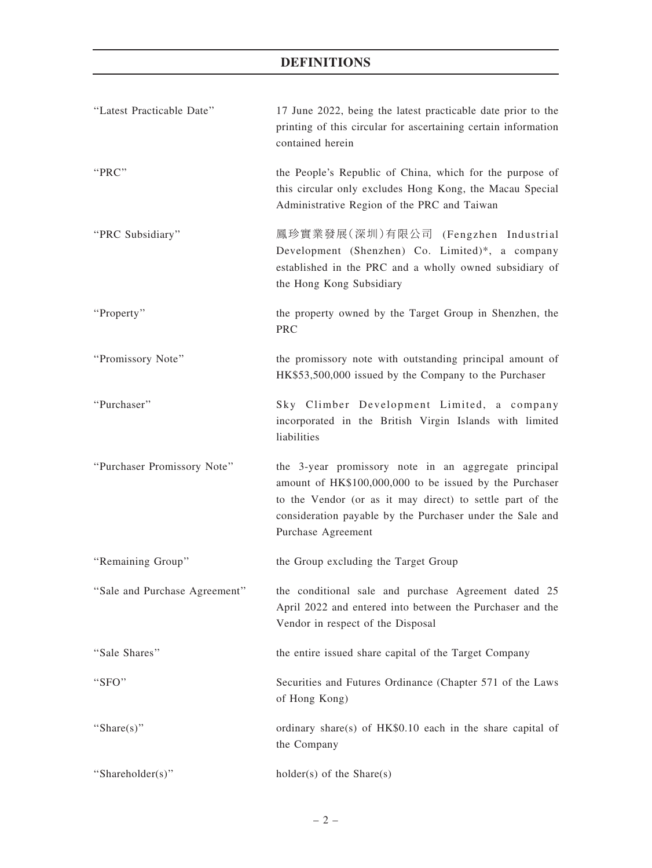# DEFINITIONS

| "Latest Practicable Date"     | 17 June 2022, being the latest practicable date prior to the<br>printing of this circular for ascertaining certain information<br>contained herein                                                                                                              |
|-------------------------------|-----------------------------------------------------------------------------------------------------------------------------------------------------------------------------------------------------------------------------------------------------------------|
| "PRC"                         | the People's Republic of China, which for the purpose of<br>this circular only excludes Hong Kong, the Macau Special<br>Administrative Region of the PRC and Taiwan                                                                                             |
| "PRC Subsidiary"              | 鳳珍實業發展(深圳)有限公司 (Fengzhen Industrial<br>Development (Shenzhen) Co. Limited)*, a company<br>established in the PRC and a wholly owned subsidiary of<br>the Hong Kong Subsidiary                                                                                   |
| "Property"                    | the property owned by the Target Group in Shenzhen, the<br><b>PRC</b>                                                                                                                                                                                           |
| "Promissory Note"             | the promissory note with outstanding principal amount of<br>HK\$53,500,000 issued by the Company to the Purchaser                                                                                                                                               |
| "Purchaser"                   | Sky Climber Development Limited, a company<br>incorporated in the British Virgin Islands with limited<br>liabilities                                                                                                                                            |
| "Purchaser Promissory Note"   | the 3-year promissory note in an aggregate principal<br>amount of HK\$100,000,000 to be issued by the Purchaser<br>to the Vendor (or as it may direct) to settle part of the<br>consideration payable by the Purchaser under the Sale and<br>Purchase Agreement |
| "Remaining Group"             | the Group excluding the Target Group                                                                                                                                                                                                                            |
| "Sale and Purchase Agreement" | the conditional sale and purchase Agreement dated 25<br>April 2022 and entered into between the Purchaser and the<br>Vendor in respect of the Disposal                                                                                                          |
| "Sale Shares"                 | the entire issued share capital of the Target Company                                                                                                                                                                                                           |
| "SFO"                         | Securities and Futures Ordinance (Chapter 571 of the Laws<br>of Hong Kong)                                                                                                                                                                                      |
| "Share $(s)$ "                | ordinary share(s) of $HK$0.10$ each in the share capital of<br>the Company                                                                                                                                                                                      |
| "Shareholder(s)"              | $holder(s)$ of the Share $(s)$                                                                                                                                                                                                                                  |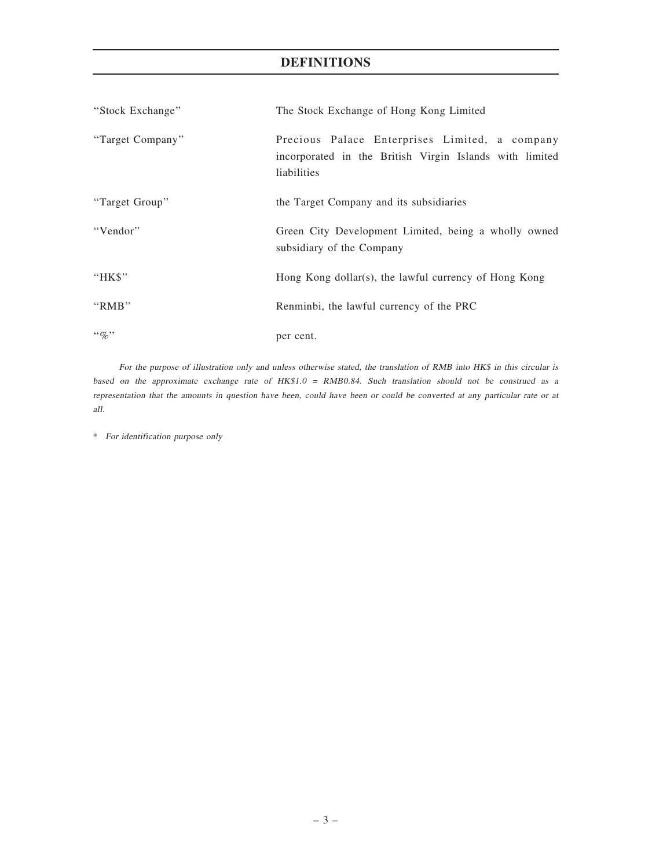# DEFINITIONS

| "Stock Exchange" | The Stock Exchange of Hong Kong Limited                                                                                  |  |  |  |  |
|------------------|--------------------------------------------------------------------------------------------------------------------------|--|--|--|--|
| "Target Company" | Precious Palace Enterprises Limited, a company<br>incorporated in the British Virgin Islands with limited<br>liabilities |  |  |  |  |
| "Target Group"   | the Target Company and its subsidiaries                                                                                  |  |  |  |  |
| "Vendor"         | Green City Development Limited, being a wholly owned<br>subsidiary of the Company                                        |  |  |  |  |
| " $HKS$ "        | Hong Kong dollar(s), the lawful currency of Hong Kong                                                                    |  |  |  |  |
| " $RMB"$         | Renminbi, the lawful currency of the PRC                                                                                 |  |  |  |  |
| $\lq\lq q_0$ "   | per cent.                                                                                                                |  |  |  |  |

For the purpose of illustration only and unless otherwise stated, the translation of RMB into HK\$ in this circular is based on the approximate exchange rate of HK\$1.0 <sup>=</sup> RMB0.84. Such translation should not be construed as <sup>a</sup> representation that the amounts in question have been, could have been or could be converted at any particular rate or at all.

\* For identification purpose only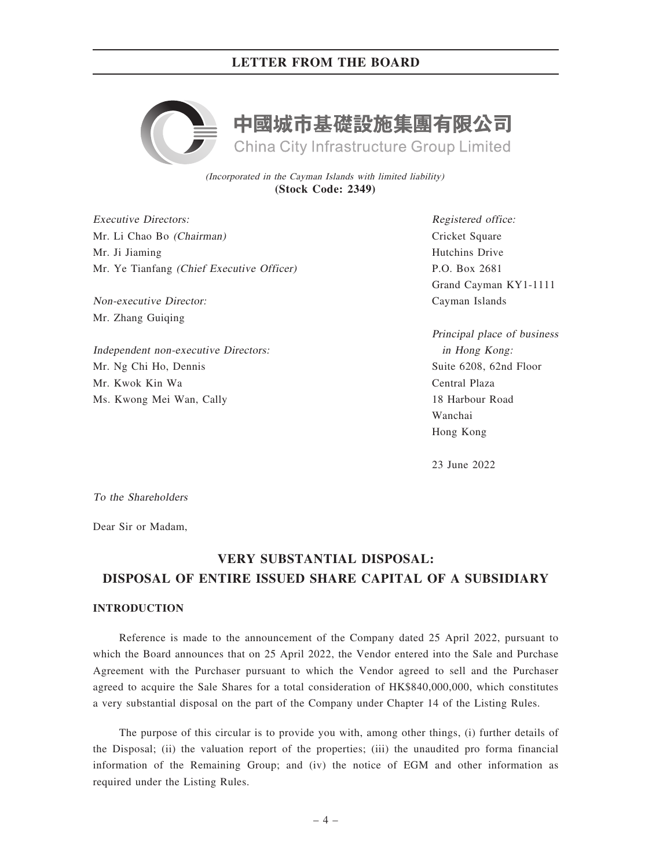

(Incorporated in the Cayman Islands with limited liability) **(Stock Code: 2349)**

Executive Directors: Mr. Li Chao Bo (Chairman) Mr. Ji Jiaming Mr. Ye Tianfang (Chief Executive Officer)

Non-executive Director: Mr. Zhang Guiqing

Independent non-executive Directors: Mr. Ng Chi Ho, Dennis Mr. Kwok Kin Wa Ms. Kwong Mei Wan, Cally

Registered office: Cricket Square Hutchins Drive P.O. Box 2681 Grand Cayman KY1-1111 Cayman Islands

Principal place of business in Hong Kong: Suite 6208, 62nd Floor Central Plaza 18 Harbour Road Wanchai Hong Kong

23 June 2022

To the Shareholders

Dear Sir or Madam,

# VERY SUBSTANTIAL DISPOSAL: DISPOSAL OF ENTIRE ISSUED SHARE CAPITAL OF A SUBSIDIARY

# INTRODUCTION

Reference is made to the announcement of the Company dated 25 April 2022, pursuant to which the Board announces that on 25 April 2022, the Vendor entered into the Sale and Purchase Agreement with the Purchaser pursuant to which the Vendor agreed to sell and the Purchaser agreed to acquire the Sale Shares for a total consideration of HK\$840,000,000, which constitutes a very substantial disposal on the part of the Company under Chapter 14 of the Listing Rules.

The purpose of this circular is to provide you with, among other things, (i) further details of the Disposal; (ii) the valuation report of the properties; (iii) the unaudited pro forma financial information of the Remaining Group; and (iv) the notice of EGM and other information as required under the Listing Rules.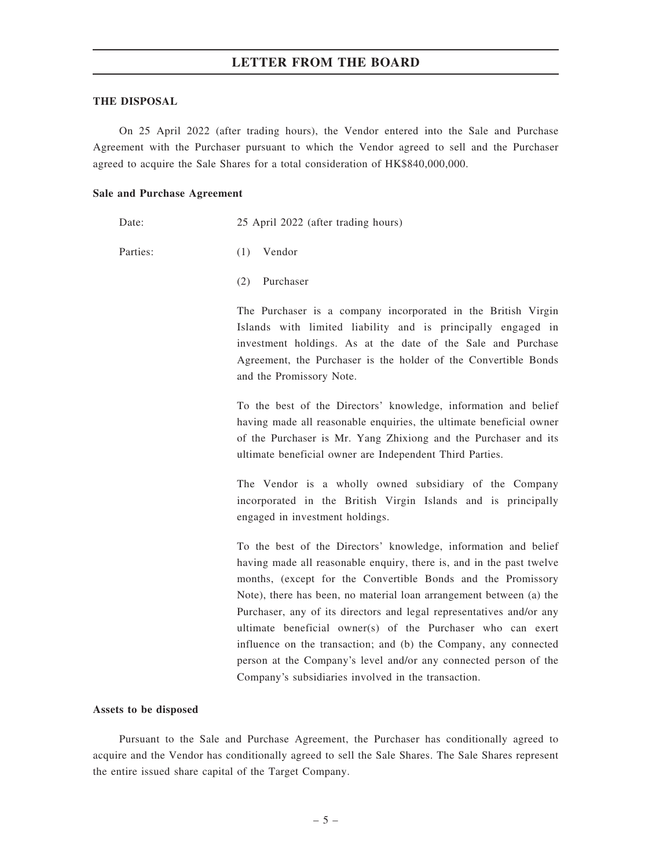### THE DISPOSAL

On 25 April 2022 (after trading hours), the Vendor entered into the Sale and Purchase Agreement with the Purchaser pursuant to which the Vendor agreed to sell and the Purchaser agreed to acquire the Sale Shares for a total consideration of HK\$840,000,000.

### Sale and Purchase Agreement

Date: 25 April 2022 (after trading hours)

Parties: (1) Vendor

(2) Purchaser

The Purchaser is a company incorporated in the British Virgin Islands with limited liability and is principally engaged in investment holdings. As at the date of the Sale and Purchase Agreement, the Purchaser is the holder of the Convertible Bonds and the Promissory Note.

To the best of the Directors' knowledge, information and belief having made all reasonable enquiries, the ultimate beneficial owner of the Purchaser is Mr. Yang Zhixiong and the Purchaser and its ultimate beneficial owner are Independent Third Parties.

The Vendor is a wholly owned subsidiary of the Company incorporated in the British Virgin Islands and is principally engaged in investment holdings.

To the best of the Directors' knowledge, information and belief having made all reasonable enquiry, there is, and in the past twelve months, (except for the Convertible Bonds and the Promissory Note), there has been, no material loan arrangement between (a) the Purchaser, any of its directors and legal representatives and/or any ultimate beneficial owner(s) of the Purchaser who can exert influence on the transaction; and (b) the Company, any connected person at the Company's level and/or any connected person of the Company's subsidiaries involved in the transaction.

## Assets to be disposed

Pursuant to the Sale and Purchase Agreement, the Purchaser has conditionally agreed to acquire and the Vendor has conditionally agreed to sell the Sale Shares. The Sale Shares represent the entire issued share capital of the Target Company.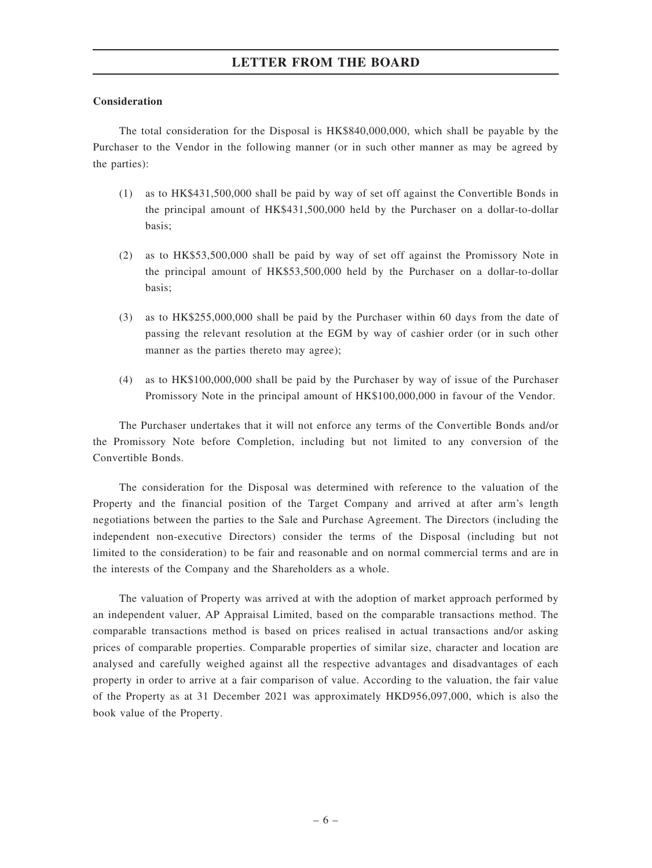# Consideration

The total consideration for the Disposal is HK\$840,000,000, which shall be payable by the Purchaser to the Vendor in the following manner (or in such other manner as may be agreed by the parties):

- (1) as to HK\$431,500,000 shall be paid by way of set off against the Convertible Bonds in the principal amount of HK\$431,500,000 held by the Purchaser on a dollar-to-dollar basis;
- (2) as to HK\$53,500,000 shall be paid by way of set off against the Promissory Note in the principal amount of HK\$53,500,000 held by the Purchaser on a dollar-to-dollar basis;
- (3) as to HK\$255,000,000 shall be paid by the Purchaser within 60 days from the date of passing the relevant resolution at the EGM by way of cashier order (or in such other manner as the parties thereto may agree);
- (4) as to HK\$100,000,000 shall be paid by the Purchaser by way of issue of the Purchaser Promissory Note in the principal amount of HK\$100,000,000 in favour of the Vendor.

The Purchaser undertakes that it will not enforce any terms of the Convertible Bonds and/or the Promissory Note before Completion, including but not limited to any conversion of the Convertible Bonds.

The consideration for the Disposal was determined with reference to the valuation of the Property and the financial position of the Target Company and arrived at after arm's length negotiations between the parties to the Sale and Purchase Agreement. The Directors (including the independent non-executive Directors) consider the terms of the Disposal (including but not limited to the consideration) to be fair and reasonable and on normal commercial terms and are in the interests of the Company and the Shareholders as a whole.

The valuation of Property was arrived at with the adoption of market approach performed by an independent valuer, AP Appraisal Limited, based on the comparable transactions method. The comparable transactions method is based on prices realised in actual transactions and/or asking prices of comparable properties. Comparable properties of similar size, character and location are analysed and carefully weighed against all the respective advantages and disadvantages of each property in order to arrive at a fair comparison of value. According to the valuation, the fair value of the Property as at 31 December 2021 was approximately HKD956,097,000, which is also the book value of the Property.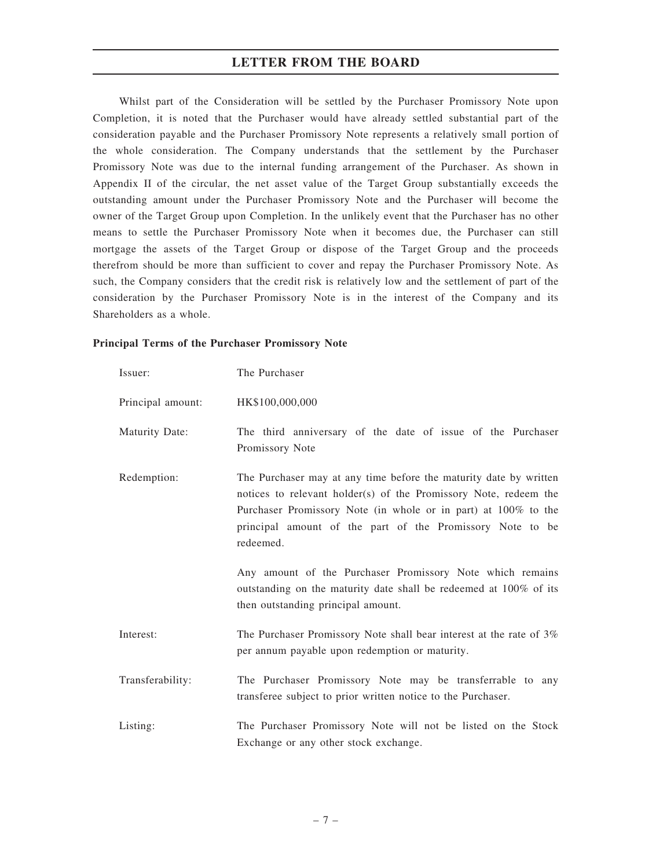Whilst part of the Consideration will be settled by the Purchaser Promissory Note upon Completion, it is noted that the Purchaser would have already settled substantial part of the consideration payable and the Purchaser Promissory Note represents a relatively small portion of the whole consideration. The Company understands that the settlement by the Purchaser Promissory Note was due to the internal funding arrangement of the Purchaser. As shown in Appendix II of the circular, the net asset value of the Target Group substantially exceeds the outstanding amount under the Purchaser Promissory Note and the Purchaser will become the owner of the Target Group upon Completion. In the unlikely event that the Purchaser has no other means to settle the Purchaser Promissory Note when it becomes due, the Purchaser can still mortgage the assets of the Target Group or dispose of the Target Group and the proceeds therefrom should be more than sufficient to cover and repay the Purchaser Promissory Note. As such, the Company considers that the credit risk is relatively low and the settlement of part of the consideration by the Purchaser Promissory Note is in the interest of the Company and its Shareholders as a whole.

## Principal Terms of the Purchaser Promissory Note

| Issuer:           | The Purchaser                                                                                                                                                                                                                                                                                                                                                                                                                                             |
|-------------------|-----------------------------------------------------------------------------------------------------------------------------------------------------------------------------------------------------------------------------------------------------------------------------------------------------------------------------------------------------------------------------------------------------------------------------------------------------------|
| Principal amount: | HK\$100,000,000                                                                                                                                                                                                                                                                                                                                                                                                                                           |
| Maturity Date:    | The third anniversary of the date of issue of the Purchaser<br>Promissory Note                                                                                                                                                                                                                                                                                                                                                                            |
| Redemption:       | The Purchaser may at any time before the maturity date by written<br>notices to relevant holder(s) of the Promissory Note, redeem the<br>Purchaser Promissory Note (in whole or in part) at 100% to the<br>principal amount of the part of the Promissory Note to be<br>redeemed.<br>Any amount of the Purchaser Promissory Note which remains<br>outstanding on the maturity date shall be redeemed at 100% of its<br>then outstanding principal amount. |
| Interest:         | The Purchaser Promissory Note shall bear interest at the rate of 3%<br>per annum payable upon redemption or maturity.                                                                                                                                                                                                                                                                                                                                     |
| Transferability:  | The Purchaser Promissory Note may be transferrable to any<br>transferee subject to prior written notice to the Purchaser.                                                                                                                                                                                                                                                                                                                                 |
| Listing:          | The Purchaser Promissory Note will not be listed on the Stock<br>Exchange or any other stock exchange.                                                                                                                                                                                                                                                                                                                                                    |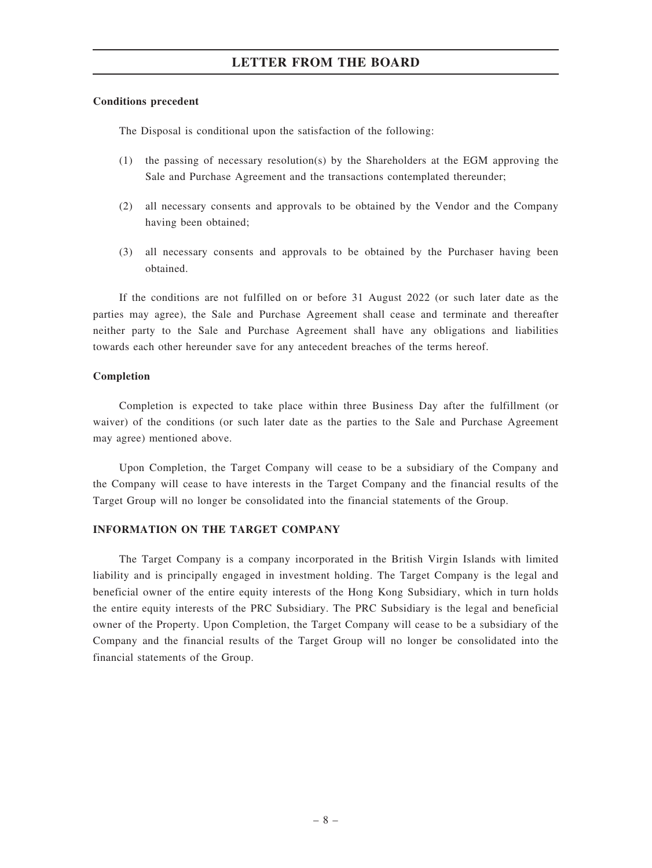### Conditions precedent

The Disposal is conditional upon the satisfaction of the following:

- (1) the passing of necessary resolution(s) by the Shareholders at the EGM approving the Sale and Purchase Agreement and the transactions contemplated thereunder;
- (2) all necessary consents and approvals to be obtained by the Vendor and the Company having been obtained;
- (3) all necessary consents and approvals to be obtained by the Purchaser having been obtained.

If the conditions are not fulfilled on or before 31 August 2022 (or such later date as the parties may agree), the Sale and Purchase Agreement shall cease and terminate and thereafter neither party to the Sale and Purchase Agreement shall have any obligations and liabilities towards each other hereunder save for any antecedent breaches of the terms hereof.

### Completion

Completion is expected to take place within three Business Day after the fulfillment (or waiver) of the conditions (or such later date as the parties to the Sale and Purchase Agreement may agree) mentioned above.

Upon Completion, the Target Company will cease to be a subsidiary of the Company and the Company will cease to have interests in the Target Company and the financial results of the Target Group will no longer be consolidated into the financial statements of the Group.

## INFORMATION ON THE TARGET COMPANY

The Target Company is a company incorporated in the British Virgin Islands with limited liability and is principally engaged in investment holding. The Target Company is the legal and beneficial owner of the entire equity interests of the Hong Kong Subsidiary, which in turn holds the entire equity interests of the PRC Subsidiary. The PRC Subsidiary is the legal and beneficial owner of the Property. Upon Completion, the Target Company will cease to be a subsidiary of the Company and the financial results of the Target Group will no longer be consolidated into the financial statements of the Group.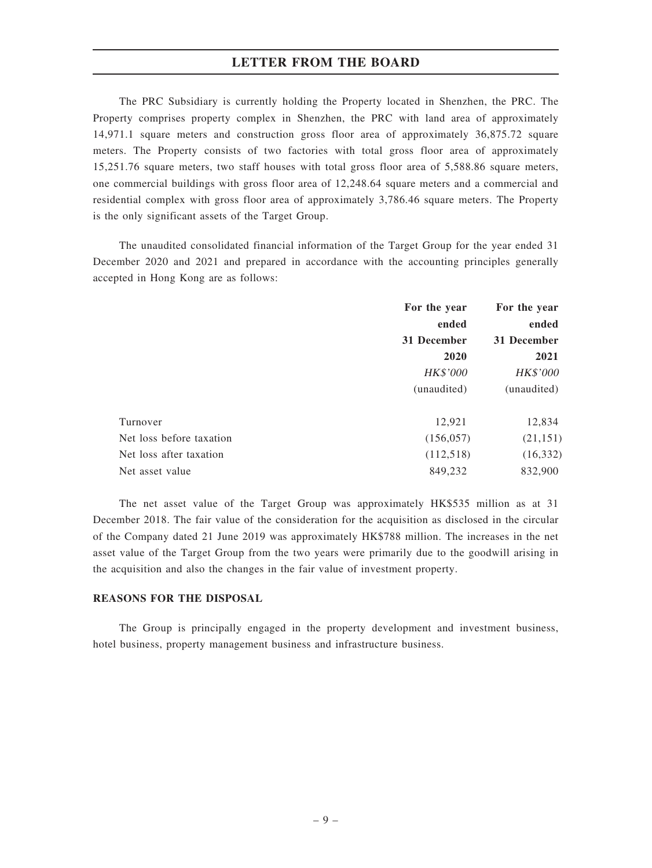The PRC Subsidiary is currently holding the Property located in Shenzhen, the PRC. The Property comprises property complex in Shenzhen, the PRC with land area of approximately 14,971.1 square meters and construction gross floor area of approximately 36,875.72 square meters. The Property consists of two factories with total gross floor area of approximately 15,251.76 square meters, two staff houses with total gross floor area of 5,588.86 square meters, one commercial buildings with gross floor area of 12,248.64 square meters and a commercial and residential complex with gross floor area of approximately 3,786.46 square meters. The Property is the only significant assets of the Target Group.

The unaudited consolidated financial information of the Target Group for the year ended 31 December 2020 and 2021 and prepared in accordance with the accounting principles generally accepted in Hong Kong are as follows:

|                          | For the year | For the year |  |
|--------------------------|--------------|--------------|--|
|                          | ended        | ended        |  |
|                          | 31 December  | 31 December  |  |
|                          | 2020         | 2021         |  |
|                          | HK\$'000     | HK\$'000     |  |
|                          | (unaudited)  | (unaudited)  |  |
| Turnover                 | 12,921       | 12,834       |  |
| Net loss before taxation | (156, 057)   | (21, 151)    |  |
| Net loss after taxation  | (112,518)    | (16, 332)    |  |
| Net asset value          | 849,232      | 832,900      |  |

The net asset value of the Target Group was approximately HK\$535 million as at 31 December 2018. The fair value of the consideration for the acquisition as disclosed in the circular of the Company dated 21 June 2019 was approximately HK\$788 million. The increases in the net asset value of the Target Group from the two years were primarily due to the goodwill arising in the acquisition and also the changes in the fair value of investment property.

## REASONS FOR THE DISPOSAL

The Group is principally engaged in the property development and investment business, hotel business, property management business and infrastructure business.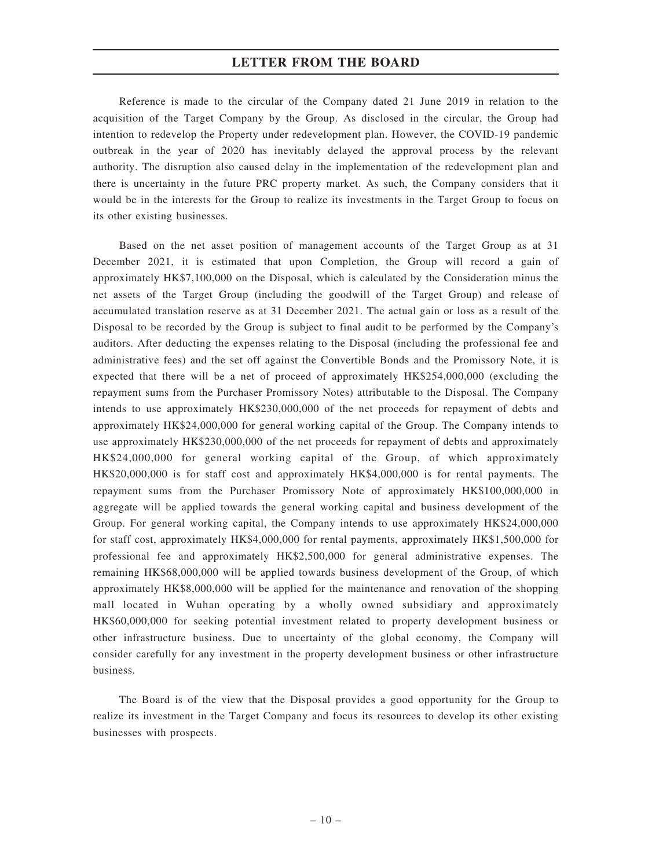Reference is made to the circular of the Company dated 21 June 2019 in relation to the acquisition of the Target Company by the Group. As disclosed in the circular, the Group had intention to redevelop the Property under redevelopment plan. However, the COVID-19 pandemic outbreak in the year of 2020 has inevitably delayed the approval process by the relevant authority. The disruption also caused delay in the implementation of the redevelopment plan and there is uncertainty in the future PRC property market. As such, the Company considers that it would be in the interests for the Group to realize its investments in the Target Group to focus on its other existing businesses.

Based on the net asset position of management accounts of the Target Group as at 31 December 2021, it is estimated that upon Completion, the Group will record a gain of approximately HK\$7,100,000 on the Disposal, which is calculated by the Consideration minus the net assets of the Target Group (including the goodwill of the Target Group) and release of accumulated translation reserve as at 31 December 2021. The actual gain or loss as a result of the Disposal to be recorded by the Group is subject to final audit to be performed by the Company's auditors. After deducting the expenses relating to the Disposal (including the professional fee and administrative fees) and the set off against the Convertible Bonds and the Promissory Note, it is expected that there will be a net of proceed of approximately HK\$254,000,000 (excluding the repayment sums from the Purchaser Promissory Notes) attributable to the Disposal. The Company intends to use approximately HK\$230,000,000 of the net proceeds for repayment of debts and approximately HK\$24,000,000 for general working capital of the Group. The Company intends to use approximately HK\$230,000,000 of the net proceeds for repayment of debts and approximately HK\$24,000,000 for general working capital of the Group, of which approximately HK\$20,000,000 is for staff cost and approximately HK\$4,000,000 is for rental payments. The repayment sums from the Purchaser Promissory Note of approximately HK\$100,000,000 in aggregate will be applied towards the general working capital and business development of the Group. For general working capital, the Company intends to use approximately HK\$24,000,000 for staff cost, approximately HK\$4,000,000 for rental payments, approximately HK\$1,500,000 for professional fee and approximately HK\$2,500,000 for general administrative expenses. The remaining HK\$68,000,000 will be applied towards business development of the Group, of which approximately HK\$8,000,000 will be applied for the maintenance and renovation of the shopping mall located in Wuhan operating by a wholly owned subsidiary and approximately HK\$60,000,000 for seeking potential investment related to property development business or other infrastructure business. Due to uncertainty of the global economy, the Company will consider carefully for any investment in the property development business or other infrastructure business.

The Board is of the view that the Disposal provides a good opportunity for the Group to realize its investment in the Target Company and focus its resources to develop its other existing businesses with prospects.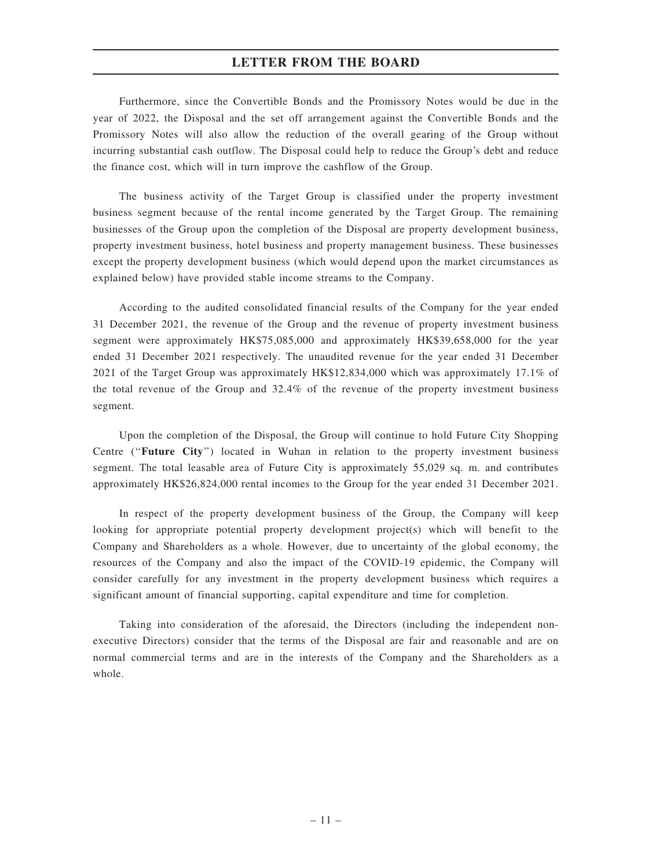Furthermore, since the Convertible Bonds and the Promissory Notes would be due in the year of 2022, the Disposal and the set off arrangement against the Convertible Bonds and the Promissory Notes will also allow the reduction of the overall gearing of the Group without incurring substantial cash outflow. The Disposal could help to reduce the Group's debt and reduce the finance cost, which will in turn improve the cashflow of the Group.

The business activity of the Target Group is classified under the property investment business segment because of the rental income generated by the Target Group. The remaining businesses of the Group upon the completion of the Disposal are property development business, property investment business, hotel business and property management business. These businesses except the property development business (which would depend upon the market circumstances as explained below) have provided stable income streams to the Company.

According to the audited consolidated financial results of the Company for the year ended 31 December 2021, the revenue of the Group and the revenue of property investment business segment were approximately HK\$75,085,000 and approximately HK\$39,658,000 for the year ended 31 December 2021 respectively. The unaudited revenue for the year ended 31 December 2021 of the Target Group was approximately HK\$12,834,000 which was approximately 17.1% of the total revenue of the Group and 32.4% of the revenue of the property investment business segment.

Upon the completion of the Disposal, the Group will continue to hold Future City Shopping Centre (''Future City'') located in Wuhan in relation to the property investment business segment. The total leasable area of Future City is approximately 55,029 sq. m. and contributes approximately HK\$26,824,000 rental incomes to the Group for the year ended 31 December 2021.

In respect of the property development business of the Group, the Company will keep looking for appropriate potential property development project(s) which will benefit to the Company and Shareholders as a whole. However, due to uncertainty of the global economy, the resources of the Company and also the impact of the COVID-19 epidemic, the Company will consider carefully for any investment in the property development business which requires a significant amount of financial supporting, capital expenditure and time for completion.

Taking into consideration of the aforesaid, the Directors (including the independent nonexecutive Directors) consider that the terms of the Disposal are fair and reasonable and are on normal commercial terms and are in the interests of the Company and the Shareholders as a whole.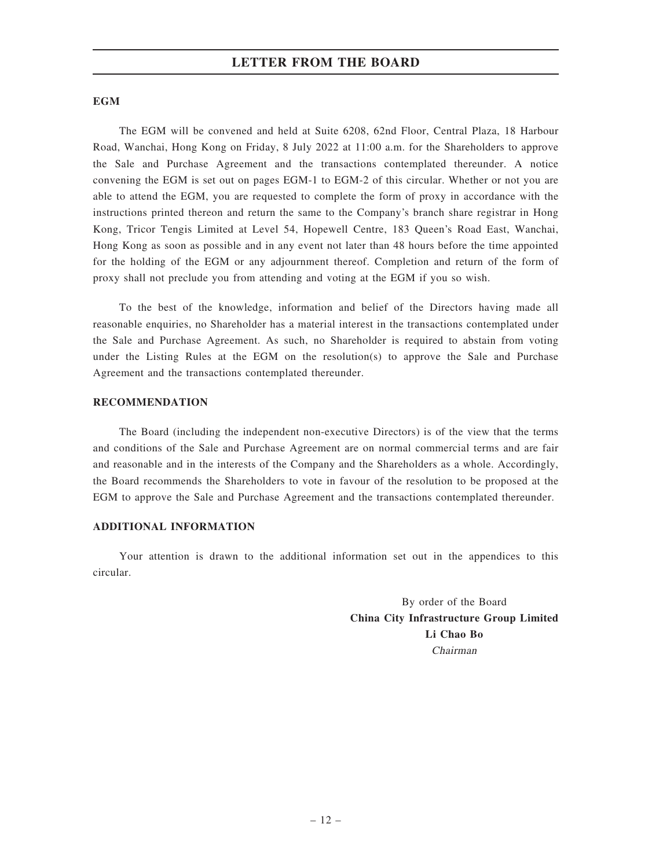### **EGM**

The EGM will be convened and held at Suite 6208, 62nd Floor, Central Plaza, 18 Harbour Road, Wanchai, Hong Kong on Friday, 8 July 2022 at 11:00 a.m. for the Shareholders to approve the Sale and Purchase Agreement and the transactions contemplated thereunder. A notice convening the EGM is set out on pages EGM-1 to EGM-2 of this circular. Whether or not you are able to attend the EGM, you are requested to complete the form of proxy in accordance with the instructions printed thereon and return the same to the Company's branch share registrar in Hong Kong, Tricor Tengis Limited at Level 54, Hopewell Centre, 183 Queen's Road East, Wanchai, Hong Kong as soon as possible and in any event not later than 48 hours before the time appointed for the holding of the EGM or any adjournment thereof. Completion and return of the form of proxy shall not preclude you from attending and voting at the EGM if you so wish.

To the best of the knowledge, information and belief of the Directors having made all reasonable enquiries, no Shareholder has a material interest in the transactions contemplated under the Sale and Purchase Agreement. As such, no Shareholder is required to abstain from voting under the Listing Rules at the EGM on the resolution(s) to approve the Sale and Purchase Agreement and the transactions contemplated thereunder.

### RECOMMENDATION

The Board (including the independent non-executive Directors) is of the view that the terms and conditions of the Sale and Purchase Agreement are on normal commercial terms and are fair and reasonable and in the interests of the Company and the Shareholders as a whole. Accordingly, the Board recommends the Shareholders to vote in favour of the resolution to be proposed at the EGM to approve the Sale and Purchase Agreement and the transactions contemplated thereunder.

### ADDITIONAL INFORMATION

Your attention is drawn to the additional information set out in the appendices to this circular.

> By order of the Board China City Infrastructure Group Limited Li Chao Bo Chairman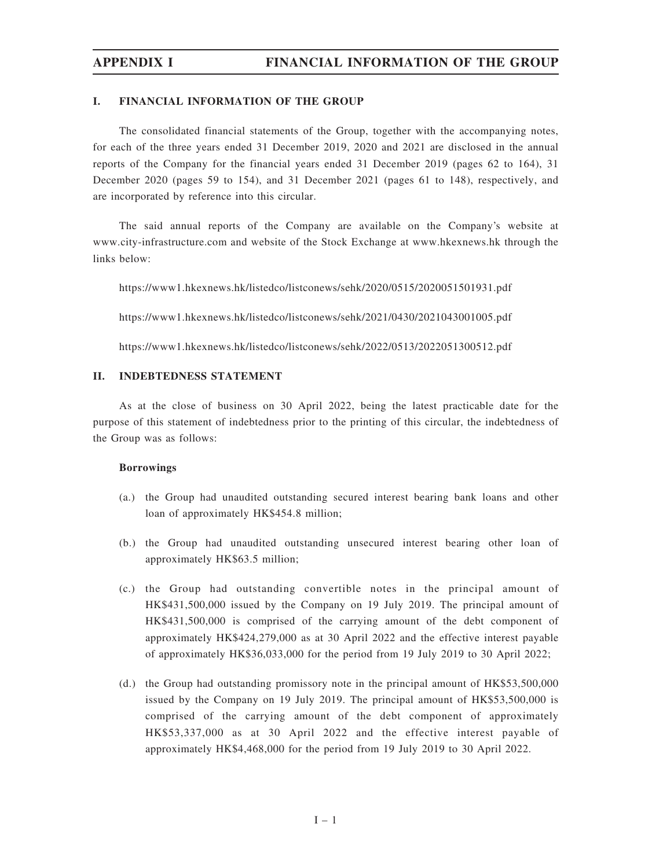### I. FINANCIAL INFORMATION OF THE GROUP

The consolidated financial statements of the Group, together with the accompanying notes, for each of the three years ended 31 December 2019, 2020 and 2021 are disclosed in the annual reports of the Company for the financial years ended 31 December 2019 (pages 62 to 164), 31 December 2020 (pages 59 to 154), and 31 December 2021 (pages 61 to 148), respectively, and are incorporated by reference into this circular.

The said annual reports of the Company are available on the Company's website at www.city-infrastructure.com and website of the Stock Exchange at www.hkexnews.hk through the links below:

https://www1.hkexnews.hk/listedco/listconews/sehk/2020/0515/2020051501931.pdf

https://www1.hkexnews.hk/listedco/listconews/sehk/2021/0430/2021043001005.pdf

https://www1.hkexnews.hk/listedco/listconews/sehk/2022/0513/2022051300512.pdf

## II. INDEBTEDNESS STATEMENT

As at the close of business on 30 April 2022, being the latest practicable date for the purpose of this statement of indebtedness prior to the printing of this circular, the indebtedness of the Group was as follows:

### Borrowings

- (a.) the Group had unaudited outstanding secured interest bearing bank loans and other loan of approximately HK\$454.8 million;
- (b.) the Group had unaudited outstanding unsecured interest bearing other loan of approximately HK\$63.5 million;
- (c.) the Group had outstanding convertible notes in the principal amount of HK\$431,500,000 issued by the Company on 19 July 2019. The principal amount of HK\$431,500,000 is comprised of the carrying amount of the debt component of approximately HK\$424,279,000 as at 30 April 2022 and the effective interest payable of approximately HK\$36,033,000 for the period from 19 July 2019 to 30 April 2022;
- (d.) the Group had outstanding promissory note in the principal amount of HK\$53,500,000 issued by the Company on 19 July 2019. The principal amount of HK\$53,500,000 is comprised of the carrying amount of the debt component of approximately HK\$53,337,000 as at 30 April 2022 and the effective interest payable of approximately HK\$4,468,000 for the period from 19 July 2019 to 30 April 2022.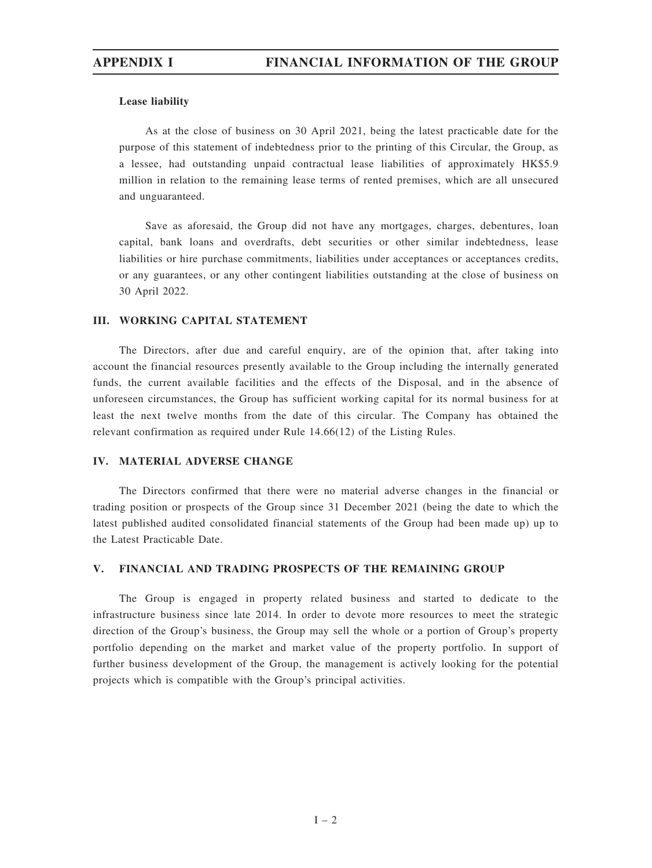## Lease liability

As at the close of business on 30 April 2021, being the latest practicable date for the purpose of this statement of indebtedness prior to the printing of this Circular, the Group, as a lessee, had outstanding unpaid contractual lease liabilities of approximately HK\$5.9 million in relation to the remaining lease terms of rented premises, which are all unsecured and unguaranteed.

Save as aforesaid, the Group did not have any mortgages, charges, debentures, loan capital, bank loans and overdrafts, debt securities or other similar indebtedness, lease liabilities or hire purchase commitments, liabilities under acceptances or acceptances credits, or any guarantees, or any other contingent liabilities outstanding at the close of business on 30 April 2022.

## III. WORKING CAPITAL STATEMENT

The Directors, after due and careful enquiry, are of the opinion that, after taking into account the financial resources presently available to the Group including the internally generated funds, the current available facilities and the effects of the Disposal, and in the absence of unforeseen circumstances, the Group has sufficient working capital for its normal business for at least the next twelve months from the date of this circular. The Company has obtained the relevant confirmation as required under Rule 14.66(12) of the Listing Rules.

## IV. MATERIAL ADVERSE CHANGE

The Directors confirmed that there were no material adverse changes in the financial or trading position or prospects of the Group since 31 December 2021 (being the date to which the latest published audited consolidated financial statements of the Group had been made up) up to the Latest Practicable Date.

## V. FINANCIAL AND TRADING PROSPECTS OF THE REMAINING GROUP

The Group is engaged in property related business and started to dedicate to the infrastructure business since late 2014. In order to devote more resources to meet the strategic direction of the Group's business, the Group may sell the whole or a portion of Group's property portfolio depending on the market and market value of the property portfolio. In support of further business development of the Group, the management is actively looking for the potential projects which is compatible with the Group's principal activities.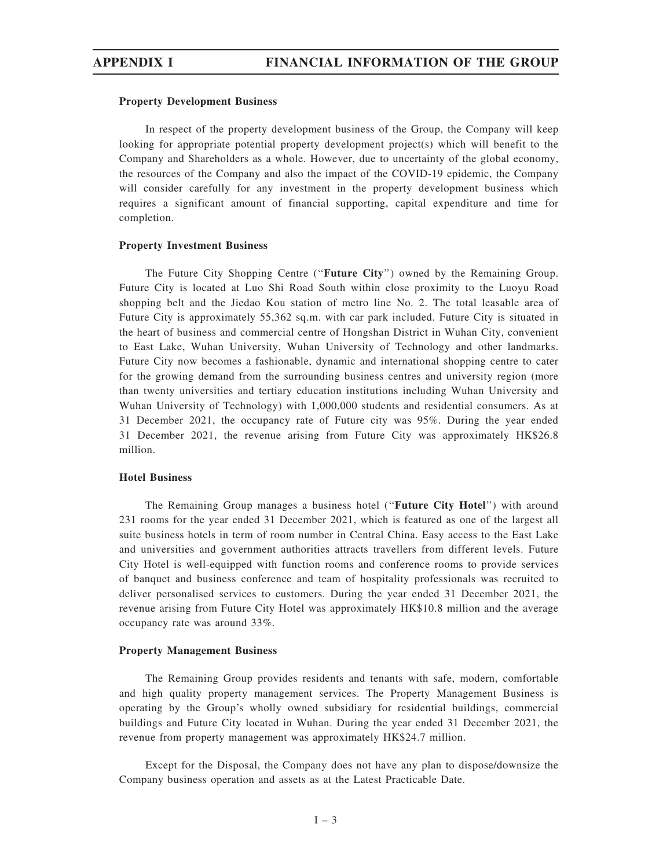### Property Development Business

In respect of the property development business of the Group, the Company will keep looking for appropriate potential property development project(s) which will benefit to the Company and Shareholders as a whole. However, due to uncertainty of the global economy, the resources of the Company and also the impact of the COVID-19 epidemic, the Company will consider carefully for any investment in the property development business which requires a significant amount of financial supporting, capital expenditure and time for completion.

### Property Investment Business

The Future City Shopping Centre (''Future City'') owned by the Remaining Group. Future City is located at Luo Shi Road South within close proximity to the Luoyu Road shopping belt and the Jiedao Kou station of metro line No. 2. The total leasable area of Future City is approximately 55,362 sq.m. with car park included. Future City is situated in the heart of business and commercial centre of Hongshan District in Wuhan City, convenient to East Lake, Wuhan University, Wuhan University of Technology and other landmarks. Future City now becomes a fashionable, dynamic and international shopping centre to cater for the growing demand from the surrounding business centres and university region (more than twenty universities and tertiary education institutions including Wuhan University and Wuhan University of Technology) with 1,000,000 students and residential consumers. As at 31 December 2021, the occupancy rate of Future city was 95%. During the year ended 31 December 2021, the revenue arising from Future City was approximately HK\$26.8 million.

### Hotel Business

The Remaining Group manages a business hotel ("Future City Hotel") with around 231 rooms for the year ended 31 December 2021, which is featured as one of the largest all suite business hotels in term of room number in Central China. Easy access to the East Lake and universities and government authorities attracts travellers from different levels. Future City Hotel is well-equipped with function rooms and conference rooms to provide services of banquet and business conference and team of hospitality professionals was recruited to deliver personalised services to customers. During the year ended 31 December 2021, the revenue arising from Future City Hotel was approximately HK\$10.8 million and the average occupancy rate was around 33%.

### Property Management Business

The Remaining Group provides residents and tenants with safe, modern, comfortable and high quality property management services. The Property Management Business is operating by the Group's wholly owned subsidiary for residential buildings, commercial buildings and Future City located in Wuhan. During the year ended 31 December 2021, the revenue from property management was approximately HK\$24.7 million.

Except for the Disposal, the Company does not have any plan to dispose/downsize the Company business operation and assets as at the Latest Practicable Date.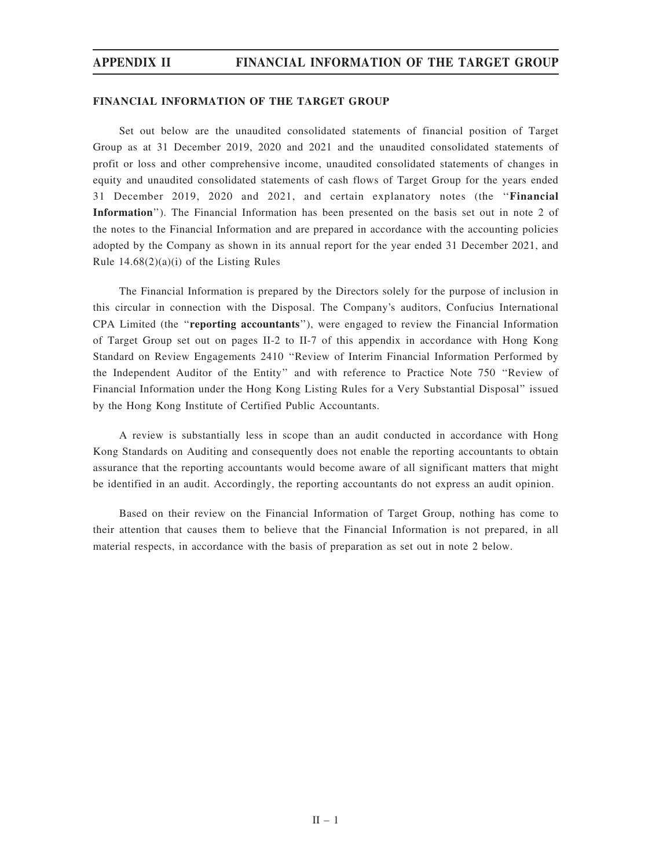### FINANCIAL INFORMATION OF THE TARGET GROUP

Set out below are the unaudited consolidated statements of financial position of Target Group as at 31 December 2019, 2020 and 2021 and the unaudited consolidated statements of profit or loss and other comprehensive income, unaudited consolidated statements of changes in equity and unaudited consolidated statements of cash flows of Target Group for the years ended 31 December 2019, 2020 and 2021, and certain explanatory notes (the ''Financial Information''). The Financial Information has been presented on the basis set out in note 2 of the notes to the Financial Information and are prepared in accordance with the accounting policies adopted by the Company as shown in its annual report for the year ended 31 December 2021, and Rule  $14.68(2)(a)(i)$  of the Listing Rules

The Financial Information is prepared by the Directors solely for the purpose of inclusion in this circular in connection with the Disposal. The Company's auditors, Confucius International CPA Limited (the ''reporting accountants''), were engaged to review the Financial Information of Target Group set out on pages II-2 to II-7 of this appendix in accordance with Hong Kong Standard on Review Engagements 2410 ''Review of Interim Financial Information Performed by the Independent Auditor of the Entity'' and with reference to Practice Note 750 ''Review of Financial Information under the Hong Kong Listing Rules for a Very Substantial Disposal'' issued by the Hong Kong Institute of Certified Public Accountants.

A review is substantially less in scope than an audit conducted in accordance with Hong Kong Standards on Auditing and consequently does not enable the reporting accountants to obtain assurance that the reporting accountants would become aware of all significant matters that might be identified in an audit. Accordingly, the reporting accountants do not express an audit opinion.

Based on their review on the Financial Information of Target Group, nothing has come to their attention that causes them to believe that the Financial Information is not prepared, in all material respects, in accordance with the basis of preparation as set out in note 2 below.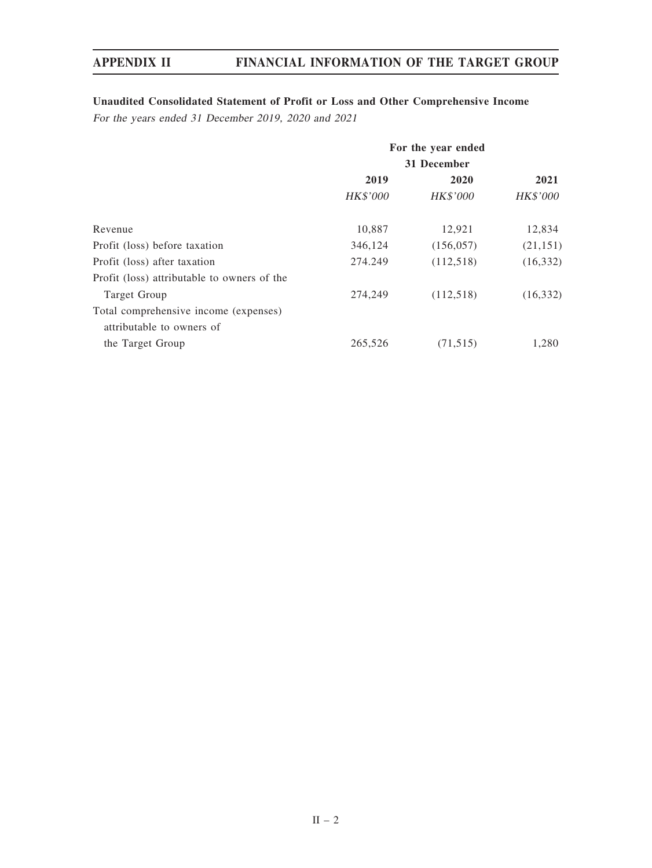# Unaudited Consolidated Statement of Profit or Loss and Other Comprehensive Income

For the years ended 31 December 2019, 2020 and 2021

|                                             | For the year ended<br>31 December |                 |           |
|---------------------------------------------|-----------------------------------|-----------------|-----------|
|                                             |                                   |                 |           |
|                                             | 2019                              | 2020            | 2021      |
|                                             | HK\$'000                          | <b>HK\$'000</b> | HK\$'000  |
| Revenue                                     | 10,887                            | 12,921          | 12,834    |
| Profit (loss) before taxation               | 346,124                           | (156, 057)      | (21, 151) |
| Profit (loss) after taxation                | 274.249                           | (112, 518)      | (16, 332) |
| Profit (loss) attributable to owners of the |                                   |                 |           |
| Target Group                                | 274,249                           | (112, 518)      | (16, 332) |
| Total comprehensive income (expenses)       |                                   |                 |           |
| attributable to owners of                   |                                   |                 |           |
| the Target Group                            | 265,526                           | (71, 515)       | 1,280     |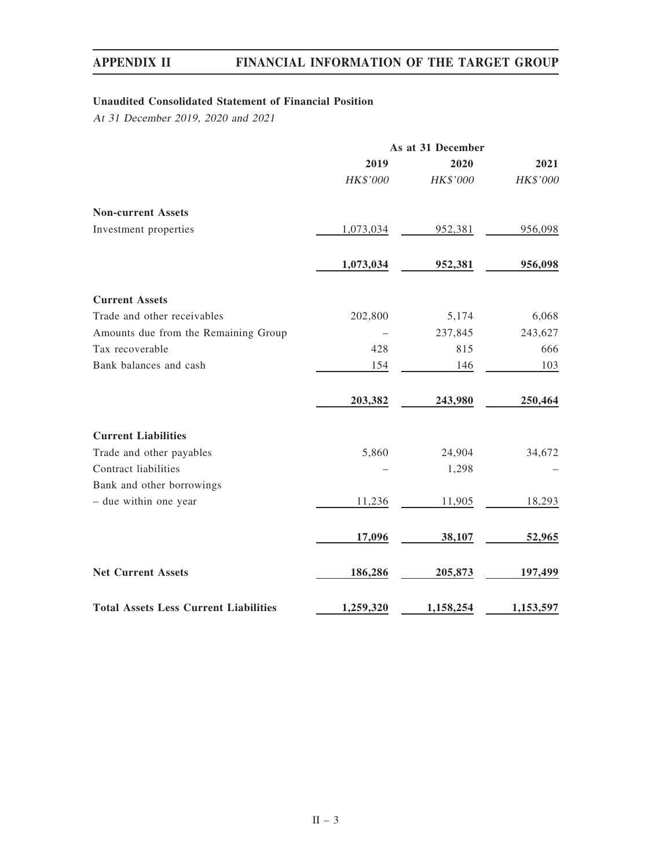# Unaudited Consolidated Statement of Financial Position

At 31 December 2019, 2020 and 2021

|                                              | As at 31 December |           |           |
|----------------------------------------------|-------------------|-----------|-----------|
|                                              | 2019              | 2020      | 2021      |
|                                              | HK\$'000          | HK\$'000  | HK\$'000  |
| <b>Non-current Assets</b>                    |                   |           |           |
| Investment properties                        | 1,073,034         | 952,381   | 956,098   |
|                                              | 1,073,034         | 952,381   | 956,098   |
| <b>Current Assets</b>                        |                   |           |           |
| Trade and other receivables                  | 202,800           | 5,174     | 6,068     |
| Amounts due from the Remaining Group         |                   | 237,845   | 243,627   |
| Tax recoverable                              | 428               | 815       | 666       |
| Bank balances and cash                       | 154               | 146       | 103       |
|                                              | 203,382           | 243,980   | 250,464   |
| <b>Current Liabilities</b>                   |                   |           |           |
| Trade and other payables                     | 5,860             | 24,904    | 34,672    |
| Contract liabilities                         |                   | 1,298     |           |
| Bank and other borrowings                    |                   |           |           |
| - due within one year                        | 11,236            | 11,905    | 18,293    |
|                                              | 17,096            | 38,107    | 52,965    |
| <b>Net Current Assets</b>                    | 186,286           | 205,873   | 197,499   |
| <b>Total Assets Less Current Liabilities</b> | 1,259,320         | 1,158,254 | 1,153,597 |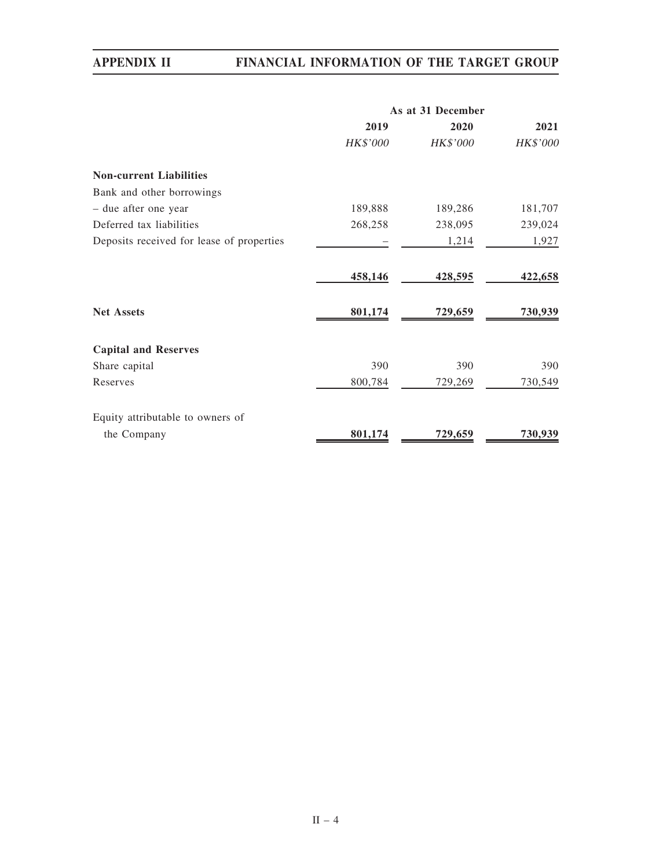|                                           | As at 31 December |          |          |
|-------------------------------------------|-------------------|----------|----------|
|                                           | 2019              | 2020     | 2021     |
|                                           | HK\$'000          | HK\$'000 | HK\$'000 |
| <b>Non-current Liabilities</b>            |                   |          |          |
| Bank and other borrowings                 |                   |          |          |
| - due after one year                      | 189,888           | 189,286  | 181,707  |
| Deferred tax liabilities                  | 268,258           | 238,095  | 239,024  |
| Deposits received for lease of properties |                   | 1,214    | 1,927    |
|                                           | 458,146           | 428,595  | 422,658  |
| <b>Net Assets</b>                         | 801,174           | 729,659  | 730,939  |
| <b>Capital and Reserves</b>               |                   |          |          |
| Share capital                             | 390               | 390      | 390      |
| Reserves                                  | 800,784           | 729,269  | 730,549  |
| Equity attributable to owners of          |                   |          |          |
| the Company                               | 801,174           | 729,659  | 730,939  |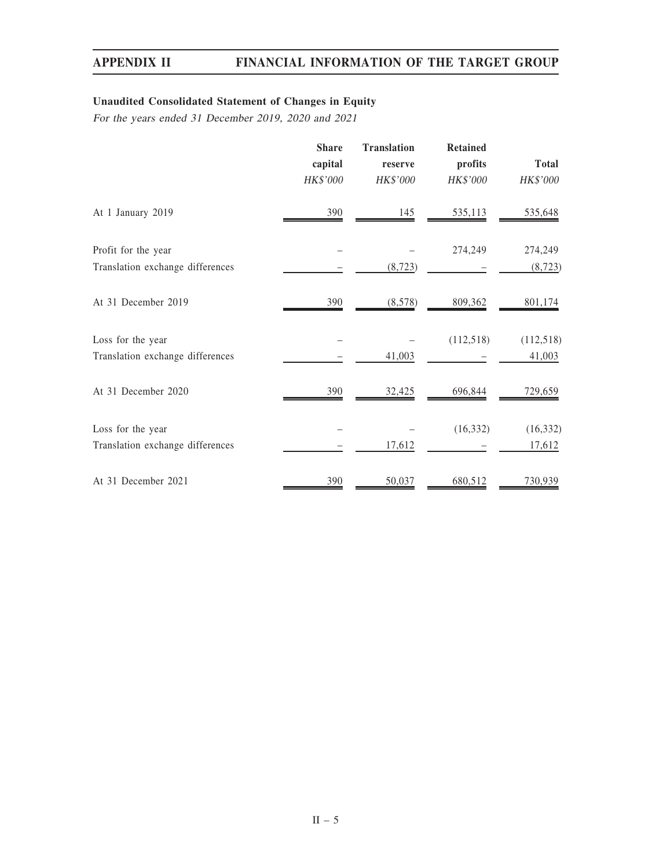# Unaudited Consolidated Statement of Changes in Equity

For the years ended 31 December 2019, 2020 and 2021

|                                  | <b>Share</b><br>capital<br>HK\$'000 | <b>Translation</b><br>reserve<br>HK\$'000 | <b>Retained</b><br>profits<br><b>HK\$'000</b> | <b>Total</b><br>HK\$'000 |
|----------------------------------|-------------------------------------|-------------------------------------------|-----------------------------------------------|--------------------------|
| At 1 January 2019                | 390                                 | 145                                       | 535,113                                       | 535,648                  |
| Profit for the year              |                                     |                                           | 274,249                                       | 274,249                  |
| Translation exchange differences |                                     | (8, 723)                                  |                                               | (8, 723)                 |
| At 31 December 2019              | 390                                 | (8,578)                                   | 809,362                                       | 801,174                  |
| Loss for the year                |                                     |                                           | (112,518)                                     | (112,518)                |
| Translation exchange differences |                                     | 41,003                                    |                                               | 41,003                   |
| At 31 December 2020              | 390                                 | 32,425                                    | 696,844                                       | 729,659                  |
| Loss for the year                |                                     |                                           | (16, 332)                                     | (16, 332)                |
| Translation exchange differences |                                     | 17,612                                    |                                               | 17,612                   |
| At 31 December 2021              | 390                                 | 50,037                                    | 680,512                                       | 730,939                  |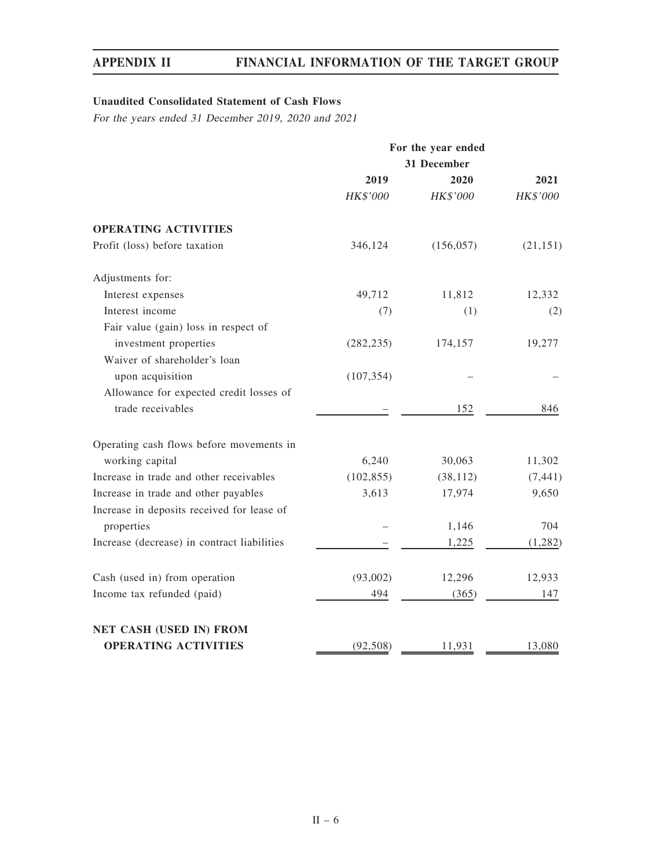# Unaudited Consolidated Statement of Cash Flows

For the years ended 31 December 2019, 2020 and 2021

|                                             | For the year ended |             |           |  |
|---------------------------------------------|--------------------|-------------|-----------|--|
|                                             |                    | 31 December |           |  |
|                                             | 2019               | 2020        | 2021      |  |
|                                             | HK\$'000           | HK\$'000    | HK\$'000  |  |
| <b>OPERATING ACTIVITIES</b>                 |                    |             |           |  |
| Profit (loss) before taxation               | 346,124            | (156, 057)  | (21, 151) |  |
| Adjustments for:                            |                    |             |           |  |
| Interest expenses                           | 49,712             | 11,812      | 12,332    |  |
| Interest income                             | (7)                | (1)         | (2)       |  |
| Fair value (gain) loss in respect of        |                    |             |           |  |
| investment properties                       | (282, 235)         | 174,157     | 19,277    |  |
| Waiver of shareholder's loan                |                    |             |           |  |
| upon acquisition                            | (107, 354)         |             |           |  |
| Allowance for expected credit losses of     |                    |             |           |  |
| trade receivables                           |                    | 152         | 846       |  |
| Operating cash flows before movements in    |                    |             |           |  |
| working capital                             | 6,240              | 30,063      | 11,302    |  |
| Increase in trade and other receivables     | (102, 855)         | (38, 112)   | (7, 441)  |  |
| Increase in trade and other payables        | 3,613              | 17,974      | 9,650     |  |
| Increase in deposits received for lease of  |                    |             |           |  |
| properties                                  |                    | 1,146       | 704       |  |
| Increase (decrease) in contract liabilities |                    | 1,225       | (1, 282)  |  |
| Cash (used in) from operation               | (93,002)           | 12,296      | 12,933    |  |
| Income tax refunded (paid)                  | 494                | (365)       | 147       |  |
| NET CASH (USED IN) FROM                     |                    |             |           |  |
| <b>OPERATING ACTIVITIES</b>                 | (92, 508)          | 11,931      | 13,080    |  |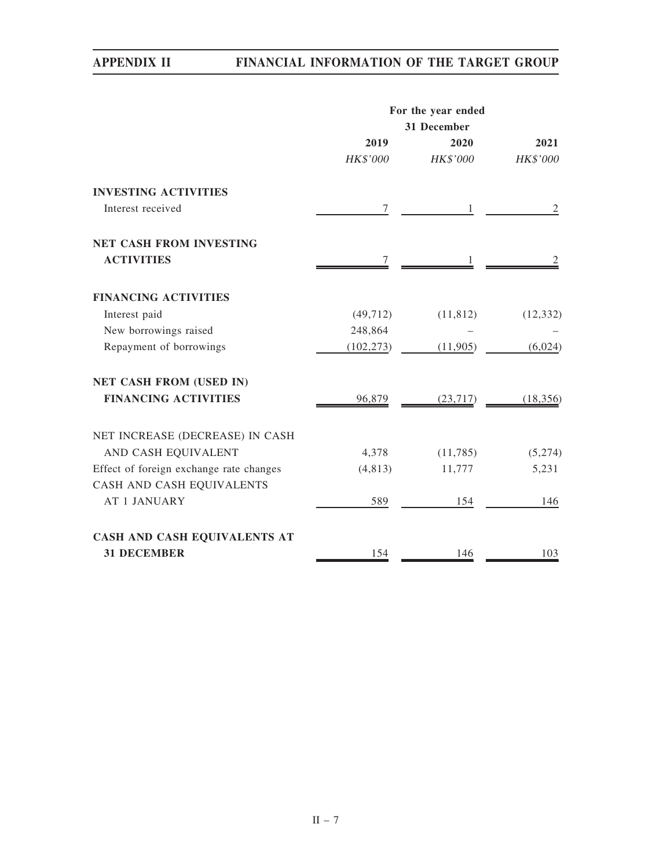|                                         | For the year ended |             |                |  |  |
|-----------------------------------------|--------------------|-------------|----------------|--|--|
|                                         |                    | 31 December |                |  |  |
|                                         | 2019               | 2020        | 2021           |  |  |
|                                         | HK\$'000           | HK\$'000    | HK\$'000       |  |  |
| <b>INVESTING ACTIVITIES</b>             |                    |             |                |  |  |
| Interest received                       | $\tau$             | 1           | $\overline{2}$ |  |  |
| <b>NET CASH FROM INVESTING</b>          |                    |             |                |  |  |
| <b>ACTIVITIES</b>                       | 7                  |             |                |  |  |
| <b>FINANCING ACTIVITIES</b>             |                    |             |                |  |  |
| Interest paid                           | (49, 712)          | (11, 812)   | (12, 332)      |  |  |
| New borrowings raised                   | 248,864            |             |                |  |  |
| Repayment of borrowings                 | (102, 273)         | (11,905)    | (6,024)        |  |  |
| <b>NET CASH FROM (USED IN)</b>          |                    |             |                |  |  |
| <b>FINANCING ACTIVITIES</b>             | 96,879             | (23, 717)   | (18, 356)      |  |  |
| NET INCREASE (DECREASE) IN CASH         |                    |             |                |  |  |
| AND CASH EQUIVALENT                     | 4,378              | (11,785)    | (5,274)        |  |  |
| Effect of foreign exchange rate changes | (4, 813)           | 11,777      | 5,231          |  |  |
| CASH AND CASH EQUIVALENTS               |                    |             |                |  |  |
| <b>AT 1 JANUARY</b>                     | 589                | 154         | 146            |  |  |
| CASH AND CASH EQUIVALENTS AT            |                    |             |                |  |  |
| <b>31 DECEMBER</b>                      | 154                | 146         | 103            |  |  |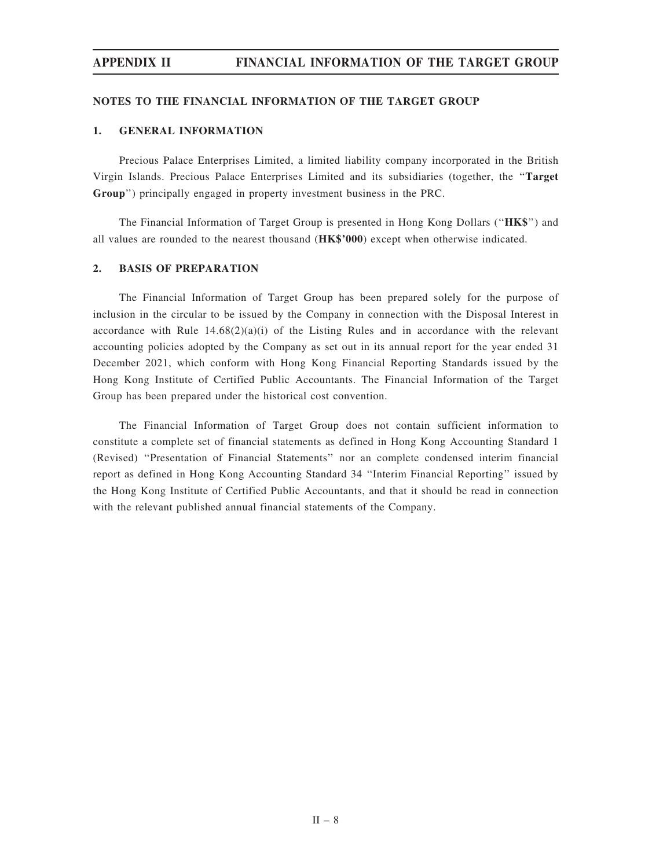## NOTES TO THE FINANCIAL INFORMATION OF THE TARGET GROUP

## 1. GENERAL INFORMATION

Precious Palace Enterprises Limited, a limited liability company incorporated in the British Virgin Islands. Precious Palace Enterprises Limited and its subsidiaries (together, the ''Target Group'') principally engaged in property investment business in the PRC.

The Financial Information of Target Group is presented in Hong Kong Dollars (''HK\$'') and all values are rounded to the nearest thousand (HK\$'000) except when otherwise indicated.

## 2. BASIS OF PREPARATION

The Financial Information of Target Group has been prepared solely for the purpose of inclusion in the circular to be issued by the Company in connection with the Disposal Interest in accordance with Rule  $14.68(2)(a)(i)$  of the Listing Rules and in accordance with the relevant accounting policies adopted by the Company as set out in its annual report for the year ended 31 December 2021, which conform with Hong Kong Financial Reporting Standards issued by the Hong Kong Institute of Certified Public Accountants. The Financial Information of the Target Group has been prepared under the historical cost convention.

The Financial Information of Target Group does not contain sufficient information to constitute a complete set of financial statements as defined in Hong Kong Accounting Standard 1 (Revised) ''Presentation of Financial Statements'' nor an complete condensed interim financial report as defined in Hong Kong Accounting Standard 34 ''Interim Financial Reporting'' issued by the Hong Kong Institute of Certified Public Accountants, and that it should be read in connection with the relevant published annual financial statements of the Company.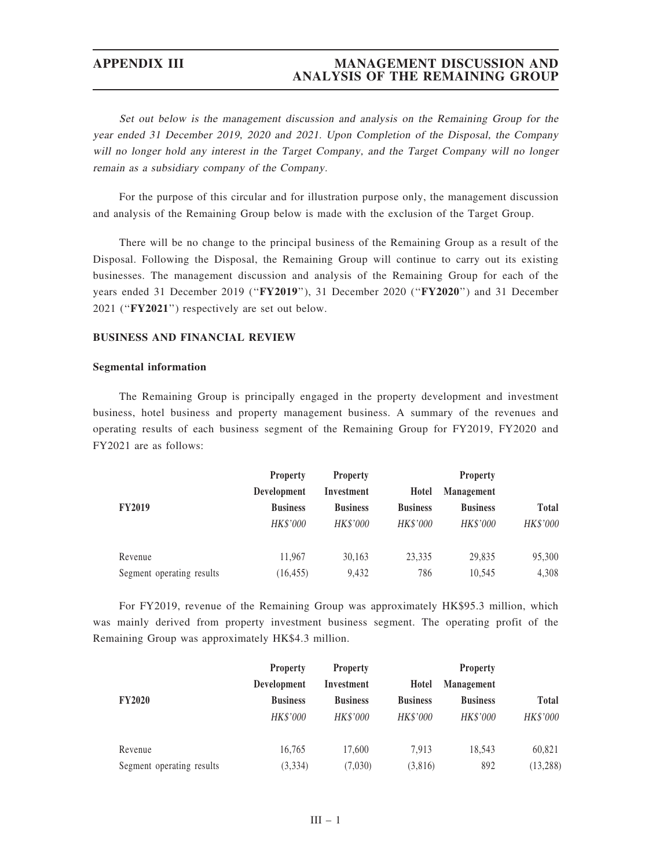# APPENDIX III MANAGEMENT DISCUSSION AND ANALYSIS OF THE REMAINING GROUP

Set out below is the management discussion and analysis on the Remaining Group for the year ended 31 December 2019, 2020 and 2021. Upon Completion of the Disposal, the Company will no longer hold any interest in the Target Company, and the Target Company will no longer remain as <sup>a</sup> subsidiary company of the Company.

For the purpose of this circular and for illustration purpose only, the management discussion and analysis of the Remaining Group below is made with the exclusion of the Target Group.

There will be no change to the principal business of the Remaining Group as a result of the Disposal. Following the Disposal, the Remaining Group will continue to carry out its existing businesses. The management discussion and analysis of the Remaining Group for each of the years ended 31 December 2019 ("FY2019"), 31 December 2020 ("FY2020") and 31 December 2021 ("FY2021") respectively are set out below.

# BUSINESS AND FINANCIAL REVIEW

### Segmental information

The Remaining Group is principally engaged in the property development and investment business, hotel business and property management business. A summary of the revenues and operating results of each business segment of the Remaining Group for FY2019, FY2020 and FY2021 are as follows:

|                           | <b>Property</b> | <b>Property</b> |                 | <b>Property</b>   |              |
|---------------------------|-----------------|-----------------|-----------------|-------------------|--------------|
|                           | Development     | Investment      | Hotel           | <b>Management</b> |              |
| <b>FY2019</b>             | <b>Business</b> | <b>Business</b> | <b>Business</b> | <b>Business</b>   | <b>Total</b> |
|                           | <b>HK\$'000</b> | <b>HK\$'000</b> | HK\$'000        | HK\$'000          | HK\$'000     |
| Revenue                   | 11.967          | 30.163          | 23.335          | 29,835            | 95,300       |
| Segment operating results | (16, 455)       | 9.432           | 786             | 10.545            | 4,308        |

For FY2019, revenue of the Remaining Group was approximately HK\$95.3 million, which was mainly derived from property investment business segment. The operating profit of the Remaining Group was approximately HK\$4.3 million.

|                           | <b>Property</b> | <b>Property</b> |                 | <b>Property</b>   |              |
|---------------------------|-----------------|-----------------|-----------------|-------------------|--------------|
|                           | Development     | Investment      | Hotel           | <b>Management</b> |              |
| <b>FY2020</b>             | <b>Business</b> | <b>Business</b> | <b>Business</b> | <b>Business</b>   | <b>Total</b> |
|                           | HK\$'000        | <b>HK\$'000</b> | <b>HK\$'000</b> | <b>HK\$'000</b>   | HK\$'000     |
| Revenue                   | 16.765          | 17,600          | 7.913           | 18.543            | 60,821       |
| Segment operating results | (3, 334)        | (7,030)         | (3,816)         | 892               | (13, 288)    |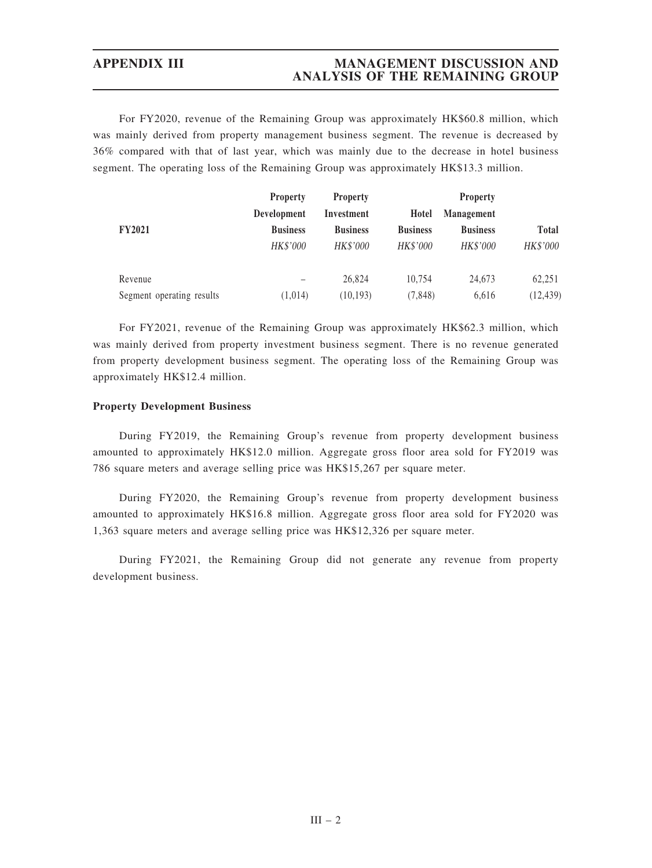# APPENDIX III MANAGEMENT DISCUSSION AND ANALYSIS OF THE REMAINING GROUP

For FY2020, revenue of the Remaining Group was approximately HK\$60.8 million, which was mainly derived from property management business segment. The revenue is decreased by 36% compared with that of last year, which was mainly due to the decrease in hotel business segment. The operating loss of the Remaining Group was approximately HK\$13.3 million.

|                           | <b>Property</b> | <b>Property</b> |                 | <b>Property</b>   |              |
|---------------------------|-----------------|-----------------|-----------------|-------------------|--------------|
|                           | Development     | Investment      | Hotel           | <b>Management</b> |              |
| <b>FY2021</b>             | <b>Business</b> | <b>Business</b> | <b>Business</b> | <b>Business</b>   | <b>Total</b> |
|                           | <b>HK\$'000</b> | <b>HK\$'000</b> | <b>HK\$'000</b> | HK\$'000          | HK\$'000     |
| Revenue                   |                 | 26,824          | 10.754          | 24.673            | 62,251       |
| Segment operating results | (1,014)         | (10, 193)       | (7, 848)        | 6,616             | (12, 439)    |

For FY2021, revenue of the Remaining Group was approximately HK\$62.3 million, which was mainly derived from property investment business segment. There is no revenue generated from property development business segment. The operating loss of the Remaining Group was approximately HK\$12.4 million.

## Property Development Business

During FY2019, the Remaining Group's revenue from property development business amounted to approximately HK\$12.0 million. Aggregate gross floor area sold for FY2019 was 786 square meters and average selling price was HK\$15,267 per square meter.

During FY2020, the Remaining Group's revenue from property development business amounted to approximately HK\$16.8 million. Aggregate gross floor area sold for FY2020 was 1,363 square meters and average selling price was HK\$12,326 per square meter.

During FY2021, the Remaining Group did not generate any revenue from property development business.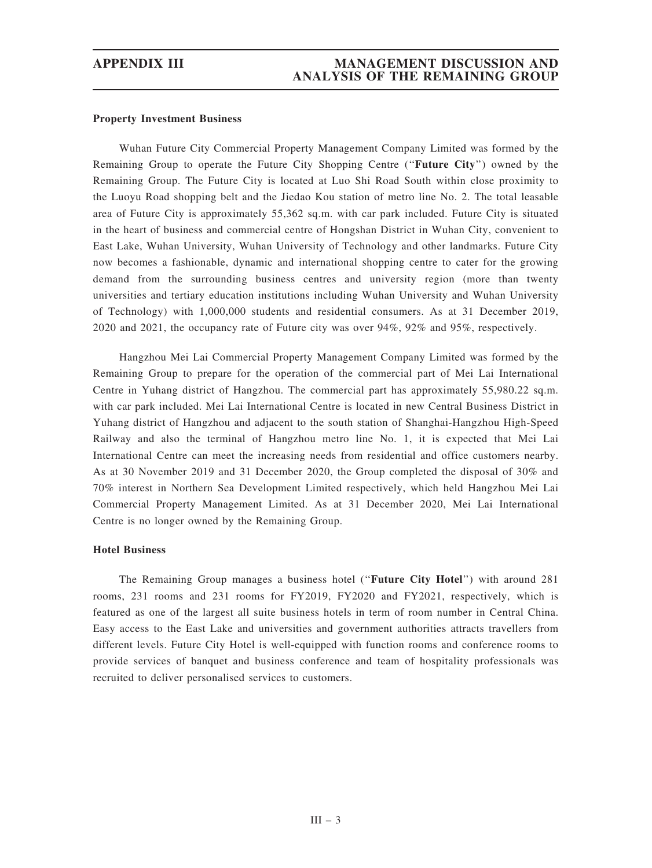### Property Investment Business

Wuhan Future City Commercial Property Management Company Limited was formed by the Remaining Group to operate the Future City Shopping Centre (''Future City'') owned by the Remaining Group. The Future City is located at Luo Shi Road South within close proximity to the Luoyu Road shopping belt and the Jiedao Kou station of metro line No. 2. The total leasable area of Future City is approximately 55,362 sq.m. with car park included. Future City is situated in the heart of business and commercial centre of Hongshan District in Wuhan City, convenient to East Lake, Wuhan University, Wuhan University of Technology and other landmarks. Future City now becomes a fashionable, dynamic and international shopping centre to cater for the growing demand from the surrounding business centres and university region (more than twenty universities and tertiary education institutions including Wuhan University and Wuhan University of Technology) with 1,000,000 students and residential consumers. As at 31 December 2019, 2020 and 2021, the occupancy rate of Future city was over 94%, 92% and 95%, respectively.

Hangzhou Mei Lai Commercial Property Management Company Limited was formed by the Remaining Group to prepare for the operation of the commercial part of Mei Lai International Centre in Yuhang district of Hangzhou. The commercial part has approximately 55,980.22 sq.m. with car park included. Mei Lai International Centre is located in new Central Business District in Yuhang district of Hangzhou and adjacent to the south station of Shanghai-Hangzhou High-Speed Railway and also the terminal of Hangzhou metro line No. 1, it is expected that Mei Lai International Centre can meet the increasing needs from residential and office customers nearby. As at 30 November 2019 and 31 December 2020, the Group completed the disposal of 30% and 70% interest in Northern Sea Development Limited respectively, which held Hangzhou Mei Lai Commercial Property Management Limited. As at 31 December 2020, Mei Lai International Centre is no longer owned by the Remaining Group.

### Hotel Business

The Remaining Group manages a business hotel ("Future City Hotel") with around 281 rooms, 231 rooms and 231 rooms for FY2019, FY2020 and FY2021, respectively, which is featured as one of the largest all suite business hotels in term of room number in Central China. Easy access to the East Lake and universities and government authorities attracts travellers from different levels. Future City Hotel is well-equipped with function rooms and conference rooms to provide services of banquet and business conference and team of hospitality professionals was recruited to deliver personalised services to customers.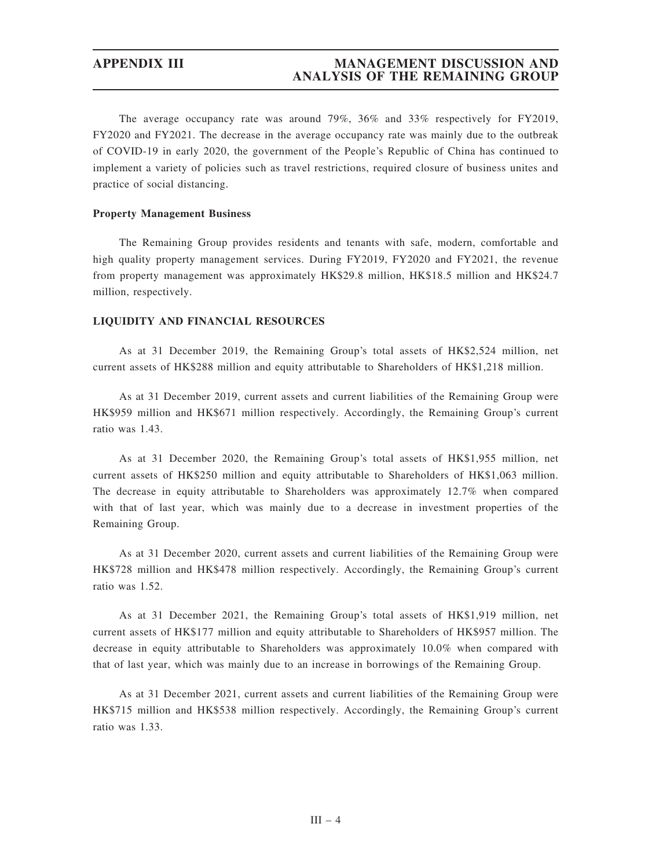# APPENDIX III MANAGEMENT DISCUSSION AND ANALYSIS OF THE REMAINING GROUP

The average occupancy rate was around 79%, 36% and 33% respectively for FY2019, FY2020 and FY2021. The decrease in the average occupancy rate was mainly due to the outbreak of COVID-19 in early 2020, the government of the People's Republic of China has continued to implement a variety of policies such as travel restrictions, required closure of business unites and practice of social distancing.

### Property Management Business

The Remaining Group provides residents and tenants with safe, modern, comfortable and high quality property management services. During FY2019, FY2020 and FY2021, the revenue from property management was approximately HK\$29.8 million, HK\$18.5 million and HK\$24.7 million, respectively.

### LIQUIDITY AND FINANCIAL RESOURCES

As at 31 December 2019, the Remaining Group's total assets of HK\$2,524 million, net current assets of HK\$288 million and equity attributable to Shareholders of HK\$1,218 million.

As at 31 December 2019, current assets and current liabilities of the Remaining Group were HK\$959 million and HK\$671 million respectively. Accordingly, the Remaining Group's current ratio was 1.43.

As at 31 December 2020, the Remaining Group's total assets of HK\$1,955 million, net current assets of HK\$250 million and equity attributable to Shareholders of HK\$1,063 million. The decrease in equity attributable to Shareholders was approximately 12.7% when compared with that of last year, which was mainly due to a decrease in investment properties of the Remaining Group.

As at 31 December 2020, current assets and current liabilities of the Remaining Group were HK\$728 million and HK\$478 million respectively. Accordingly, the Remaining Group's current ratio was 1.52.

As at 31 December 2021, the Remaining Group's total assets of HK\$1,919 million, net current assets of HK\$177 million and equity attributable to Shareholders of HK\$957 million. The decrease in equity attributable to Shareholders was approximately 10.0% when compared with that of last year, which was mainly due to an increase in borrowings of the Remaining Group.

As at 31 December 2021, current assets and current liabilities of the Remaining Group were HK\$715 million and HK\$538 million respectively. Accordingly, the Remaining Group's current ratio was 1.33.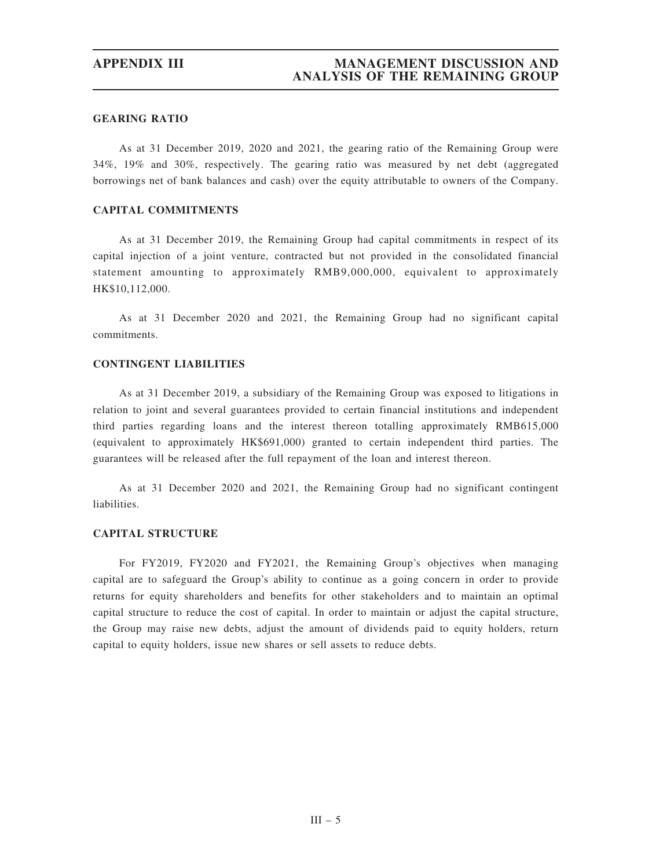## GEARING RATIO

As at 31 December 2019, 2020 and 2021, the gearing ratio of the Remaining Group were 34%, 19% and 30%, respectively. The gearing ratio was measured by net debt (aggregated borrowings net of bank balances and cash) over the equity attributable to owners of the Company.

## CAPITAL COMMITMENTS

As at 31 December 2019, the Remaining Group had capital commitments in respect of its capital injection of a joint venture, contracted but not provided in the consolidated financial statement amounting to approximately RMB9,000,000, equivalent to approximately HK\$10,112,000.

As at 31 December 2020 and 2021, the Remaining Group had no significant capital commitments.

# CONTINGENT LIABILITIES

As at 31 December 2019, a subsidiary of the Remaining Group was exposed to litigations in relation to joint and several guarantees provided to certain financial institutions and independent third parties regarding loans and the interest thereon totalling approximately RMB615,000 (equivalent to approximately HK\$691,000) granted to certain independent third parties. The guarantees will be released after the full repayment of the loan and interest thereon.

As at 31 December 2020 and 2021, the Remaining Group had no significant contingent liabilities.

## CAPITAL STRUCTURE

For FY2019, FY2020 and FY2021, the Remaining Group's objectives when managing capital are to safeguard the Group's ability to continue as a going concern in order to provide returns for equity shareholders and benefits for other stakeholders and to maintain an optimal capital structure to reduce the cost of capital. In order to maintain or adjust the capital structure, the Group may raise new debts, adjust the amount of dividends paid to equity holders, return capital to equity holders, issue new shares or sell assets to reduce debts.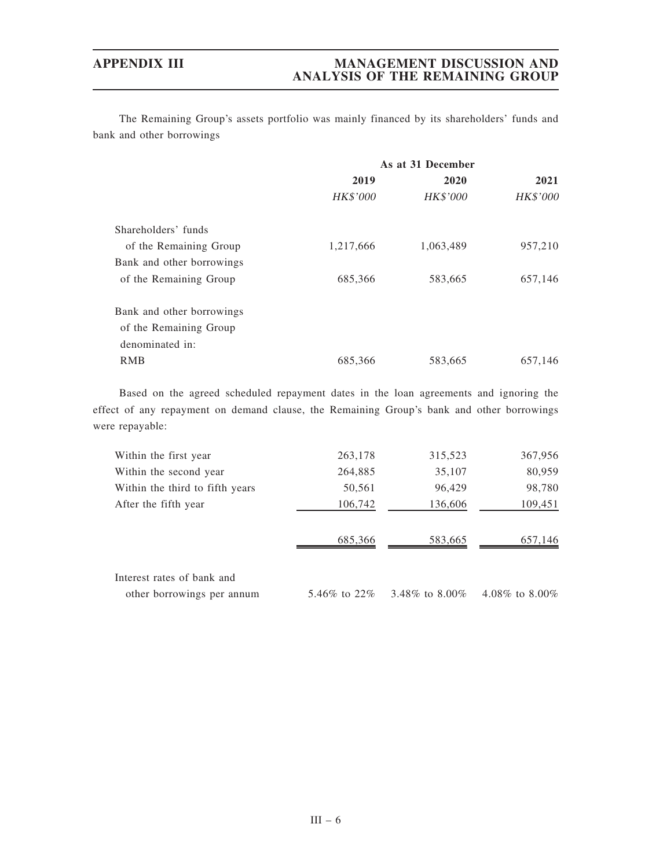# APPENDIX III MANAGEMENT DISCUSSION AND ANALYSIS OF THE REMAINING GROUP

The Remaining Group's assets portfolio was mainly financed by its shareholders' funds and bank and other borrowings

|                           | As at 31 December |                 |          |  |
|---------------------------|-------------------|-----------------|----------|--|
|                           | 2019              | 2020            | 2021     |  |
|                           | <b>HK\$'000</b>   | <b>HK\$'000</b> | HK\$'000 |  |
| Shareholders' funds       |                   |                 |          |  |
| of the Remaining Group    | 1,217,666         | 1,063,489       | 957,210  |  |
| Bank and other borrowings |                   |                 |          |  |
| of the Remaining Group    | 685,366           | 583,665         | 657,146  |  |
| Bank and other borrowings |                   |                 |          |  |
| of the Remaining Group    |                   |                 |          |  |
| denominated in:           |                   |                 |          |  |
| <b>RMB</b>                | 685,366           | 583,665         | 657,146  |  |

Based on the agreed scheduled repayment dates in the loan agreements and ignoring the effect of any repayment on demand clause, the Remaining Group's bank and other borrowings were repayable:

| Within the first year           | 263,178        | 315,523          | 367,956          |
|---------------------------------|----------------|------------------|------------------|
| Within the second year          | 264,885        | 35,107           | 80,959           |
| Within the third to fifth years | 50,561         | 96,429           | 98,780           |
| After the fifth year            | 106,742        | 136,606          | 109,451          |
|                                 |                |                  |                  |
|                                 | 685,366        | 583,665          | 657,146          |
|                                 |                |                  |                  |
| Interest rates of bank and      |                |                  |                  |
| other borrowings per annum      | 5.46\% to 22\% | 3.48\% to 8.00\% | 4.08\% to 8.00\% |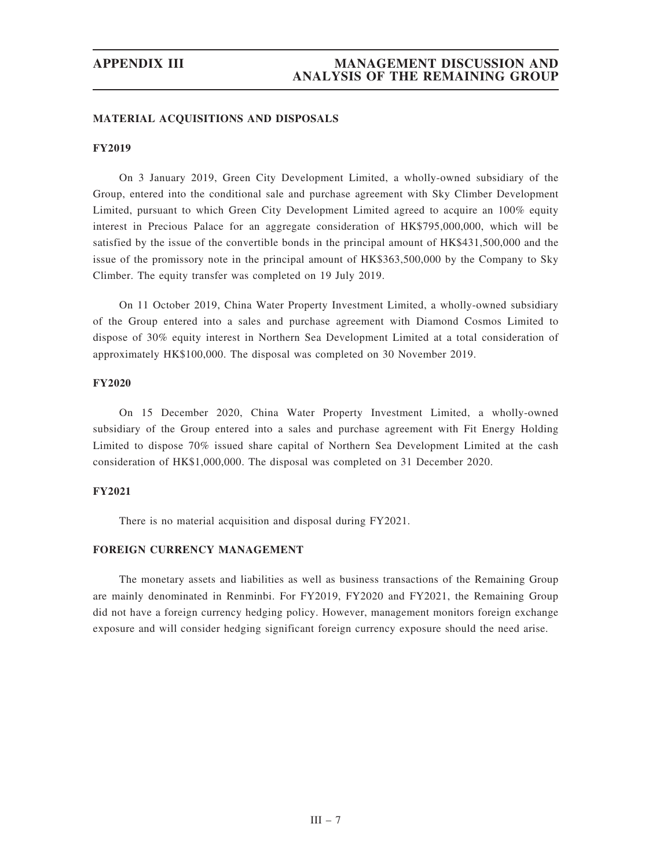### MATERIAL ACQUISITIONS AND DISPOSALS

## FY2019

On 3 January 2019, Green City Development Limited, a wholly-owned subsidiary of the Group, entered into the conditional sale and purchase agreement with Sky Climber Development Limited, pursuant to which Green City Development Limited agreed to acquire an 100% equity interest in Precious Palace for an aggregate consideration of HK\$795,000,000, which will be satisfied by the issue of the convertible bonds in the principal amount of HK\$431,500,000 and the issue of the promissory note in the principal amount of HK\$363,500,000 by the Company to Sky Climber. The equity transfer was completed on 19 July 2019.

On 11 October 2019, China Water Property Investment Limited, a wholly-owned subsidiary of the Group entered into a sales and purchase agreement with Diamond Cosmos Limited to dispose of 30% equity interest in Northern Sea Development Limited at a total consideration of approximately HK\$100,000. The disposal was completed on 30 November 2019.

## FY2020

On 15 December 2020, China Water Property Investment Limited, a wholly-owned subsidiary of the Group entered into a sales and purchase agreement with Fit Energy Holding Limited to dispose 70% issued share capital of Northern Sea Development Limited at the cash consideration of HK\$1,000,000. The disposal was completed on 31 December 2020.

### FY2021

There is no material acquisition and disposal during FY2021.

## FOREIGN CURRENCY MANAGEMENT

The monetary assets and liabilities as well as business transactions of the Remaining Group are mainly denominated in Renminbi. For FY2019, FY2020 and FY2021, the Remaining Group did not have a foreign currency hedging policy. However, management monitors foreign exchange exposure and will consider hedging significant foreign currency exposure should the need arise.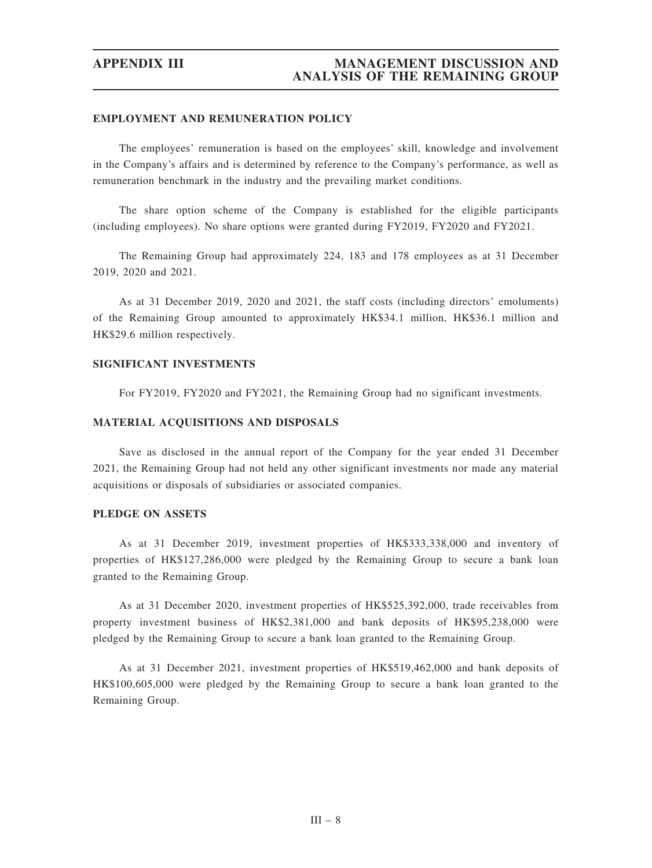## EMPLOYMENT AND REMUNERATION POLICY

The employees' remuneration is based on the employees' skill, knowledge and involvement in the Company's affairs and is determined by reference to the Company's performance, as well as remuneration benchmark in the industry and the prevailing market conditions.

The share option scheme of the Company is established for the eligible participants (including employees). No share options were granted during FY2019, FY2020 and FY2021.

The Remaining Group had approximately 224, 183 and 178 employees as at 31 December 2019, 2020 and 2021.

As at 31 December 2019, 2020 and 2021, the staff costs (including directors' emoluments) of the Remaining Group amounted to approximately HK\$34.1 million, HK\$36.1 million and HK\$29.6 million respectively.

## SIGNIFICANT INVESTMENTS

For FY2019, FY2020 and FY2021, the Remaining Group had no significant investments.

### MATERIAL ACQUISITIONS AND DISPOSALS

Save as disclosed in the annual report of the Company for the year ended 31 December 2021, the Remaining Group had not held any other significant investments nor made any material acquisitions or disposals of subsidiaries or associated companies.

### PLEDGE ON ASSETS

As at 31 December 2019, investment properties of HK\$333,338,000 and inventory of properties of HK\$127,286,000 were pledged by the Remaining Group to secure a bank loan granted to the Remaining Group.

As at 31 December 2020, investment properties of HK\$525,392,000, trade receivables from property investment business of HK\$2,381,000 and bank deposits of HK\$95,238,000 were pledged by the Remaining Group to secure a bank loan granted to the Remaining Group.

As at 31 December 2021, investment properties of HK\$519,462,000 and bank deposits of HK\$100,605,000 were pledged by the Remaining Group to secure a bank loan granted to the Remaining Group.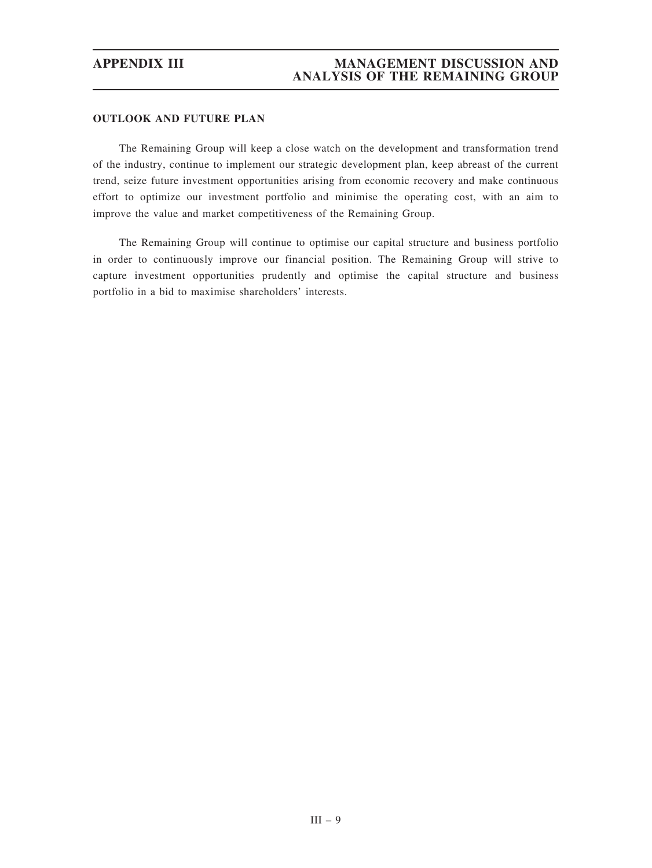# OUTLOOK AND FUTURE PLAN

The Remaining Group will keep a close watch on the development and transformation trend of the industry, continue to implement our strategic development plan, keep abreast of the current trend, seize future investment opportunities arising from economic recovery and make continuous effort to optimize our investment portfolio and minimise the operating cost, with an aim to improve the value and market competitiveness of the Remaining Group.

The Remaining Group will continue to optimise our capital structure and business portfolio in order to continuously improve our financial position. The Remaining Group will strive to capture investment opportunities prudently and optimise the capital structure and business portfolio in a bid to maximise shareholders' interests.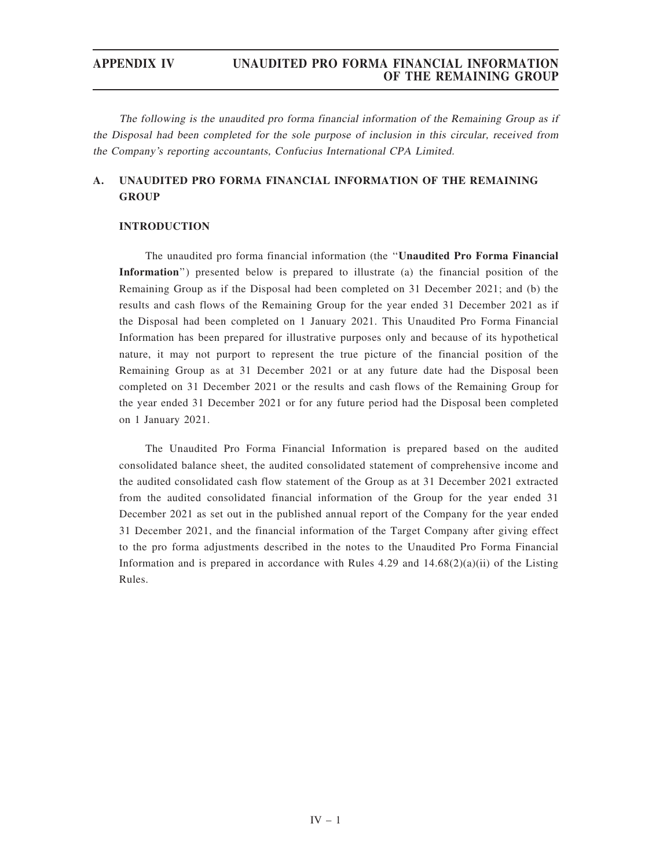The following is the unaudited pro forma financial information of the Remaining Group as if the Disposal had been completed for the sole purpose of inclusion in this circular, received from the Company'<sup>s</sup> reporting accountants, Confucius International CPA Limited.

# A. UNAUDITED PRO FORMA FINANCIAL INFORMATION OF THE REMAINING **GROUP**

## INTRODUCTION

The unaudited pro forma financial information (the ''Unaudited Pro Forma Financial Information'') presented below is prepared to illustrate (a) the financial position of the Remaining Group as if the Disposal had been completed on 31 December 2021; and (b) the results and cash flows of the Remaining Group for the year ended 31 December 2021 as if the Disposal had been completed on 1 January 2021. This Unaudited Pro Forma Financial Information has been prepared for illustrative purposes only and because of its hypothetical nature, it may not purport to represent the true picture of the financial position of the Remaining Group as at 31 December 2021 or at any future date had the Disposal been completed on 31 December 2021 or the results and cash flows of the Remaining Group for the year ended 31 December 2021 or for any future period had the Disposal been completed on 1 January 2021.

The Unaudited Pro Forma Financial Information is prepared based on the audited consolidated balance sheet, the audited consolidated statement of comprehensive income and the audited consolidated cash flow statement of the Group as at 31 December 2021 extracted from the audited consolidated financial information of the Group for the year ended 31 December 2021 as set out in the published annual report of the Company for the year ended 31 December 2021, and the financial information of the Target Company after giving effect to the pro forma adjustments described in the notes to the Unaudited Pro Forma Financial Information and is prepared in accordance with Rules 4.29 and  $14.68(2)(a)(ii)$  of the Listing Rules.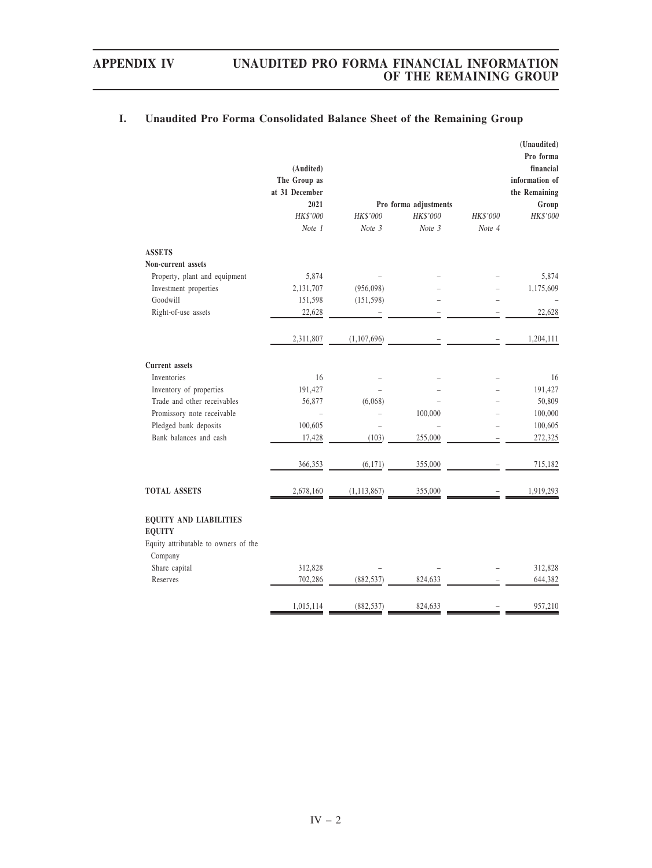|                                                | (Audited)<br>The Group as<br>at 31 December |                |                                   |          | (Unaudited)<br>Pro forma<br>financial<br>information of<br>the Remaining |
|------------------------------------------------|---------------------------------------------|----------------|-----------------------------------|----------|--------------------------------------------------------------------------|
|                                                | 2021<br>HK\$'000                            | HK\$'000       | Pro forma adjustments<br>HK\$'000 | HK\$'000 | Group<br>HK\$'000                                                        |
|                                                | Note 1                                      | Note 3         | Note 3                            | Note 4   |                                                                          |
| <b>ASSETS</b>                                  |                                             |                |                                   |          |                                                                          |
| Non-current assets                             |                                             |                |                                   |          |                                                                          |
| Property, plant and equipment                  | 5,874                                       |                |                                   |          | 5,874                                                                    |
| Investment properties                          | 2,131,707                                   | (956,098)      |                                   |          | 1,175,609                                                                |
| Goodwill                                       | 151,598                                     | (151, 598)     |                                   |          |                                                                          |
| Right-of-use assets                            | 22,628                                      |                |                                   |          | 22,628                                                                   |
|                                                | 2,311,807                                   | (1, 107, 696)  |                                   |          | 1,204,111                                                                |
| <b>Current</b> assets                          |                                             |                |                                   |          |                                                                          |
| Inventories                                    | 16                                          |                |                                   |          | 16                                                                       |
| Inventory of properties                        | 191,427                                     |                |                                   |          | 191,427                                                                  |
| Trade and other receivables                    | 56,877                                      | (6,068)        |                                   |          | 50,809                                                                   |
| Promissory note receivable                     | $\overline{a}$                              | $\overline{a}$ | 100,000                           |          | 100,000                                                                  |
| Pledged bank deposits                          | 100,605                                     |                |                                   |          | 100,605                                                                  |
| Bank balances and cash                         | 17,428                                      | (103)          | 255,000                           |          | 272,325                                                                  |
|                                                | 366,353                                     | (6, 171)       | 355,000                           |          | 715,182                                                                  |
| <b>TOTAL ASSETS</b>                            | 2,678,160                                   | (1, 113, 867)  | 355,000                           |          | 1,919,293                                                                |
| <b>EQUITY AND LIABILITIES</b><br><b>EQUITY</b> |                                             |                |                                   |          |                                                                          |
| Equity attributable to owners of the           |                                             |                |                                   |          |                                                                          |
| Company                                        |                                             |                |                                   |          |                                                                          |
| Share capital                                  | 312,828                                     |                |                                   |          | 312,828                                                                  |
| Reserves                                       | 702,286                                     | (882, 537)     | 824,633                           |          | 644,382                                                                  |
|                                                | 1,015,114                                   | (882, 537)     | 824,633                           |          | 957,210                                                                  |

# I. Unaudited Pro Forma Consolidated Balance Sheet of the Remaining Group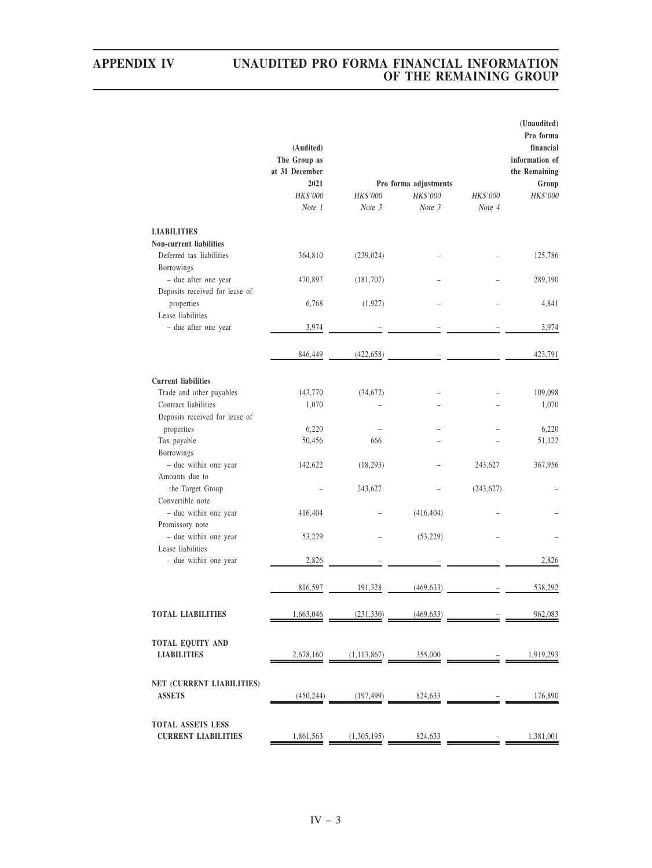|                                            | (Audited)<br>The Group as<br>at 31 December |               |                       |            | (Unaudited)<br>Pro forma<br>financial<br>information of<br>the Remaining |
|--------------------------------------------|---------------------------------------------|---------------|-----------------------|------------|--------------------------------------------------------------------------|
|                                            | 2021                                        |               | Pro forma adjustments |            | Group                                                                    |
|                                            | HK\$'000                                    | HK\$'000      | HK\$'000              | HK\$'000   | HK\$'000                                                                 |
|                                            | Note 1                                      | Note 3        | Note 3                | Note 4     |                                                                          |
| <b>LIABILITIES</b>                         |                                             |               |                       |            |                                                                          |
| Non-current liabilities                    |                                             |               |                       |            |                                                                          |
| Deferred tax liabilities                   | 364,810                                     | (239, 024)    |                       |            | 125,786                                                                  |
| Borrowings                                 |                                             |               |                       |            |                                                                          |
| - due after one year                       | 470,897                                     | (181, 707)    |                       |            | 289,190                                                                  |
| Deposits received for lease of             |                                             |               |                       |            |                                                                          |
| properties                                 | 6,768                                       | (1, 927)      |                       |            | 4,841                                                                    |
| Lease liabilities                          |                                             |               |                       |            |                                                                          |
| - due after one year                       | 3,974                                       |               |                       |            | 3,974                                                                    |
|                                            |                                             |               |                       |            |                                                                          |
|                                            | 846,449                                     | (422, 658)    |                       |            | 423,791                                                                  |
|                                            |                                             |               |                       |            |                                                                          |
| <b>Current liabilities</b>                 |                                             |               |                       |            |                                                                          |
| Trade and other payables                   | 143,770                                     | (34, 672)     |                       |            | 109,098                                                                  |
| Contract liabilities                       | 1,070                                       |               |                       |            | 1,070                                                                    |
| Deposits received for lease of             |                                             |               |                       |            |                                                                          |
| properties                                 | 6,220                                       |               |                       |            | 6,220                                                                    |
| Tax payable                                | 50,456                                      | 666           |                       |            | 51,122                                                                   |
| Borrowings                                 |                                             |               |                       |            |                                                                          |
| - due within one year                      | 142,622                                     | (18, 293)     |                       | 243,627    | 367,956                                                                  |
| Amounts due to                             |                                             |               |                       |            |                                                                          |
| the Target Group                           |                                             | 243,627       |                       | (243, 627) |                                                                          |
| Convertible note                           |                                             |               |                       |            |                                                                          |
| - due within one year                      | 416,404                                     |               | (416, 404)            |            |                                                                          |
| Promissory note                            |                                             |               |                       |            |                                                                          |
| - due within one year                      | 53,229                                      |               | (53, 229)             |            |                                                                          |
| Lease liabilities                          |                                             |               |                       |            |                                                                          |
| - due within one year                      | 2,826                                       |               |                       |            | 2,826                                                                    |
|                                            |                                             |               |                       |            |                                                                          |
|                                            |                                             |               |                       |            |                                                                          |
|                                            | 816,597                                     | 191,328       | (469, 633)            |            | 538,292                                                                  |
|                                            |                                             |               |                       |            |                                                                          |
| <b>TOTAL LIABILITIES</b>                   | 1,663,046                                   | (231, 330)    | (469, 633)            |            | 962,083                                                                  |
|                                            |                                             |               |                       |            |                                                                          |
| TOTAL EQUITY AND                           |                                             |               |                       |            |                                                                          |
| <b>LIABILITIES</b>                         | 2,678,160                                   | (1, 113, 867) | 355,000               |            | 1,919,293                                                                |
|                                            |                                             |               |                       |            |                                                                          |
|                                            |                                             |               |                       |            |                                                                          |
| NET (CURRENT LIABILITIES)<br><b>ASSETS</b> |                                             |               |                       |            | 176,890                                                                  |
|                                            | (450, 244)                                  | (197, 499)    | 824,633               |            |                                                                          |
|                                            |                                             |               |                       |            |                                                                          |
| TOTAL ASSETS LESS                          |                                             |               |                       |            |                                                                          |
| <b>CURRENT LIABILITIES</b>                 | 1,861,563                                   | (1,305,195)   | 824,633               |            | 1,381,001                                                                |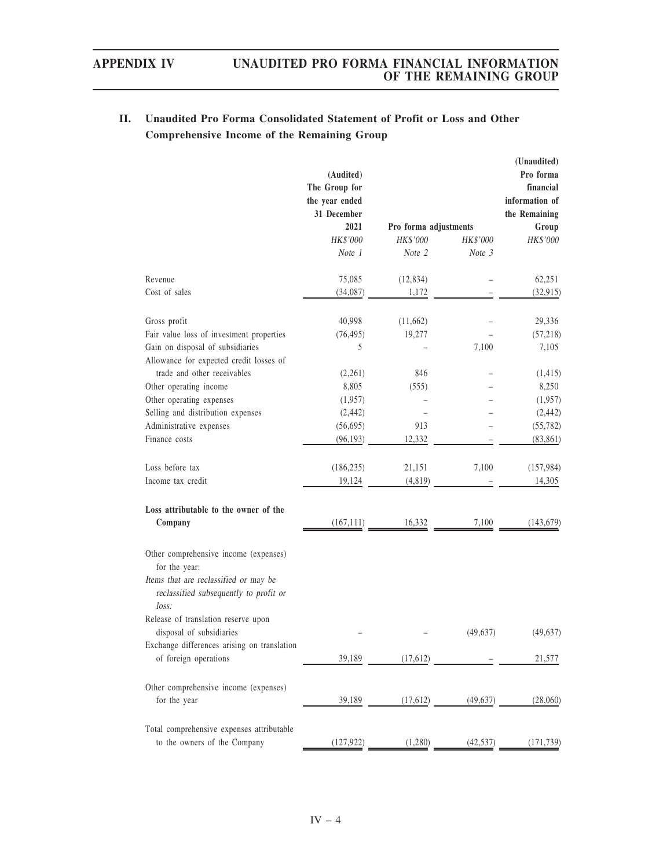# II. Unaudited Pro Forma Consolidated Statement of Profit or Loss and Other Comprehensive Income of the Remaining Group

|                                                                                                                                                    | (Audited)<br>The Group for<br>the year ended<br>31 December |                       |           | (Unaudited)<br>Pro forma<br>financial<br>information of<br>the Remaining |
|----------------------------------------------------------------------------------------------------------------------------------------------------|-------------------------------------------------------------|-----------------------|-----------|--------------------------------------------------------------------------|
|                                                                                                                                                    | 2021                                                        | Pro forma adjustments |           | Group                                                                    |
|                                                                                                                                                    | HK\$'000                                                    | HK\$'000              | HK\$'000  | HK\$'000                                                                 |
|                                                                                                                                                    | Note 1                                                      | Note 2                | Note 3    |                                                                          |
| Revenue                                                                                                                                            | 75,085                                                      | (12, 834)             |           | 62,251                                                                   |
| Cost of sales                                                                                                                                      | (34,087)                                                    | 1,172                 |           | (32, 915)                                                                |
| Gross profit                                                                                                                                       | 40,998                                                      | (11,662)              |           | 29,336                                                                   |
| Fair value loss of investment properties                                                                                                           | (76, 495)                                                   | 19,277                |           | (57, 218)                                                                |
| Gain on disposal of subsidiaries<br>Allowance for expected credit losses of                                                                        | 5                                                           |                       | 7,100     | 7,105                                                                    |
| trade and other receivables                                                                                                                        | (2,261)                                                     | 846                   |           | (1, 415)                                                                 |
| Other operating income                                                                                                                             | 8,805                                                       | (555)                 |           | 8,250                                                                    |
| Other operating expenses                                                                                                                           | (1,957)                                                     |                       |           | (1,957)                                                                  |
| Selling and distribution expenses                                                                                                                  | (2, 442)                                                    |                       |           | (2, 442)                                                                 |
| Administrative expenses                                                                                                                            | (56, 695)                                                   | 913                   |           | (55, 782)                                                                |
| Finance costs                                                                                                                                      | (96, 193)                                                   | 12,332                |           | (83, 861)                                                                |
|                                                                                                                                                    |                                                             |                       |           |                                                                          |
| Loss before tax                                                                                                                                    | (186, 235)                                                  | 21,151                | 7,100     | (157, 984)                                                               |
| Income tax credit                                                                                                                                  | 19,124                                                      | (4, 819)              |           | 14,305                                                                   |
| Loss attributable to the owner of the                                                                                                              |                                                             |                       |           |                                                                          |
| Company                                                                                                                                            | (167, 111)                                                  | 16,332                | 7,100     | (143, 679)                                                               |
| Other comprehensive income (expenses)<br>for the year:<br>Items that are reclassified or may be<br>reclassified subsequently to profit or<br>loss: |                                                             |                       |           |                                                                          |
| Release of translation reserve upon<br>disposal of subsidiaries                                                                                    |                                                             |                       | (49, 637) | (49, 637)                                                                |
| Exchange differences arising on translation                                                                                                        |                                                             |                       |           |                                                                          |
| of foreign operations                                                                                                                              | 39,189                                                      | (17,612)              |           | 21,577                                                                   |
| Other comprehensive income (expenses)<br>for the year                                                                                              | 39,189                                                      | (17,612)              | (49, 637) | (28,060)                                                                 |
| Total comprehensive expenses attributable                                                                                                          |                                                             |                       |           |                                                                          |
| to the owners of the Company                                                                                                                       | (127, 922)                                                  | (1,280)               | (42, 537) | (171, 739)                                                               |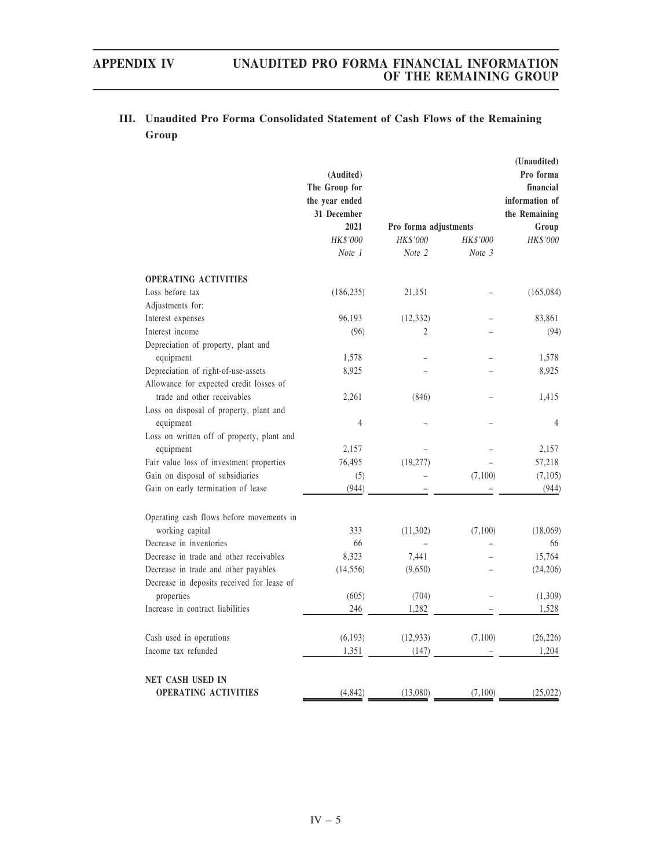# III. Unaudited Pro Forma Consolidated Statement of Cash Flows of the Remaining Group

|                                            | (Audited)<br>The Group for<br>the year ended<br>31 December |                       |                 | (Unaudited)<br>Pro forma<br>financial<br>information of<br>the Remaining |
|--------------------------------------------|-------------------------------------------------------------|-----------------------|-----------------|--------------------------------------------------------------------------|
|                                            | 2021                                                        | Pro forma adjustments |                 | Group                                                                    |
|                                            | <b>HK\$'000</b>                                             | HK\$'000              | <b>HK\$'000</b> | HK\$'000                                                                 |
|                                            | Note 1                                                      | Note 2                | Note 3          |                                                                          |
| <b>OPERATING ACTIVITIES</b>                |                                                             |                       |                 |                                                                          |
| Loss before tax                            | (186, 235)                                                  | 21,151                |                 | (165,084)                                                                |
| Adjustments for:                           |                                                             |                       |                 |                                                                          |
| Interest expenses                          | 96,193                                                      | (12, 332)             |                 | 83,861                                                                   |
| Interest income                            | (96)                                                        | 2                     |                 | (94)                                                                     |
| Depreciation of property, plant and        |                                                             |                       |                 |                                                                          |
| equipment                                  | 1,578                                                       |                       |                 | 1,578                                                                    |
| Depreciation of right-of-use-assets        | 8,925                                                       |                       |                 | 8,925                                                                    |
| Allowance for expected credit losses of    |                                                             |                       |                 |                                                                          |
| trade and other receivables                | 2,261                                                       | (846)                 |                 | 1,415                                                                    |
| Loss on disposal of property, plant and    |                                                             |                       |                 |                                                                          |
| equipment                                  | 4                                                           |                       |                 | $\overline{4}$                                                           |
| Loss on written off of property, plant and |                                                             |                       |                 |                                                                          |
| equipment                                  | 2,157                                                       |                       |                 | 2,157                                                                    |
| Fair value loss of investment properties   | 76,495                                                      | (19,277)              |                 | 57,218                                                                   |
| Gain on disposal of subsidiaries           | (5)                                                         |                       | (7,100)         | (7,105)                                                                  |
| Gain on early termination of lease         | (944)                                                       |                       |                 | (944)                                                                    |
| Operating cash flows before movements in   |                                                             |                       |                 |                                                                          |
| working capital                            | 333                                                         | (11,302)              | (7,100)         | (18,069)                                                                 |
| Decrease in inventories                    | 66                                                          |                       |                 | 66                                                                       |
| Decrease in trade and other receivables    | 8,323                                                       | 7,441                 |                 | 15,764                                                                   |
| Decrease in trade and other payables       | (14, 556)                                                   | (9,650)               |                 | (24, 206)                                                                |
| Decrease in deposits received for lease of |                                                             |                       |                 |                                                                          |
| properties                                 | (605)                                                       | (704)                 |                 | (1,309)                                                                  |
| Increase in contract liabilities           | 246                                                         | 1,282                 |                 | 1,528                                                                    |
| Cash used in operations                    | (6,193)                                                     | (12, 933)             | (7,100)         | (26, 226)                                                                |
| Income tax refunded                        | 1,351                                                       | (147)                 |                 | 1,204                                                                    |
| NET CASH USED IN                           |                                                             |                       |                 |                                                                          |
| <b>OPERATING ACTIVITIES</b>                | (4, 842)                                                    | (13,080)              | (7,100)         | (25, 022)                                                                |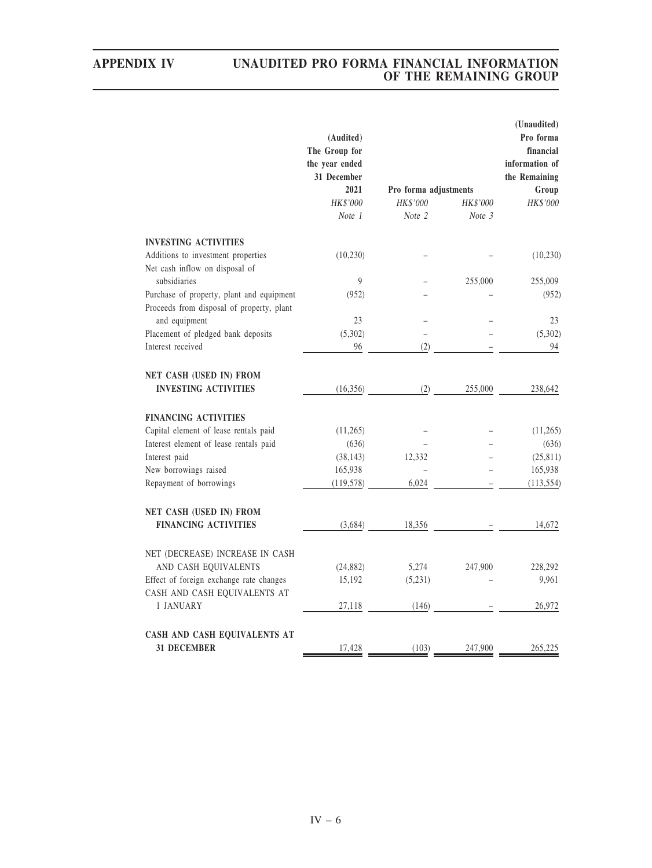|                                                                                        | (Audited)<br>The Group for<br>the year ended |                       |                    | (Unaudited)<br>Pro forma<br>financial<br>information of<br>the Remaining |
|----------------------------------------------------------------------------------------|----------------------------------------------|-----------------------|--------------------|--------------------------------------------------------------------------|
|                                                                                        | 31 December<br>2021                          |                       |                    |                                                                          |
|                                                                                        |                                              | Pro forma adjustments |                    | Group                                                                    |
|                                                                                        | HK\$'000<br>Note 1                           | HK\$'000<br>Note 2    | HK\$'000<br>Note 3 | HK\$'000                                                                 |
| <b>INVESTING ACTIVITIES</b>                                                            |                                              |                       |                    |                                                                          |
| Additions to investment properties<br>Net cash inflow on disposal of                   | (10,230)                                     |                       |                    | (10, 230)                                                                |
| subsidiaries                                                                           | $\overline{9}$                               |                       | 255,000            | 255,009                                                                  |
| Purchase of property, plant and equipment<br>Proceeds from disposal of property, plant | (952)                                        |                       |                    | (952)                                                                    |
| and equipment                                                                          | 23                                           |                       |                    | 23                                                                       |
| Placement of pledged bank deposits                                                     | (5,302)                                      |                       |                    | (5,302)                                                                  |
| Interest received                                                                      | 96                                           | (2)                   |                    | 94                                                                       |
| NET CASH (USED IN) FROM<br><b>INVESTING ACTIVITIES</b>                                 | (16,356)                                     | (2)                   | 255,000            | 238,642                                                                  |
| <b>FINANCING ACTIVITIES</b>                                                            |                                              |                       |                    |                                                                          |
| Capital element of lease rentals paid                                                  | (11,265)                                     |                       |                    | (11,265)                                                                 |
| Interest element of lease rentals paid                                                 | (636)                                        |                       |                    | (636)                                                                    |
| Interest paid                                                                          | (38, 143)                                    | 12,332                |                    | (25, 811)                                                                |
| New borrowings raised                                                                  | 165,938                                      |                       |                    | 165,938                                                                  |
| Repayment of borrowings                                                                | (119, 578)                                   | 6,024                 |                    | (113, 554)                                                               |
| NET CASH (USED IN) FROM                                                                |                                              |                       |                    |                                                                          |
| <b>FINANCING ACTIVITIES</b>                                                            | (3,684)                                      | 18,356                |                    | 14,672                                                                   |
| NET (DECREASE) INCREASE IN CASH                                                        |                                              |                       |                    |                                                                          |
| AND CASH EQUIVALENTS                                                                   | (24, 882)                                    | 5,274                 | 247,900            | 228,292                                                                  |
| Effect of foreign exchange rate changes                                                | 15,192                                       | (5,231)               |                    | 9,961                                                                    |
| CASH AND CASH EQUIVALENTS AT                                                           |                                              |                       |                    |                                                                          |
| 1 JANUARY                                                                              | 27,118                                       | (146)                 |                    | 26,972                                                                   |
| CASH AND CASH EQUIVALENTS AT                                                           |                                              |                       |                    |                                                                          |
| <b>31 DECEMBER</b>                                                                     | 17,428                                       | (103)                 | 247,900            | 265,225                                                                  |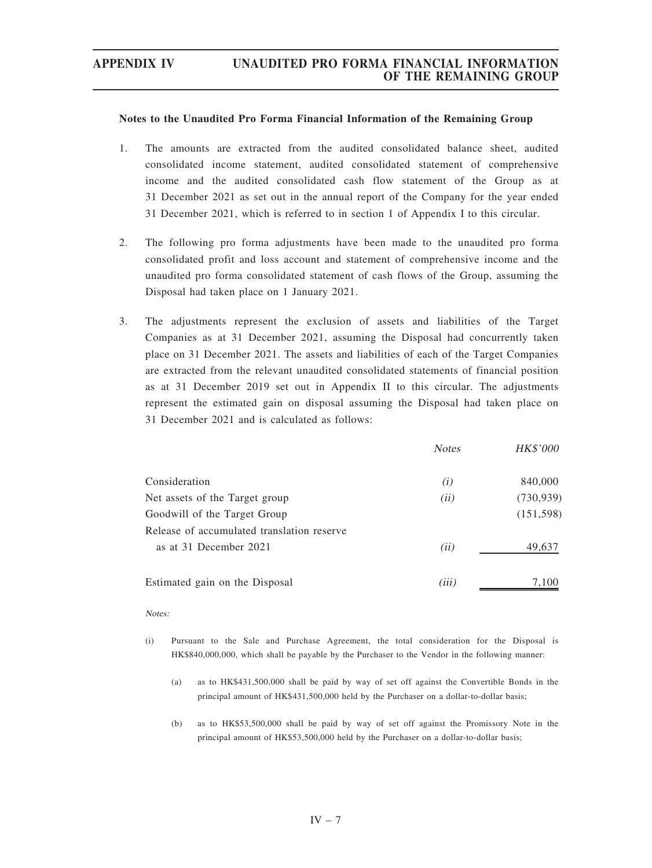### Notes to the Unaudited Pro Forma Financial Information of the Remaining Group

- 1. The amounts are extracted from the audited consolidated balance sheet, audited consolidated income statement, audited consolidated statement of comprehensive income and the audited consolidated cash flow statement of the Group as at 31 December 2021 as set out in the annual report of the Company for the year ended 31 December 2021, which is referred to in section 1 of Appendix I to this circular.
- 2. The following pro forma adjustments have been made to the unaudited pro forma consolidated profit and loss account and statement of comprehensive income and the unaudited pro forma consolidated statement of cash flows of the Group, assuming the Disposal had taken place on 1 January 2021.
- 3. The adjustments represent the exclusion of assets and liabilities of the Target Companies as at 31 December 2021, assuming the Disposal had concurrently taken place on 31 December 2021. The assets and liabilities of each of the Target Companies are extracted from the relevant unaudited consolidated statements of financial position as at 31 December 2019 set out in Appendix II to this circular. The adjustments represent the estimated gain on disposal assuming the Disposal had taken place on 31 December 2021 and is calculated as follows:

|                                            | <b>Notes</b> | HK\$'000   |
|--------------------------------------------|--------------|------------|
| Consideration                              | (i)          | 840,000    |
| Net assets of the Target group             | (ii)         | (730, 939) |
| Goodwill of the Target Group               |              | (151, 598) |
| Release of accumulated translation reserve |              |            |
| as at 31 December 2021                     | (ii)         | 49,637     |
| Estimated gain on the Disposal             | (iii)        | 7,100      |

### Notes:

- (i) Pursuant to the Sale and Purchase Agreement, the total consideration for the Disposal is HK\$840,000,000, which shall be payable by the Purchaser to the Vendor in the following manner:
	- (a) as to HK\$431,500,000 shall be paid by way of set off against the Convertible Bonds in the principal amount of HK\$431,500,000 held by the Purchaser on a dollar-to-dollar basis;
	- (b) as to HK\$53,500,000 shall be paid by way of set off against the Promissory Note in the principal amount of HK\$53,500,000 held by the Purchaser on a dollar-to-dollar basis;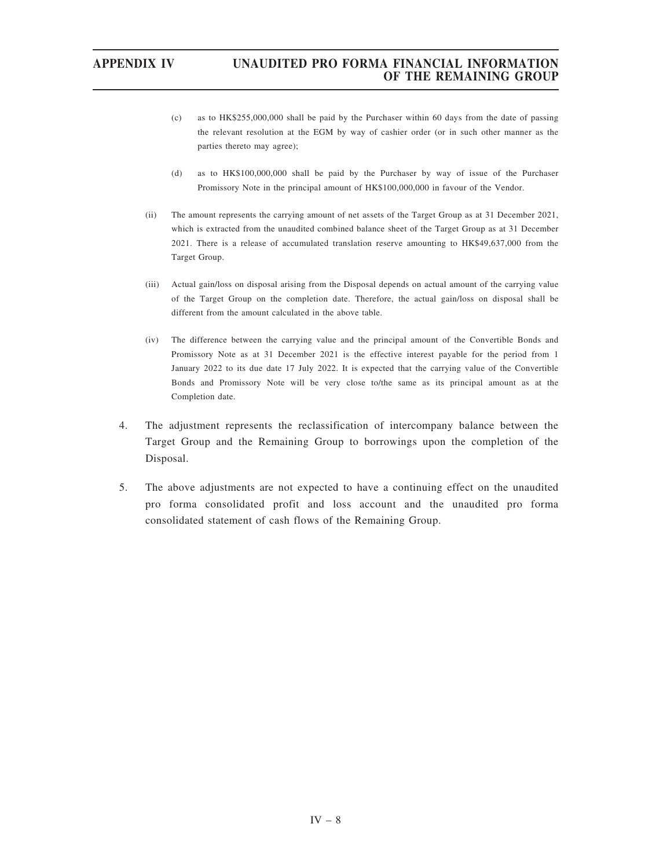- (c) as to HK\$255,000,000 shall be paid by the Purchaser within 60 days from the date of passing the relevant resolution at the EGM by way of cashier order (or in such other manner as the parties thereto may agree);
- (d) as to HK\$100,000,000 shall be paid by the Purchaser by way of issue of the Purchaser Promissory Note in the principal amount of HK\$100,000,000 in favour of the Vendor.
- (ii) The amount represents the carrying amount of net assets of the Target Group as at 31 December 2021, which is extracted from the unaudited combined balance sheet of the Target Group as at 31 December 2021. There is a release of accumulated translation reserve amounting to HK\$49,637,000 from the Target Group.
- (iii) Actual gain/loss on disposal arising from the Disposal depends on actual amount of the carrying value of the Target Group on the completion date. Therefore, the actual gain/loss on disposal shall be different from the amount calculated in the above table.
- (iv) The difference between the carrying value and the principal amount of the Convertible Bonds and Promissory Note as at 31 December 2021 is the effective interest payable for the period from 1 January 2022 to its due date 17 July 2022. It is expected that the carrying value of the Convertible Bonds and Promissory Note will be very close to/the same as its principal amount as at the Completion date.
- 4. The adjustment represents the reclassification of intercompany balance between the Target Group and the Remaining Group to borrowings upon the completion of the Disposal.
- 5. The above adjustments are not expected to have a continuing effect on the unaudited pro forma consolidated profit and loss account and the unaudited pro forma consolidated statement of cash flows of the Remaining Group.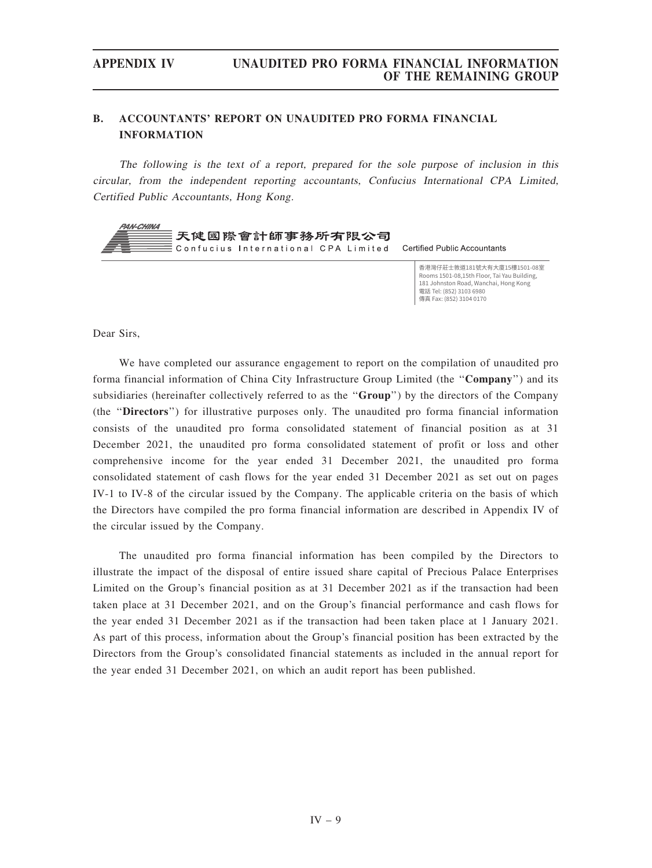# B. ACCOUNTANTS' REPORT ON UNAUDITED PRO FORMA FINANCIAL INFORMATION

The following is the text of <sup>a</sup> report, prepared for the sole purpose of inclusion in this circular, from the independent reporting accountants, Confucius International CPA Limited, Certified Public Accountants, Hong Kong.



香港灣仔莊十敦道181號大有大廈15樓1501-08室 Rooms 1501-08.15th Floor, Tai Yau Building, 181 Johnston Road, Wanchai, Hong Kong 電話 Tel: (852) 3103 6980 傳真 Fax: (852) 3104 0170

Dear Sirs,

We have completed our assurance engagement to report on the compilation of unaudited pro forma financial information of China City Infrastructure Group Limited (the "Company") and its subsidiaries (hereinafter collectively referred to as the "Group") by the directors of the Company (the ''Directors'') for illustrative purposes only. The unaudited pro forma financial information consists of the unaudited pro forma consolidated statement of financial position as at 31 December 2021, the unaudited pro forma consolidated statement of profit or loss and other comprehensive income for the year ended 31 December 2021, the unaudited pro forma consolidated statement of cash flows for the year ended 31 December 2021 as set out on pages IV-1 to IV-8 of the circular issued by the Company. The applicable criteria on the basis of which the Directors have compiled the pro forma financial information are described in Appendix IV of the circular issued by the Company.

The unaudited pro forma financial information has been compiled by the Directors to illustrate the impact of the disposal of entire issued share capital of Precious Palace Enterprises Limited on the Group's financial position as at 31 December 2021 as if the transaction had been taken place at 31 December 2021, and on the Group's financial performance and cash flows for the year ended 31 December 2021 as if the transaction had been taken place at 1 January 2021. As part of this process, information about the Group's financial position has been extracted by the Directors from the Group's consolidated financial statements as included in the annual report for the year ended 31 December 2021, on which an audit report has been published.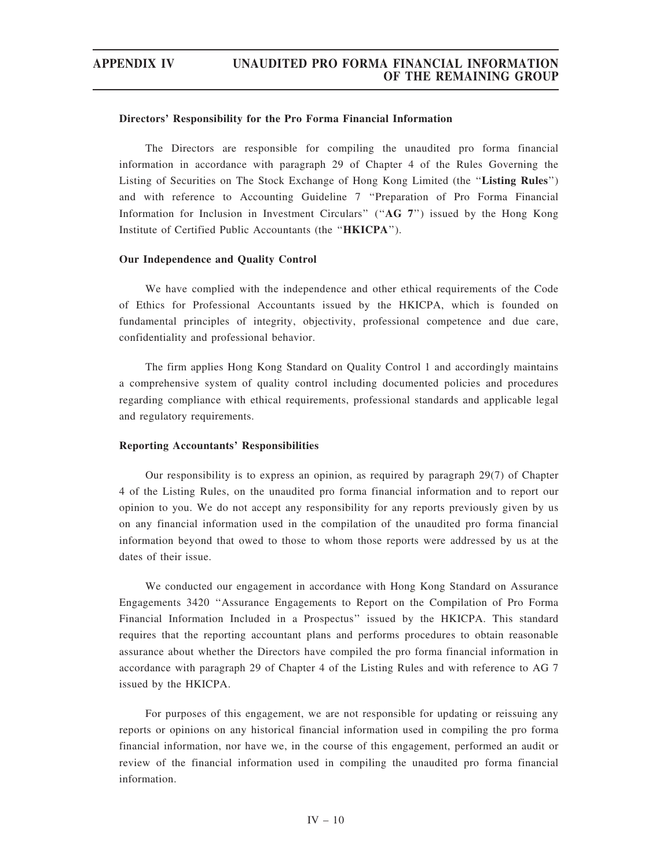### Directors' Responsibility for the Pro Forma Financial Information

The Directors are responsible for compiling the unaudited pro forma financial information in accordance with paragraph 29 of Chapter 4 of the Rules Governing the Listing of Securities on The Stock Exchange of Hong Kong Limited (the "Listing Rules") and with reference to Accounting Guideline 7 ''Preparation of Pro Forma Financial Information for Inclusion in Investment Circulars'' (''AG 7'') issued by the Hong Kong Institute of Certified Public Accountants (the ''HKICPA'').

### Our Independence and Quality Control

We have complied with the independence and other ethical requirements of the Code of Ethics for Professional Accountants issued by the HKICPA, which is founded on fundamental principles of integrity, objectivity, professional competence and due care, confidentiality and professional behavior.

The firm applies Hong Kong Standard on Quality Control 1 and accordingly maintains a comprehensive system of quality control including documented policies and procedures regarding compliance with ethical requirements, professional standards and applicable legal and regulatory requirements.

### Reporting Accountants' Responsibilities

Our responsibility is to express an opinion, as required by paragraph 29(7) of Chapter 4 of the Listing Rules, on the unaudited pro forma financial information and to report our opinion to you. We do not accept any responsibility for any reports previously given by us on any financial information used in the compilation of the unaudited pro forma financial information beyond that owed to those to whom those reports were addressed by us at the dates of their issue.

We conducted our engagement in accordance with Hong Kong Standard on Assurance Engagements 3420 ''Assurance Engagements to Report on the Compilation of Pro Forma Financial Information Included in a Prospectus'' issued by the HKICPA. This standard requires that the reporting accountant plans and performs procedures to obtain reasonable assurance about whether the Directors have compiled the pro forma financial information in accordance with paragraph 29 of Chapter 4 of the Listing Rules and with reference to AG 7 issued by the HKICPA.

For purposes of this engagement, we are not responsible for updating or reissuing any reports or opinions on any historical financial information used in compiling the pro forma financial information, nor have we, in the course of this engagement, performed an audit or review of the financial information used in compiling the unaudited pro forma financial information.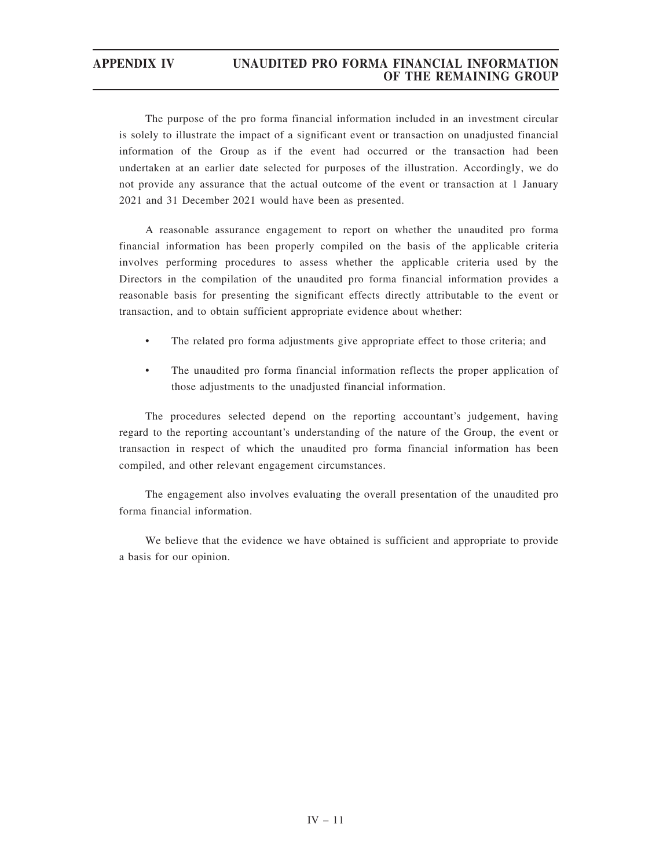The purpose of the pro forma financial information included in an investment circular is solely to illustrate the impact of a significant event or transaction on unadjusted financial information of the Group as if the event had occurred or the transaction had been undertaken at an earlier date selected for purposes of the illustration. Accordingly, we do not provide any assurance that the actual outcome of the event or transaction at 1 January 2021 and 31 December 2021 would have been as presented.

A reasonable assurance engagement to report on whether the unaudited pro forma financial information has been properly compiled on the basis of the applicable criteria involves performing procedures to assess whether the applicable criteria used by the Directors in the compilation of the unaudited pro forma financial information provides a reasonable basis for presenting the significant effects directly attributable to the event or transaction, and to obtain sufficient appropriate evidence about whether:

- The related pro forma adjustments give appropriate effect to those criteria; and
- The unaudited pro forma financial information reflects the proper application of those adjustments to the unadjusted financial information.

The procedures selected depend on the reporting accountant's judgement, having regard to the reporting accountant's understanding of the nature of the Group, the event or transaction in respect of which the unaudited pro forma financial information has been compiled, and other relevant engagement circumstances.

The engagement also involves evaluating the overall presentation of the unaudited pro forma financial information.

We believe that the evidence we have obtained is sufficient and appropriate to provide a basis for our opinion.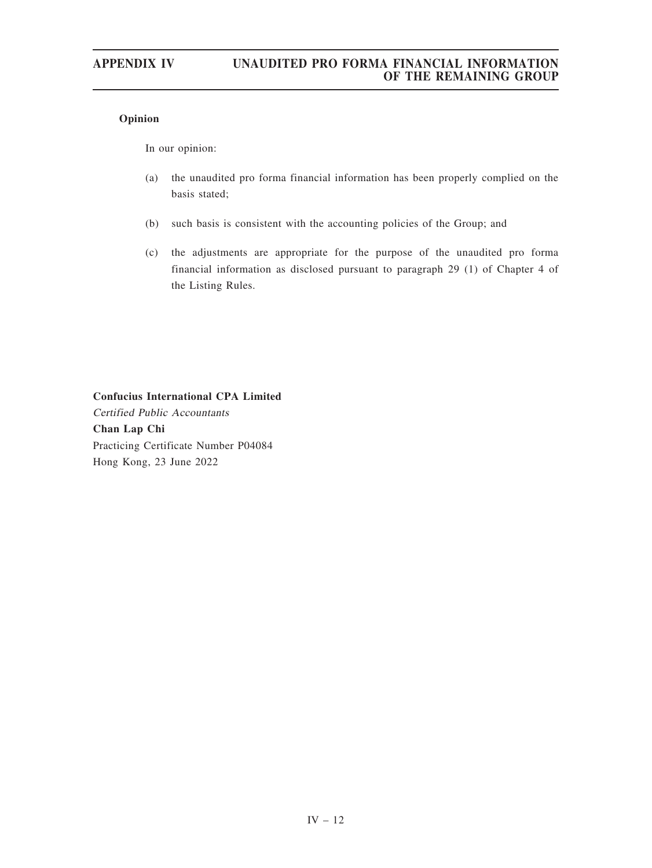# Opinion

In our opinion:

- (a) the unaudited pro forma financial information has been properly complied on the basis stated;
- (b) such basis is consistent with the accounting policies of the Group; and
- (c) the adjustments are appropriate for the purpose of the unaudited pro forma financial information as disclosed pursuant to paragraph 29 (1) of Chapter 4 of the Listing Rules.

Confucius International CPA Limited Certified Public Accountants Chan Lap Chi Practicing Certificate Number P04084 Hong Kong, 23 June 2022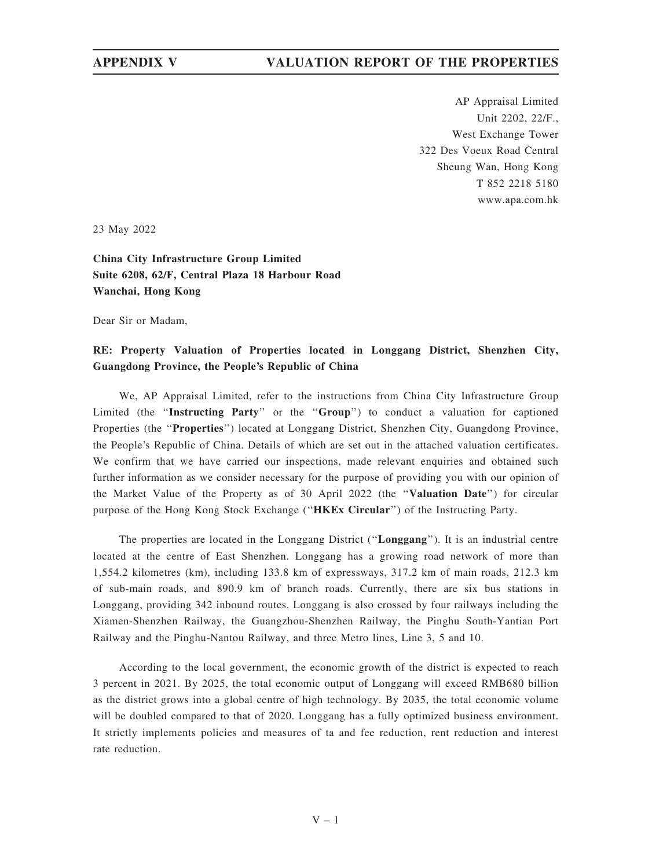AP Appraisal Limited Unit 2202, 22/F., West Exchange Tower 322 Des Voeux Road Central Sheung Wan, Hong Kong T 852 2218 5180 www.apa.com.hk

23 May 2022

China City Infrastructure Group Limited Suite 6208, 62/F, Central Plaza 18 Harbour Road Wanchai, Hong Kong

Dear Sir or Madam,

# RE: Property Valuation of Properties located in Longgang District, Shenzhen City, Guangdong Province, the People's Republic of China

We, AP Appraisal Limited, refer to the instructions from China City Infrastructure Group Limited (the ''Instructing Party'' or the ''Group'') to conduct a valuation for captioned Properties (the ''Properties'') located at Longgang District, Shenzhen City, Guangdong Province, the People's Republic of China. Details of which are set out in the attached valuation certificates. We confirm that we have carried our inspections, made relevant enquiries and obtained such further information as we consider necessary for the purpose of providing you with our opinion of the Market Value of the Property as of 30 April 2022 (the "Valuation Date") for circular purpose of the Hong Kong Stock Exchange ("HKEx Circular") of the Instructing Party.

The properties are located in the Longgang District ("Longgang"). It is an industrial centre located at the centre of East Shenzhen. Longgang has a growing road network of more than 1,554.2 kilometres (km), including 133.8 km of expressways, 317.2 km of main roads, 212.3 km of sub-main roads, and 890.9 km of branch roads. Currently, there are six bus stations in Longgang, providing 342 inbound routes. Longgang is also crossed by four railways including the Xiamen-Shenzhen Railway, the Guangzhou-Shenzhen Railway, the Pinghu South-Yantian Port Railway and the Pinghu-Nantou Railway, and three Metro lines, Line 3, 5 and 10.

According to the local government, the economic growth of the district is expected to reach 3 percent in 2021. By 2025, the total economic output of Longgang will exceed RMB680 billion as the district grows into a global centre of high technology. By 2035, the total economic volume will be doubled compared to that of 2020. Longgang has a fully optimized business environment. It strictly implements policies and measures of ta and fee reduction, rent reduction and interest rate reduction.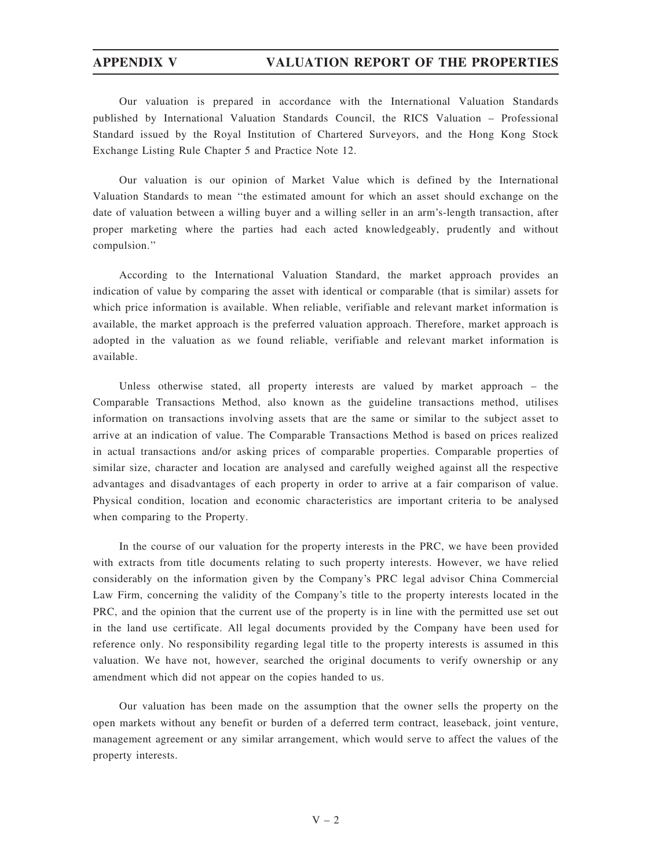Our valuation is prepared in accordance with the International Valuation Standards published by International Valuation Standards Council, the RICS Valuation – Professional Standard issued by the Royal Institution of Chartered Surveyors, and the Hong Kong Stock Exchange Listing Rule Chapter 5 and Practice Note 12.

Our valuation is our opinion of Market Value which is defined by the International Valuation Standards to mean ''the estimated amount for which an asset should exchange on the date of valuation between a willing buyer and a willing seller in an arm's-length transaction, after proper marketing where the parties had each acted knowledgeably, prudently and without compulsion.''

According to the International Valuation Standard, the market approach provides an indication of value by comparing the asset with identical or comparable (that is similar) assets for which price information is available. When reliable, verifiable and relevant market information is available, the market approach is the preferred valuation approach. Therefore, market approach is adopted in the valuation as we found reliable, verifiable and relevant market information is available.

Unless otherwise stated, all property interests are valued by market approach – the Comparable Transactions Method, also known as the guideline transactions method, utilises information on transactions involving assets that are the same or similar to the subject asset to arrive at an indication of value. The Comparable Transactions Method is based on prices realized in actual transactions and/or asking prices of comparable properties. Comparable properties of similar size, character and location are analysed and carefully weighed against all the respective advantages and disadvantages of each property in order to arrive at a fair comparison of value. Physical condition, location and economic characteristics are important criteria to be analysed when comparing to the Property.

In the course of our valuation for the property interests in the PRC, we have been provided with extracts from title documents relating to such property interests. However, we have relied considerably on the information given by the Company's PRC legal advisor China Commercial Law Firm, concerning the validity of the Company's title to the property interests located in the PRC, and the opinion that the current use of the property is in line with the permitted use set out in the land use certificate. All legal documents provided by the Company have been used for reference only. No responsibility regarding legal title to the property interests is assumed in this valuation. We have not, however, searched the original documents to verify ownership or any amendment which did not appear on the copies handed to us.

Our valuation has been made on the assumption that the owner sells the property on the open markets without any benefit or burden of a deferred term contract, leaseback, joint venture, management agreement or any similar arrangement, which would serve to affect the values of the property interests.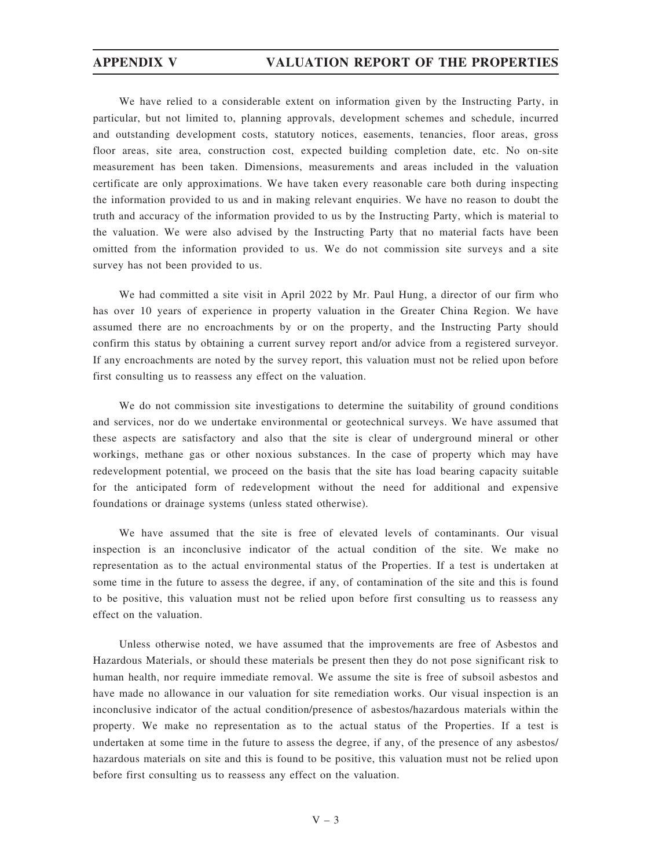We have relied to a considerable extent on information given by the Instructing Party, in particular, but not limited to, planning approvals, development schemes and schedule, incurred and outstanding development costs, statutory notices, easements, tenancies, floor areas, gross floor areas, site area, construction cost, expected building completion date, etc. No on-site measurement has been taken. Dimensions, measurements and areas included in the valuation certificate are only approximations. We have taken every reasonable care both during inspecting the information provided to us and in making relevant enquiries. We have no reason to doubt the truth and accuracy of the information provided to us by the Instructing Party, which is material to the valuation. We were also advised by the Instructing Party that no material facts have been omitted from the information provided to us. We do not commission site surveys and a site survey has not been provided to us.

We had committed a site visit in April 2022 by Mr. Paul Hung, a director of our firm who has over 10 years of experience in property valuation in the Greater China Region. We have assumed there are no encroachments by or on the property, and the Instructing Party should confirm this status by obtaining a current survey report and/or advice from a registered surveyor. If any encroachments are noted by the survey report, this valuation must not be relied upon before first consulting us to reassess any effect on the valuation.

We do not commission site investigations to determine the suitability of ground conditions and services, nor do we undertake environmental or geotechnical surveys. We have assumed that these aspects are satisfactory and also that the site is clear of underground mineral or other workings, methane gas or other noxious substances. In the case of property which may have redevelopment potential, we proceed on the basis that the site has load bearing capacity suitable for the anticipated form of redevelopment without the need for additional and expensive foundations or drainage systems (unless stated otherwise).

We have assumed that the site is free of elevated levels of contaminants. Our visual inspection is an inconclusive indicator of the actual condition of the site. We make no representation as to the actual environmental status of the Properties. If a test is undertaken at some time in the future to assess the degree, if any, of contamination of the site and this is found to be positive, this valuation must not be relied upon before first consulting us to reassess any effect on the valuation.

Unless otherwise noted, we have assumed that the improvements are free of Asbestos and Hazardous Materials, or should these materials be present then they do not pose significant risk to human health, nor require immediate removal. We assume the site is free of subsoil asbestos and have made no allowance in our valuation for site remediation works. Our visual inspection is an inconclusive indicator of the actual condition/presence of asbestos/hazardous materials within the property. We make no representation as to the actual status of the Properties. If a test is undertaken at some time in the future to assess the degree, if any, of the presence of any asbestos/ hazardous materials on site and this is found to be positive, this valuation must not be relied upon before first consulting us to reassess any effect on the valuation.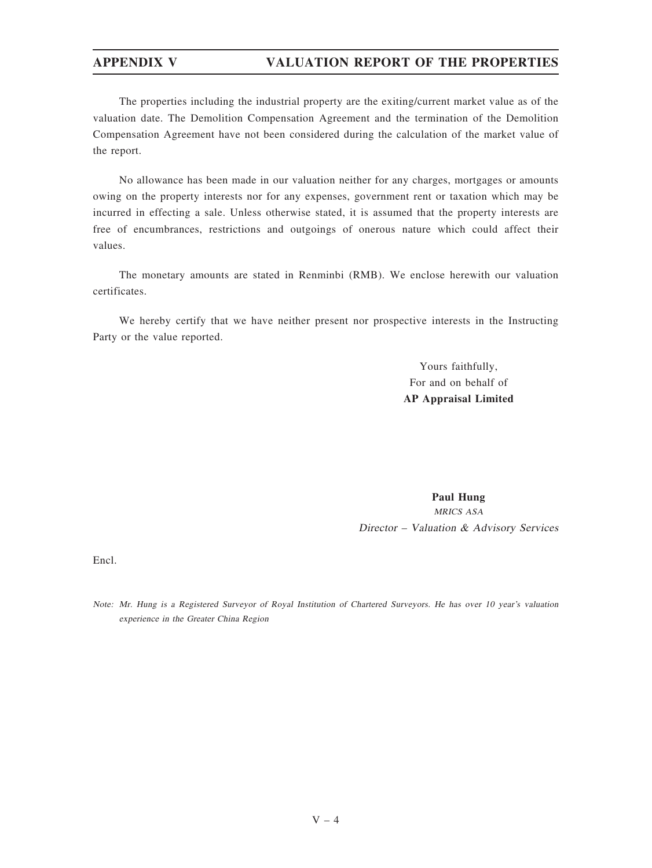The properties including the industrial property are the exiting/current market value as of the valuation date. The Demolition Compensation Agreement and the termination of the Demolition Compensation Agreement have not been considered during the calculation of the market value of the report.

No allowance has been made in our valuation neither for any charges, mortgages or amounts owing on the property interests nor for any expenses, government rent or taxation which may be incurred in effecting a sale. Unless otherwise stated, it is assumed that the property interests are free of encumbrances, restrictions and outgoings of onerous nature which could affect their values.

The monetary amounts are stated in Renminbi (RMB). We enclose herewith our valuation certificates.

We hereby certify that we have neither present nor prospective interests in the Instructing Party or the value reported.

> Yours faithfully, For and on behalf of AP Appraisal Limited

Paul Hung MRICS ASA Director – Valuation & Advisory Services

Encl.

Note: Mr. Hung is <sup>a</sup> Registered Surveyor of Royal Institution of Chartered Surveyors. He has over 10 year'<sup>s</sup> valuation experience in the Greater China Region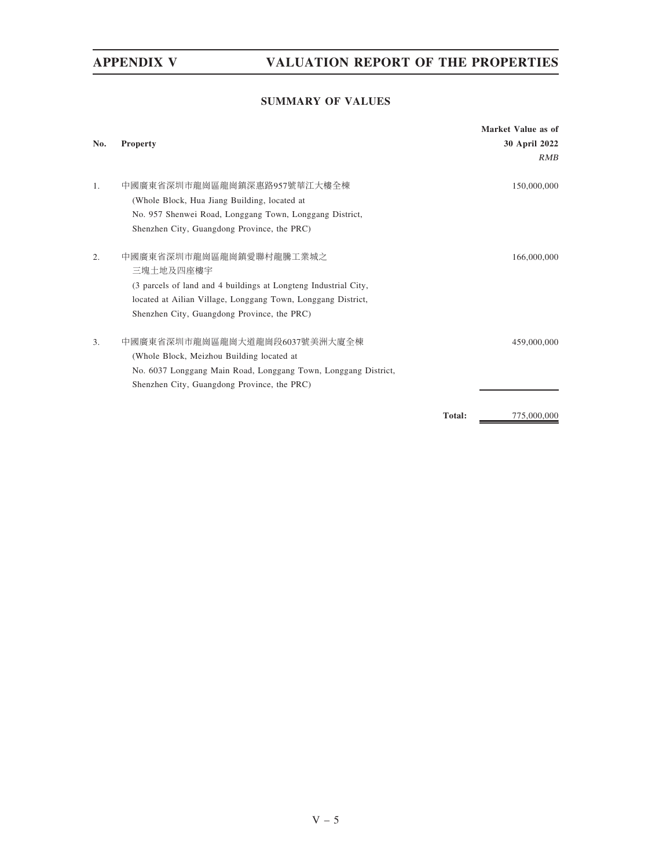# SUMMARY OF VALUES

|                  |                                                                 |               | Market Value as of |
|------------------|-----------------------------------------------------------------|---------------|--------------------|
| No.              | Property                                                        |               | 30 April 2022      |
|                  |                                                                 |               | <b>RMB</b>         |
| 1.               | 中國廣東省深圳市龍崗區龍崗鎮深惠路957號華江大樓全棟                                     |               | 150,000,000        |
|                  | (Whole Block, Hua Jiang Building, located at                    |               |                    |
|                  | No. 957 Shenwei Road, Longgang Town, Longgang District,         |               |                    |
|                  | Shenzhen City, Guangdong Province, the PRC)                     |               |                    |
| $\overline{2}$ . | 中國廣東省深圳市龍崗區龍崗鎮愛聯村龍騰工業城之<br>三塊土地及四座樓宇                            |               | 166,000,000        |
|                  | (3 parcels of land and 4 buildings at Longteng Industrial City, |               |                    |
|                  | located at Ailian Village, Longgang Town, Longgang District,    |               |                    |
|                  | Shenzhen City, Guangdong Province, the PRC)                     |               |                    |
| 3.               | 中國廣東省深圳市龍崗區龍崗大道龍崗段6037號美洲大廈全棟                                   |               | 459,000,000        |
|                  | (Whole Block, Meizhou Building located at                       |               |                    |
|                  | No. 6037 Longgang Main Road, Longgang Town, Longgang District,  |               |                    |
|                  | Shenzhen City, Guangdong Province, the PRC)                     |               |                    |
|                  |                                                                 | <b>Total:</b> | 775,000,000        |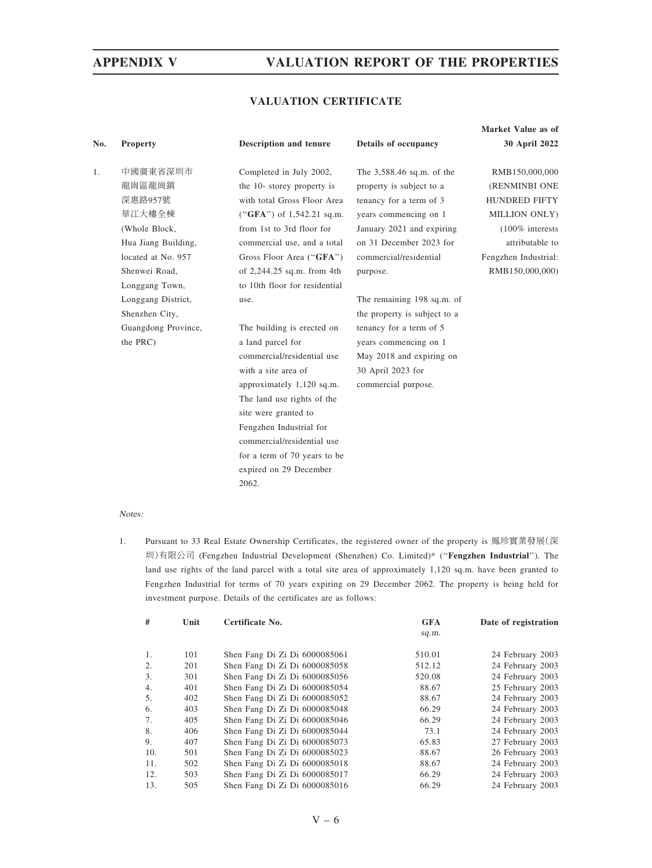# VALUATION CERTIFICATE

|                     |                                                                                 |                                                                                                                                                                                                                                             | Market Value as of                                                                                                                                                            |
|---------------------|---------------------------------------------------------------------------------|---------------------------------------------------------------------------------------------------------------------------------------------------------------------------------------------------------------------------------------------|-------------------------------------------------------------------------------------------------------------------------------------------------------------------------------|
| <b>Property</b>     | Description and tenure                                                          | Details of occupancy                                                                                                                                                                                                                        | 30 April 2022                                                                                                                                                                 |
|                     |                                                                                 |                                                                                                                                                                                                                                             | RMB150,000,000                                                                                                                                                                |
|                     |                                                                                 |                                                                                                                                                                                                                                             | (RENMINBI ONE                                                                                                                                                                 |
|                     |                                                                                 |                                                                                                                                                                                                                                             | <b>HUNDRED FIFTY</b>                                                                                                                                                          |
|                     |                                                                                 |                                                                                                                                                                                                                                             | MILLION ONLY)                                                                                                                                                                 |
|                     |                                                                                 |                                                                                                                                                                                                                                             | $(100\%$ interests                                                                                                                                                            |
|                     |                                                                                 |                                                                                                                                                                                                                                             | attributable to                                                                                                                                                               |
| located at No. 957  |                                                                                 | commercial/residential                                                                                                                                                                                                                      | Fengzhen Industrial:                                                                                                                                                          |
| Shenwei Road,       |                                                                                 |                                                                                                                                                                                                                                             | RMB150,000,000)                                                                                                                                                               |
| Longgang Town,      | to 10th floor for residential                                                   |                                                                                                                                                                                                                                             |                                                                                                                                                                               |
| Longgang District,  | use.                                                                            | The remaining 198 sq.m. of                                                                                                                                                                                                                  |                                                                                                                                                                               |
| Shenzhen City,      |                                                                                 | the property is subject to a                                                                                                                                                                                                                |                                                                                                                                                                               |
| Guangdong Province, | The building is erected on                                                      | tenancy for a term of 5                                                                                                                                                                                                                     |                                                                                                                                                                               |
| the PRC)            | a land parcel for                                                               | years commencing on 1                                                                                                                                                                                                                       |                                                                                                                                                                               |
|                     | commercial/residential use                                                      | May 2018 and expiring on                                                                                                                                                                                                                    |                                                                                                                                                                               |
|                     | with a site area of                                                             | 30 April 2023 for                                                                                                                                                                                                                           |                                                                                                                                                                               |
|                     | approximately 1,120 sq.m.                                                       | commercial purpose.                                                                                                                                                                                                                         |                                                                                                                                                                               |
|                     | The land use rights of the                                                      |                                                                                                                                                                                                                                             |                                                                                                                                                                               |
|                     | site were granted to                                                            |                                                                                                                                                                                                                                             |                                                                                                                                                                               |
|                     | Fengzhen Industrial for                                                         |                                                                                                                                                                                                                                             |                                                                                                                                                                               |
|                     | commercial/residential use                                                      |                                                                                                                                                                                                                                             |                                                                                                                                                                               |
|                     | for a term of 70 years to be                                                    |                                                                                                                                                                                                                                             |                                                                                                                                                                               |
|                     | expired on 29 December                                                          |                                                                                                                                                                                                                                             |                                                                                                                                                                               |
|                     | 2062.                                                                           |                                                                                                                                                                                                                                             |                                                                                                                                                                               |
|                     | 中國廣東省深圳市<br>龍崗區龍崗鎮<br>深惠路957號<br>華江大樓全棟<br>(Whole Block,<br>Hua Jiang Building, | Completed in July 2002,<br>the 10- storey property is<br>with total Gross Floor Area<br>$("GFA")$ of 1,542.21 sq.m.<br>from 1st to 3rd floor for<br>commercial use, and a total<br>Gross Floor Area ("GFA")<br>of $2,244.25$ sq.m. from 4th | The 3,588.46 sq.m. of the<br>property is subject to a<br>tenancy for a term of 3<br>years commencing on 1<br>January 2021 and expiring<br>on 31 December 2023 for<br>purpose. |

### Notes:

1. Pursuant to 33 Real Estate Ownership Certificates, the registered owner of the property is 鳳珍實業發展(深 圳)有限公司 (Fengzhen Industrial Development (Shenzhen) Co. Limited)\* (''Fengzhen Industrial''). The land use rights of the land parcel with a total site area of approximately 1,120 sq.m. have been granted to Fengzhen Industrial for terms of 70 years expiring on 29 December 2062. The property is being held for investment purpose. Details of the certificates are as follows:

| #              | Unit | Certificate No.               | <b>GFA</b> | Date of registration |
|----------------|------|-------------------------------|------------|----------------------|
|                |      |                               | sq.m.      |                      |
| $\mathbf{1}$ . | 101  | Shen Fang Di Zi Di 6000085061 | 510.01     | 24 February 2003     |
| 2.             | 201  | Shen Fang Di Zi Di 6000085058 | 512.12     | 24 February 2003     |
| 3.             | 301  | Shen Fang Di Zi Di 6000085056 | 520.08     | 24 February 2003     |
| 4.             | 401  | Shen Fang Di Zi Di 6000085054 | 88.67      | 25 February 2003     |
| 5.             | 402  | Shen Fang Di Zi Di 6000085052 | 88.67      | 24 February 2003     |
| 6.             | 403  | Shen Fang Di Zi Di 6000085048 | 66.29      | 24 February 2003     |
| 7.             | 405  | Shen Fang Di Zi Di 6000085046 | 66.29      | 24 February 2003     |
| 8.             | 406  | Shen Fang Di Zi Di 6000085044 | 73.1       | 24 February 2003     |
| 9.             | 407  | Shen Fang Di Zi Di 6000085073 | 65.83      | 27 February 2003     |
| 10.            | 501  | Shen Fang Di Zi Di 6000085023 | 88.67      | 26 February 2003     |
| 11.            | 502  | Shen Fang Di Zi Di 6000085018 | 88.67      | 24 February 2003     |
| 12.            | 503  | Shen Fang Di Zi Di 6000085017 | 66.29      | 24 February 2003     |
| 13.            | 505  | Shen Fang Di Zi Di 6000085016 | 66.29      | 24 February 2003     |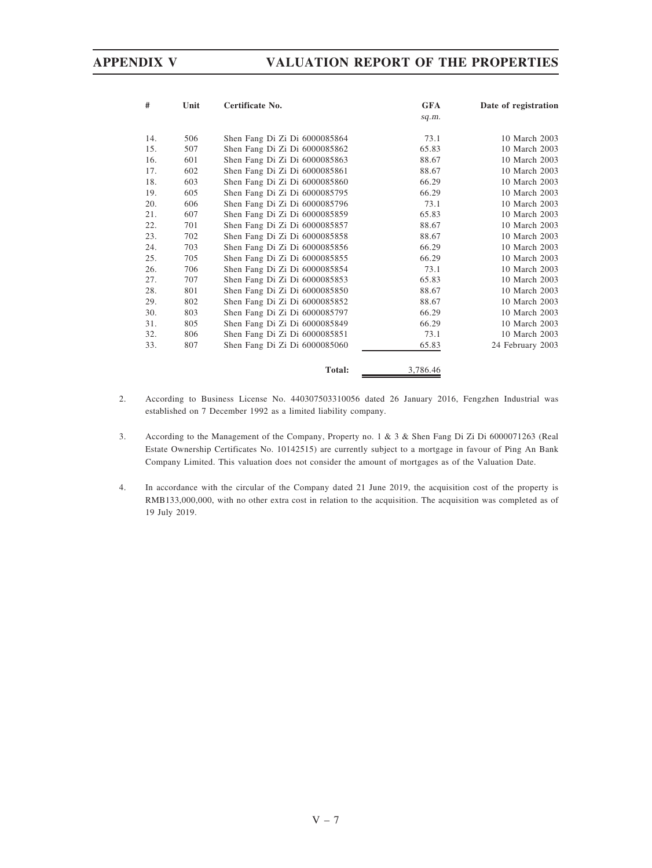| #   | Unit | Certificate No.               | <b>GFA</b> | Date of registration |
|-----|------|-------------------------------|------------|----------------------|
|     |      |                               | sq.m.      |                      |
| 14. | 506  | Shen Fang Di Zi Di 6000085864 | 73.1       | 10 March 2003        |
| 15. | 507  | Shen Fang Di Zi Di 6000085862 | 65.83      | 10 March 2003        |
| 16. | 601  | Shen Fang Di Zi Di 6000085863 | 88.67      | 10 March 2003        |
| 17. | 602  | Shen Fang Di Zi Di 6000085861 | 88.67      | 10 March 2003        |
| 18. | 603  | Shen Fang Di Zi Di 6000085860 | 66.29      | 10 March 2003        |
| 19. | 605  | Shen Fang Di Zi Di 6000085795 | 66.29      | 10 March 2003        |
| 20. | 606  | Shen Fang Di Zi Di 6000085796 | 73.1       | 10 March 2003        |
| 21. | 607  | Shen Fang Di Zi Di 6000085859 | 65.83      | 10 March 2003        |
| 22. | 701  | Shen Fang Di Zi Di 6000085857 | 88.67      | 10 March 2003        |
| 23. | 702  | Shen Fang Di Zi Di 6000085858 | 88.67      | 10 March 2003        |
| 24. | 703  | Shen Fang Di Zi Di 6000085856 | 66.29      | 10 March 2003        |
| 25. | 705  | Shen Fang Di Zi Di 6000085855 | 66.29      | 10 March 2003        |
| 26. | 706  | Shen Fang Di Zi Di 6000085854 | 73.1       | 10 March 2003        |
| 27. | 707  | Shen Fang Di Zi Di 6000085853 | 65.83      | 10 March 2003        |
| 28. | 801  | Shen Fang Di Zi Di 6000085850 | 88.67      | 10 March 2003        |
| 29. | 802  | Shen Fang Di Zi Di 6000085852 | 88.67      | 10 March 2003        |
| 30. | 803  | Shen Fang Di Zi Di 6000085797 | 66.29      | 10 March 2003        |
| 31. | 805  | Shen Fang Di Zi Di 6000085849 | 66.29      | 10 March 2003        |
| 32. | 806  | Shen Fang Di Zi Di 6000085851 | 73.1       | 10 March 2003        |
| 33. | 807  | Shen Fang Di Zi Di 6000085060 | 65.83      | 24 February 2003     |
|     |      | Total:                        | 3,786.46   |                      |

- 2. According to Business License No. 440307503310056 dated 26 January 2016, Fengzhen Industrial was established on 7 December 1992 as a limited liability company.
- 3. According to the Management of the Company, Property no. 1 & 3 & Shen Fang Di Zi Di 6000071263 (Real Estate Ownership Certificates No. 10142515) are currently subject to a mortgage in favour of Ping An Bank Company Limited. This valuation does not consider the amount of mortgages as of the Valuation Date.
- 4. In accordance with the circular of the Company dated 21 June 2019, the acquisition cost of the property is RMB133,000,000, with no other extra cost in relation to the acquisition. The acquisition was completed as of 19 July 2019.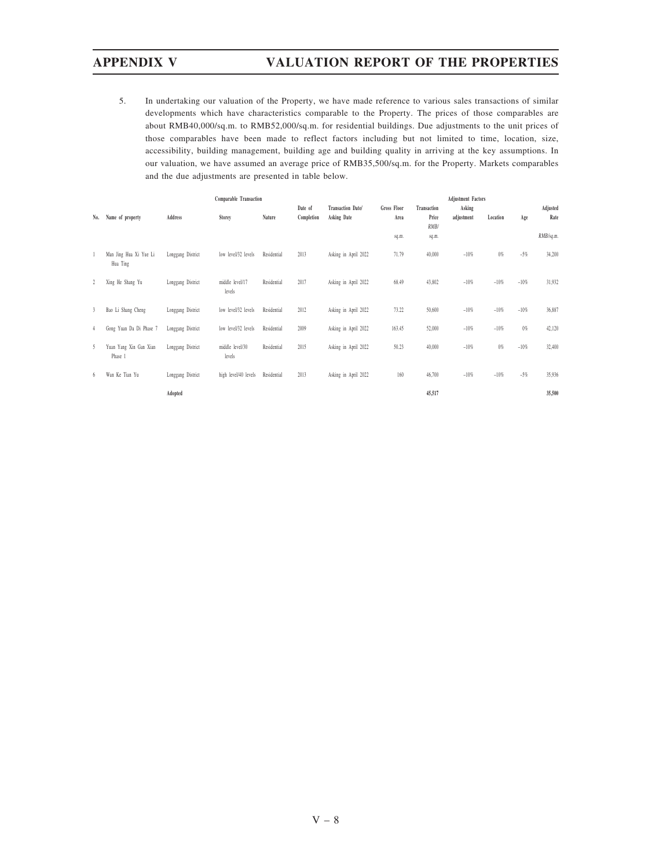5. In undertaking our valuation of the Property, we have made reference to various sales transactions of similar developments which have characteristics comparable to the Property. The prices of those comparables are about RMB40,000/sq.m. to RMB52,000/sq.m. for residential buildings. Due adjustments to the unit prices of those comparables have been made to reflect factors including but not limited to time, location, size, accessibility, building management, building age and building quality in arriving at the key assumptions. In our valuation, we have assumed an average price of RMB35,500/sq.m. for the Property. Markets comparables and the due adjustments are presented in table below.

|     |                                    |                   | Comparable Transaction    |             |                       | <b>Adjustment Factors</b>        |                            |                              |                      |          |        |                  |
|-----|------------------------------------|-------------------|---------------------------|-------------|-----------------------|----------------------------------|----------------------------|------------------------------|----------------------|----------|--------|------------------|
| No. | Name of property                   | <b>Address</b>    | Storey                    | Nature      | Date of<br>Completion | Transaction Date/<br>Asking Date | <b>Gross Floor</b><br>Area | Transaction<br>Price<br>RMB/ | Asking<br>adjustment | Location | Age    | Adjusted<br>Rate |
|     |                                    |                   |                           |             |                       |                                  | sq.m.                      | sq.m.                        |                      |          |        | RMB/sq.m.        |
|     | Man Jing Hua Xi Yue Li<br>Hua Ting | Longgang District | low level/32 levels       | Residential | 2013                  | Asking in April 2022             | 71.79                      | 40,000                       | $-10%$               | $0\%$    | $-5%$  | 34,200           |
| 2   | Xing He Shang Yu                   | Longgang District | middle level/17<br>levels | Residential | 2017                  | Asking in April 2022             | 68.49                      | 43,802                       | $-10%$               | $-10%$   | $-10%$ | 31,932           |
| 3   | Bao Li Shang Cheng                 | Longgang District | low level/32 levels       | Residential | 2012                  | Asking in April 2022             | 73.22                      | 50,600                       | $-10%$               | $-10%$   | $-10%$ | 36,887           |
| 4   | Gong Yuan Da Di Phase 7            | Longgang District | low level/32 levels       | Residential | 2009                  | Asking in April 2022             | 163.45                     | 52,000                       | $-10%$               | $-10%$   | $0\%$  | 42,120           |
| 5   | Yuan Yang Xin Gan Xian<br>Phase 1  | Longgang District | middle level/30<br>levels | Residential | 2015                  | Asking in April 2022             | 50.23                      | 40,000                       | $-10%$               | $0\%$    | $-10%$ | 32,400           |
| 6   | Wan Ke Tian Yu                     | Longgang District | high level/40 levels      | Residential | 2013                  | Asking in April 2022             | 160                        | 46,700                       | $-10%$               | $-10%$   | $-5%$  | 35,936           |
|     |                                    | Adopted           |                           |             |                       |                                  |                            | 45,517                       |                      |          |        | 35,500           |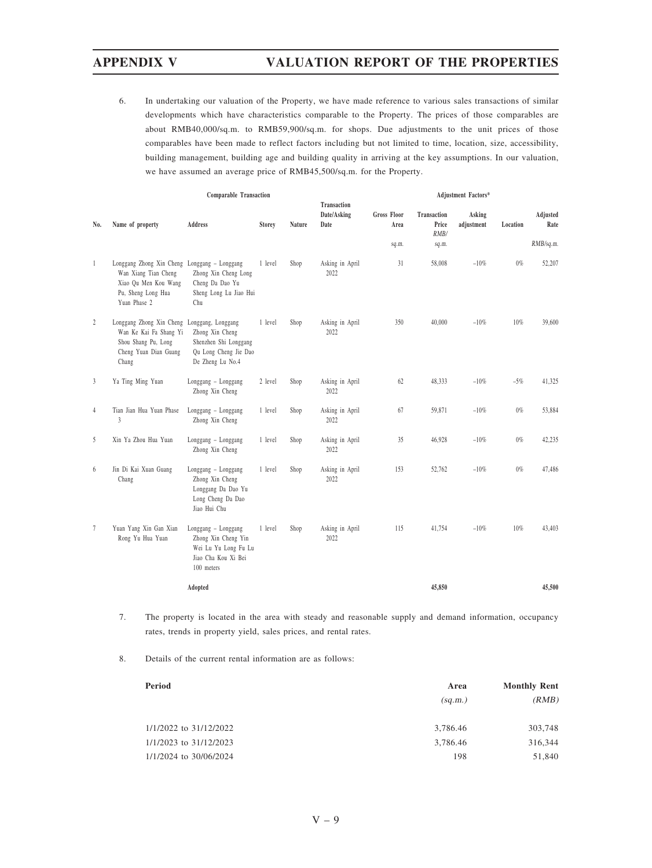6. In undertaking our valuation of the Property, we have made reference to various sales transactions of similar developments which have characteristics comparable to the Property. The prices of those comparables are about RMB40,000/sq.m. to RMB59,900/sq.m. for shops. Due adjustments to the unit prices of those comparables have been made to reflect factors including but not limited to time, location, size, accessibility, building management, building age and building quality in arriving at the key assumptions. In our valuation, we have assumed an average price of RMB45,500/sq.m. for the Property.

|                 |                                                                                                                                    |                                                                                                             | Adjustment Factors* |        |                                           |                            |                                     |                      |          |                  |
|-----------------|------------------------------------------------------------------------------------------------------------------------------------|-------------------------------------------------------------------------------------------------------------|---------------------|--------|-------------------------------------------|----------------------------|-------------------------------------|----------------------|----------|------------------|
| No.             | Name of property                                                                                                                   | Address                                                                                                     | <b>Storey</b>       | Nature | <b>Transaction</b><br>Date/Asking<br>Date | <b>Gross Floor</b><br>Area | <b>Transaction</b><br>Price<br>RMB/ | Asking<br>adjustment | Location | Adjusted<br>Rate |
|                 |                                                                                                                                    |                                                                                                             |                     |        |                                           | sq.m.                      | sq.m.                               |                      |          | RMB/sq.m.        |
| $\mathbf{1}$    | Longgang Zhong Xin Cheng Longgang - Longgang<br>Wan Xiang Tian Cheng<br>Xiao Qu Men Kou Wang<br>Pu, Sheng Long Hua<br>Yuan Phase 2 | Zhong Xin Cheng Long<br>Cheng Da Dao Yu<br>Sheng Long Lu Jiao Hui<br>Chu                                    | 1 level             | Shop   | Asking in April<br>2022                   | 31                         | 58,008                              | $-10%$               | $0\%$    | 52,207           |
| $\sqrt{2}$      | Longgang Zhong Xin Cheng<br>Wan Ke Kai Fa Shang Yi<br>Shou Shang Pu, Long<br>Cheng Yuan Dian Guang<br>Chang                        | Longgang, Longgang<br>Zhong Xin Cheng<br>Shenzhen Shi Longgang<br>Qu Long Cheng Jie Dao<br>De Zheng Lu No.4 | 1 level             | Shop   | Asking in April<br>2022                   | 350                        | 40,000                              | $-10%$               | 10%      | 39,600           |
| 3               | Ya Ting Ming Yuan                                                                                                                  | Longgang - Longgang<br>Zhong Xin Cheng                                                                      | 2 level             | Shop   | Asking in April<br>2022                   | 62                         | 48,333                              | $-10%$               | $-5%$    | 41,325           |
| $\overline{4}$  | Tian Jian Hua Yuan Phase<br>3                                                                                                      | Longgang - Longgang<br>Zhong Xin Cheng                                                                      | 1 level             | Shop   | Asking in April<br>2022                   | 67                         | 59,871                              | $-10%$               | $0\%$    | 53,884           |
| 5               | Xin Ya Zhou Hua Yuan                                                                                                               | Longgang - Longgang<br>Zhong Xin Cheng                                                                      | 1 level             | Shop   | Asking in April<br>2022                   | 35                         | 46,928                              | $-10%$               | $0\%$    | 42,235           |
| 6               | Jin Di Kai Xuan Guang<br>Chang                                                                                                     | Longgang - Longgang<br>Zhong Xin Cheng<br>Longgang Da Dao Yu<br>Long Cheng Da Dao<br>Jiao Hui Chu           | 1 level             | Shop   | Asking in April<br>2022                   | 153                        | 52,762                              | $-10%$               | $0\%$    | 47,486           |
| $7\phantom{.0}$ | Yuan Yang Xin Gan Xian<br>Rong Yu Hua Yuan                                                                                         | Longgang - Longgang<br>Zhong Xin Cheng Yin<br>Wei Lu Yu Long Fu Lu<br>Jiao Cha Kou Xi Bei<br>100 meters     | 1 level             | Shop   | Asking in April<br>2022                   | 115                        | 41,754                              | $-10%$               | 10%      | 43,403           |
|                 |                                                                                                                                    | Adopted                                                                                                     |                     |        |                                           |                            | 45,850                              |                      |          | 45,500           |

- 7. The property is located in the area with steady and reasonable supply and demand information, occupancy rates, trends in property yield, sales prices, and rental rates.
- 8. Details of the current rental information are as follows:

| Period                 | Area     | <b>Monthly Rent</b> |  |  |
|------------------------|----------|---------------------|--|--|
|                        | (sq.m.)  | (RMB)               |  |  |
| 1/1/2022 to 31/12/2022 | 3,786.46 | 303,748             |  |  |
| 1/1/2023 to 31/12/2023 | 3,786.46 | 316,344             |  |  |
| 1/1/2024 to 30/06/2024 | 198      | 51,840              |  |  |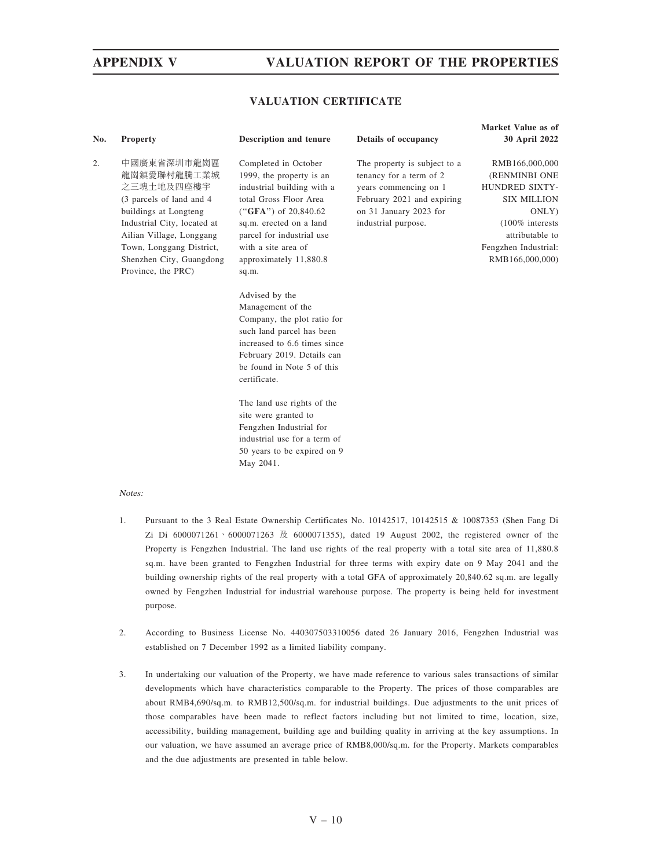### VALUATION CERTIFICATE

| No. | <b>Property</b>                                                                                                                                                                                                                         | Description and tenure                                                                                                                                                                                                                               | Details of occupancy                                                                                                                                            | Market Value as of<br>30 April 2022                                                                                                                                         |
|-----|-----------------------------------------------------------------------------------------------------------------------------------------------------------------------------------------------------------------------------------------|------------------------------------------------------------------------------------------------------------------------------------------------------------------------------------------------------------------------------------------------------|-----------------------------------------------------------------------------------------------------------------------------------------------------------------|-----------------------------------------------------------------------------------------------------------------------------------------------------------------------------|
| 2.  | 中國廣東省深圳市龍崗區<br>龍崗鎮愛聯村龍騰工業城<br>之三塊土地及四座樓宇<br>(3 parcels of land and 4)<br>buildings at Longteng<br>Industrial City, located at<br>Ailian Village, Longgang<br>Town, Longgang District,<br>Shenzhen City, Guangdong<br>Province, the PRC) | Completed in October<br>1999, the property is an<br>industrial building with a<br>total Gross Floor Area<br>("GFA") of $20,840.62$<br>sq.m. erected on a land<br>parcel for industrial use<br>with a site area of<br>approximately 11,880.8<br>sq.m. | The property is subject to a<br>tenancy for a term of 2<br>years commencing on 1<br>February 2021 and expiring<br>on 31 January 2023 for<br>industrial purpose. | RMB166,000,000<br>(RENMINBI ONE<br><b>HUNDRED SIXTY-</b><br><b>SIX MILLION</b><br>ONLY)<br>$(100\%$ interests<br>attributable to<br>Fengzhen Industrial:<br>RMB166,000,000) |
|     |                                                                                                                                                                                                                                         | Advised by the<br>Management of the<br>Company, the plot ratio for<br>such land parcel has been<br>increased to 6.6 times since<br>February 2019. Details can<br>be found in Note 5 of this<br>certificate.                                          |                                                                                                                                                                 |                                                                                                                                                                             |
|     |                                                                                                                                                                                                                                         | The land use rights of the<br>site were granted to                                                                                                                                                                                                   |                                                                                                                                                                 |                                                                                                                                                                             |

Fengzhen Industrial for industrial use for a term of 50 years to be expired on 9

May 2041.

### Notes:

- 1. Pursuant to the 3 Real Estate Ownership Certificates No. 10142517, 10142515 & 10087353 (Shen Fang Di Zi Di  $6000071261 \cdot 6000071263$   $\&$   $6000071355$ ), dated 19 August 2002, the registered owner of the Property is Fengzhen Industrial. The land use rights of the real property with a total site area of 11,880.8 sq.m. have been granted to Fengzhen Industrial for three terms with expiry date on 9 May 2041 and the building ownership rights of the real property with a total GFA of approximately 20,840.62 sq.m. are legally owned by Fengzhen Industrial for industrial warehouse purpose. The property is being held for investment purpose.
- 2. According to Business License No. 440307503310056 dated 26 January 2016, Fengzhen Industrial was established on 7 December 1992 as a limited liability company.
- 3. In undertaking our valuation of the Property, we have made reference to various sales transactions of similar developments which have characteristics comparable to the Property. The prices of those comparables are about RMB4,690/sq.m. to RMB12,500/sq.m. for industrial buildings. Due adjustments to the unit prices of those comparables have been made to reflect factors including but not limited to time, location, size, accessibility, building management, building age and building quality in arriving at the key assumptions. In our valuation, we have assumed an average price of RMB8,000/sq.m. for the Property. Markets comparables and the due adjustments are presented in table below.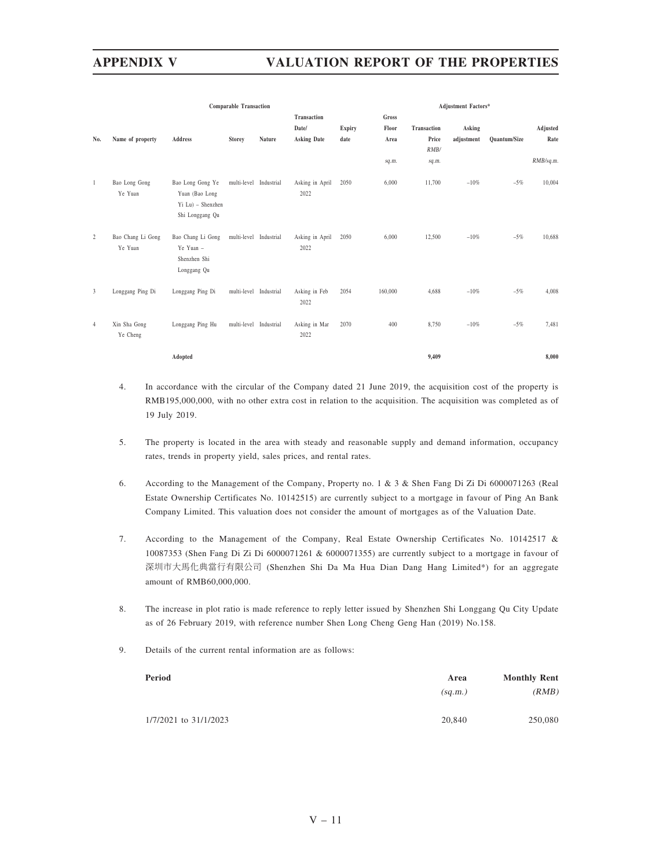|              |                              | <b>Comparable Transaction</b>                                              |                        | <b>Adjustment Factors*</b> |                         |               |         |             |            |              |           |
|--------------|------------------------------|----------------------------------------------------------------------------|------------------------|----------------------------|-------------------------|---------------|---------|-------------|------------|--------------|-----------|
|              |                              |                                                                            |                        |                            | Transaction             |               | Gross   |             |            |              |           |
|              |                              |                                                                            |                        |                            | Date/                   | <b>Expiry</b> | Floor   | Transaction | Asking     |              | Adjusted  |
| No.          | Name of property             | Address                                                                    | <b>Storey</b>          | Nature                     | <b>Asking Date</b>      | date          | Area    | Price       | adjustment | Quantum/Size | Rate      |
|              |                              |                                                                            |                        |                            |                         |               |         | RMB/        |            |              |           |
|              |                              |                                                                            |                        |                            |                         |               | sq.m.   | sq.m.       |            |              | RMB/sq.m. |
| $\mathbf{1}$ | Bao Long Gong<br>Ye Yuan     | Bao Long Gong Ye<br>Yuan (Bao Long<br>Yi Lu) - Shenzhen<br>Shi Longgang Qu | multi-level Industrial |                            | Asking in April<br>2022 | 2050          | 6,000   | 11,700      | $-10%$     | $-5%$        | 10,004    |
| 2            | Bao Chang Li Gong<br>Ye Yuan | Bao Chang Li Gong<br>Ye Yuan -<br>Shenzhen Shi<br>Longgang Qu              | multi-level Industrial |                            | Asking in April<br>2022 | 2050          | 6,000   | 12,500      | $-10%$     | $-5%$        | 10,688    |
| 3            | Longgang Ping Di             | Longgang Ping Di                                                           | multi-level Industrial |                            | Asking in Feb<br>2022   | 2054          | 160,000 | 4,688       | $-10\%$    | $-5%$        | 4,008     |
| 4            | Xin Sha Gong<br>Ye Cheng     | Longgang Ping Hu                                                           | multi-level Industrial |                            | Asking in Mar<br>2022   | 2070          | 400     | 8,750       | $-10%$     | $-5%$        | 7,481     |
|              |                              | Adopted                                                                    |                        |                            |                         |               |         | 9,409       |            |              | 8,000     |

- 4. In accordance with the circular of the Company dated 21 June 2019, the acquisition cost of the property is RMB195,000,000, with no other extra cost in relation to the acquisition. The acquisition was completed as of 19 July 2019.
- 5. The property is located in the area with steady and reasonable supply and demand information, occupancy rates, trends in property yield, sales prices, and rental rates.
- 6. According to the Management of the Company, Property no. 1 & 3 & Shen Fang Di Zi Di 6000071263 (Real Estate Ownership Certificates No. 10142515) are currently subject to a mortgage in favour of Ping An Bank Company Limited. This valuation does not consider the amount of mortgages as of the Valuation Date.
- 7. According to the Management of the Company, Real Estate Ownership Certificates No. 10142517 & 10087353 (Shen Fang Di Zi Di 6000071261 & 6000071355) are currently subject to a mortgage in favour of 深圳市大馬化典當行有限公司 (Shenzhen Shi Da Ma Hua Dian Dang Hang Limited\*) for an aggregate amount of RMB60,000,000.
- 8. The increase in plot ratio is made reference to reply letter issued by Shenzhen Shi Longgang Qu City Update as of 26 February 2019, with reference number Shen Long Cheng Geng Han (2019) No.158.
- 9. Details of the current rental information are as follows:

| Period                | Area    | <b>Monthly Rent</b> |
|-----------------------|---------|---------------------|
|                       | (sq.m.) | (RMB)               |
| 1/7/2021 to 31/1/2023 | 20,840  | 250,080             |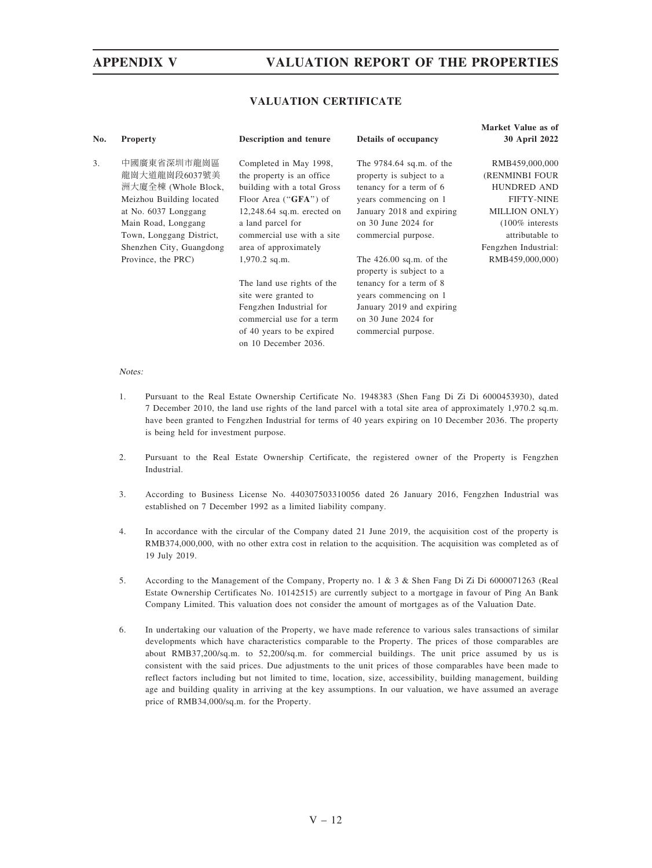## VALUATION CERTIFICATE

| No. | <b>Property</b>                                                                                                                                                                        | Description and tenure                                                                                                                                                                                                   | Details of occupancy                                                                                                                                                                      | Market Value as of<br><b>30 April 2022</b>                                                                                                                    |
|-----|----------------------------------------------------------------------------------------------------------------------------------------------------------------------------------------|--------------------------------------------------------------------------------------------------------------------------------------------------------------------------------------------------------------------------|-------------------------------------------------------------------------------------------------------------------------------------------------------------------------------------------|---------------------------------------------------------------------------------------------------------------------------------------------------------------|
| 3.  | 中國廣東省深圳市龍崗區<br>龍崗大道龍崗段6037號美<br>洲大廈全棟 (Whole Block,<br>Meizhou Building located<br>at No. 6037 Longgang<br>Main Road, Longgang<br>Town, Longgang District,<br>Shenzhen City, Guangdong | Completed in May 1998,<br>the property is an office.<br>building with a total Gross<br>Floor Area ("GFA") of<br>$12,248.64$ sq.m. erected on<br>a land parcel for<br>commercial use with a site<br>area of approximately | The $9784.64$ sq.m. of the<br>property is subject to a<br>tenancy for a term of 6<br>years commencing on 1<br>January 2018 and expiring<br>on $30$ June $2024$ for<br>commercial purpose. | RMB459,000,000<br>(RENMINBI FOUR<br><b>HUNDRED AND</b><br><b>FIFTY-NINE</b><br>MILLION ONLY)<br>$(100\%$ interests<br>attributable to<br>Fengzhen Industrial: |
|     | Province, the PRC)                                                                                                                                                                     | $1,970.2$ sq.m.<br>The land use rights of the<br>site were granted to<br>Fengzhen Industrial for<br>commercial use for a term<br>of 40 years to be expired<br>on 10 December 2036.                                       | The $426.00$ sq.m. of the<br>property is subject to a<br>tenancy for a term of 8<br>years commencing on 1<br>January 2019 and expiring<br>on $30$ June $2024$ for<br>commercial purpose.  | RMB459,000,000)                                                                                                                                               |

### Notes:

- 1. Pursuant to the Real Estate Ownership Certificate No. 1948383 (Shen Fang Di Zi Di 6000453930), dated 7 December 2010, the land use rights of the land parcel with a total site area of approximately 1,970.2 sq.m. have been granted to Fengzhen Industrial for terms of 40 years expiring on 10 December 2036. The property is being held for investment purpose.
- 2. Pursuant to the Real Estate Ownership Certificate, the registered owner of the Property is Fengzhen Industrial.
- 3. According to Business License No. 440307503310056 dated 26 January 2016, Fengzhen Industrial was established on 7 December 1992 as a limited liability company.
- 4. In accordance with the circular of the Company dated 21 June 2019, the acquisition cost of the property is RMB374,000,000, with no other extra cost in relation to the acquisition. The acquisition was completed as of 19 July 2019.
- 5. According to the Management of the Company, Property no. 1 & 3 & Shen Fang Di Zi Di 6000071263 (Real Estate Ownership Certificates No. 10142515) are currently subject to a mortgage in favour of Ping An Bank Company Limited. This valuation does not consider the amount of mortgages as of the Valuation Date.
- 6. In undertaking our valuation of the Property, we have made reference to various sales transactions of similar developments which have characteristics comparable to the Property. The prices of those comparables are about RMB37,200/sq.m. to 52,200/sq.m. for commercial buildings. The unit price assumed by us is consistent with the said prices. Due adjustments to the unit prices of those comparables have been made to reflect factors including but not limited to time, location, size, accessibility, building management, building age and building quality in arriving at the key assumptions. In our valuation, we have assumed an average price of RMB34,000/sq.m. for the Property.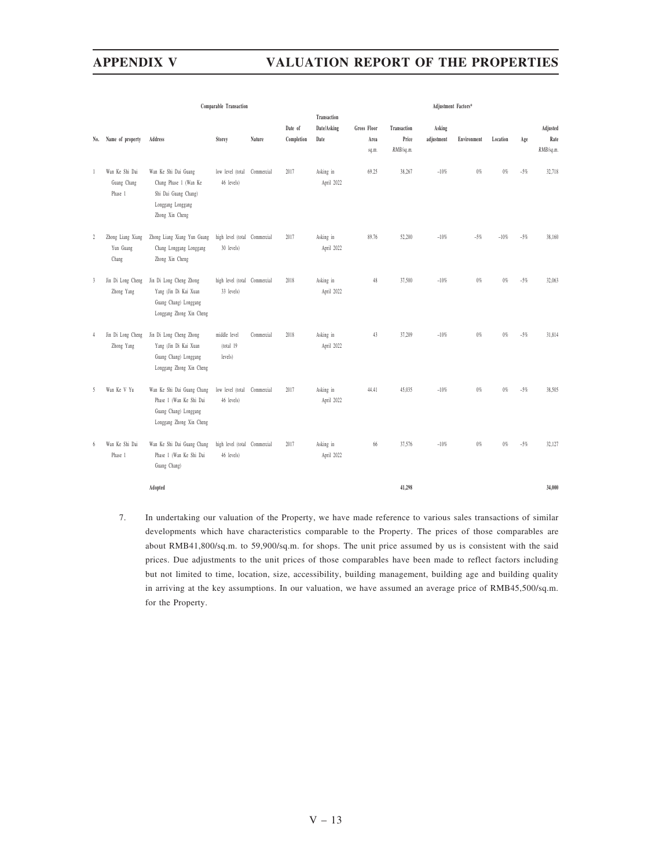|                |                                          | Comparable Transaction                                                                                        |                                            | Adjustment Factors* |            |                         |                    |             |            |             |          |       |           |
|----------------|------------------------------------------|---------------------------------------------------------------------------------------------------------------|--------------------------------------------|---------------------|------------|-------------------------|--------------------|-------------|------------|-------------|----------|-------|-----------|
|                |                                          |                                                                                                               |                                            |                     |            | Transaction             |                    |             |            |             |          |       |           |
|                |                                          |                                                                                                               |                                            |                     | Date of    | Date/Asking             | <b>Gross Floor</b> | Transaction | Asking     |             |          |       | Adjusted  |
| No.            | Name of property                         | Address                                                                                                       | Storey                                     | Nature              | Completion | Date                    | Area               | Price       | adjustment | Environment | Location | Age   | Rate      |
|                |                                          |                                                                                                               |                                            |                     |            |                         | sq.m.              | RMB/sq.m.   |            |             |          |       | RMB/sq.m. |
| $\mathbf{1}$   | Wan Ke Shi Dai<br>Guang Chang<br>Phase 1 | Wan Ke Shi Dai Guang<br>Chang Phase 1 (Wan Ke<br>Shi Dai Guang Chang)<br>Longgang Longgang<br>Zhong Xin Cheng | low level (total Commercial<br>46 levels)  |                     | 2017       | Asking in<br>April 2022 | 69.25              | 38,267      | $-10%$     | $0\%$       | $0\%$    | $-5%$ | 32,718    |
| $\overline{2}$ | Zhong Liang Xiang<br>Yun Guang<br>Chang  | Zhong Liang Xiang Yun Guang<br>Chang Longgang Longgang<br>Zhong Xin Cheng                                     | high level (total Commercial<br>30 levels) |                     | 2017       | Asking in<br>April 2022 | 89.76              | 52,200      | $-10\%$    | $-5\%$      | $-10%$   | $-5%$ | 38,160    |
| 3              | Jin Di Long Cheng<br>Zhong Yang          | Jin Di Long Cheng Zhong<br>Yang (Jin Di Kai Xuan<br>Guang Chang) Longgang<br>Longgang Zhong Xin Cheng         | high level (total Commercial<br>33 levels) |                     | 2018       | Asking in<br>April 2022 | 48                 | 37,500      | $-10%$     | $0\%$       | $0\%$    | $-5%$ | 32,063    |
| 4              | Jin Di Long Cheng<br>Zhong Yang          | Jin Di Long Cheng Zhong<br>Yang (Jin Di Kai Xuan<br>Guang Chang) Longgang<br>Longgang Zhong Xin Cheng         | middle level<br>(total 19<br>levels)       | Commercial          | 2018       | Asking in<br>April 2022 | 43                 | 37,209      | $-10%$     | $0\%$       | $0\%$    | $-5%$ | 31,814    |
| 5              | Wan Ke V Yu                              | Wan Ke Shi Dai Guang Chang<br>Phase 1 (Wan Ke Shi Dai<br>Guang Chang) Longgang<br>Longgang Zhong Xin Cheng    | low level (total Commercial<br>46 levels)  |                     | 2017       | Asking in<br>April 2022 | 44.41              | 45,035      | $-10%$     | $0\%$       | $0\%$    | $-5%$ | 38,505    |
| 6              | Wan Ke Shi Dai<br>Phase 1                | Wan Ke Shi Dai Guang Chang<br>Phase 1 (Wan Ke Shi Dai<br>Guang Chang)                                         | high level (total Commercial<br>46 levels) |                     | 2017       | Asking in<br>April 2022 | 66                 | 37,576      | $-10%$     | $0\%$       | $0\%$    | $-5%$ | 32,127    |
|                |                                          | Adopted                                                                                                       |                                            |                     |            |                         |                    | 41,298      |            |             |          |       | 34,000    |

7. In undertaking our valuation of the Property, we have made reference to various sales transactions of similar developments which have characteristics comparable to the Property. The prices of those comparables are about RMB41,800/sq.m. to 59,900/sq.m. for shops. The unit price assumed by us is consistent with the said prices. Due adjustments to the unit prices of those comparables have been made to reflect factors including but not limited to time, location, size, accessibility, building management, building age and building quality in arriving at the key assumptions. In our valuation, we have assumed an average price of RMB45,500/sq.m. for the Property.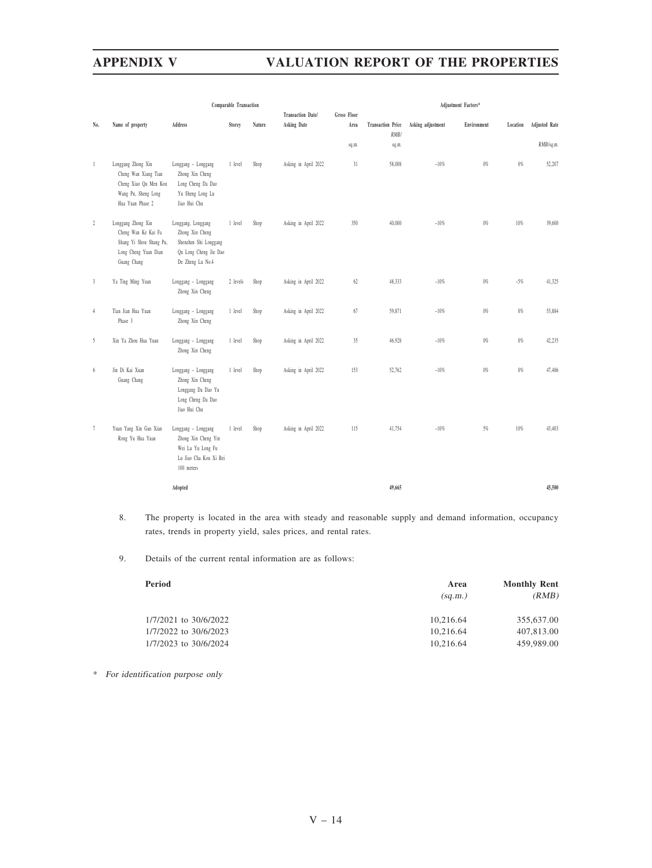|                | Comparable Transaction                                                                                         |                                                                                                             |          |        | Adjustment Factors*                     |                     |                                  |                   |             |          |                      |
|----------------|----------------------------------------------------------------------------------------------------------------|-------------------------------------------------------------------------------------------------------------|----------|--------|-----------------------------------------|---------------------|----------------------------------|-------------------|-------------|----------|----------------------|
| No.            | Name of property                                                                                               | Address                                                                                                     | Storey   | Nature | <b>Transaction Date/</b><br>Asking Date | Gross Floor<br>Area | <b>Transaction Price</b><br>RMB/ | Asking adjustment | Environment | Location | <b>Adjusted Rate</b> |
|                |                                                                                                                |                                                                                                             |          |        |                                         | sq.m.               | sq.m.                            |                   |             |          | RMB/sq.m.            |
| $\mathbf{1}$   | Longgang Zhong Xin<br>Cheng Wan Xiang Tian<br>Cheng Xiao Qu Men Kou<br>Wang Pu, Sheng Long<br>Hua Yuan Phase 2 | Longgang - Longgang<br>Zhong Xin Cheng<br>Long Cheng Da Dao<br>Yu Sheng Long Lu<br>Jiao Hui Chu             | 1 level  | Shop   | Asking in April 2022                    | 31                  | 58,008                           | $-10%$            | $0\%$       | $0\%$    | 52,207               |
| $\overline{2}$ | Longgang Zhong Xin<br>Cheng Wan Ke Kai Fa<br>Shang Yi Shou Shang Pu,<br>Long Cheng Yuan Dian<br>Guang Chang    | Longgang, Longgang<br>Zhong Xin Cheng<br>Shenzhen Shi Longgang<br>Qu Long Cheng Jie Dao<br>De Zheng Lu No.4 | 1 level  | Shop   | Asking in April 2022                    | 350                 | 40,000                           | $-10%$            | $0\%$       | $10\%$   | 39,600               |
| $\mathfrak{Z}$ | Ya Ting Ming Yuan                                                                                              | Longgang - Longgang<br>Zhong Xin Cheng                                                                      | 2 levels | Shop   | Asking in April 2022                    | 62                  | 48,333                           | $-10%$            | $0\%$       | $-5%$    | 41,325               |
| $\frac{4}{3}$  | Tian Jian Hua Yuan<br>Phase 3                                                                                  | Longgang - Longgang<br>Zhong Xin Cheng                                                                      | 1 level  | Shop   | Asking in April 2022                    | 67                  | 59,871                           | $-10%$            | $0\%$       | $0\%$    | 53,884               |
| 5              | Xin Ya Zhou Hua Yuan                                                                                           | Longgang - Longgang<br>Zhong Xin Cheng                                                                      | 1 level  | Shop   | Asking in April 2022                    | 35                  | 46,928                           | $-10%$            | $0\%$       | $0\%$    | 42,235               |
| 6              | Jin Di Kai Xuan<br>Guang Chang                                                                                 | Longgang - Longgang<br>Zhong Xin Cheng<br>Longgang Da Dao Yu<br>Long Cheng Da Dao<br>Jiao Hui Chu           | 1 level  | Shop   | Asking in April 2022                    | 153                 | 52,762                           | $-10%$            | $0\%$       | $0\%$    | 47,486               |
| $\tau$         | Yuan Yang Xin Gan Xian<br>Rong Yu Hua Yuan                                                                     | Longgang - Longgang<br>Zhong Xin Cheng Yin<br>Wei Lu Yu Long Fu<br>Lu Jiao Cha Kou Xi Bei<br>100 meters     | 1 level  | Shop   | Asking in April 2022                    | 115                 | 41,754                           | $-10%$            | 5%          | 10%      | 43,403               |
|                |                                                                                                                | Adopted                                                                                                     |          |        |                                         |                     | 49,665                           |                   |             |          | 45,500               |

- 8. The property is located in the area with steady and reasonable supply and demand information, occupancy rates, trends in property yield, sales prices, and rental rates.
- 9. Details of the current rental information are as follows:

| Period                | Area<br>(sq.m.) | <b>Monthly Rent</b><br>(RMB) |
|-----------------------|-----------------|------------------------------|
| 1/7/2021 to 30/6/2022 | 10,216.64       | 355,637.00                   |
| 1/7/2022 to 30/6/2023 | 10.216.64       | 407,813.00                   |
| 1/7/2023 to 30/6/2024 | 10.216.64       | 459,989.00                   |
|                       |                 |                              |

\* For identification purpose only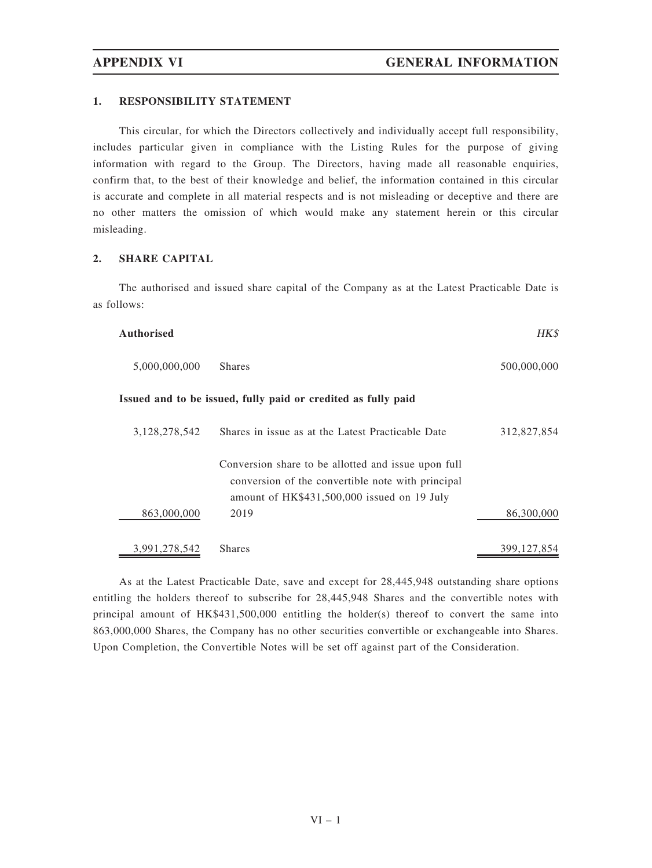### 1. RESPONSIBILITY STATEMENT

This circular, for which the Directors collectively and individually accept full responsibility, includes particular given in compliance with the Listing Rules for the purpose of giving information with regard to the Group. The Directors, having made all reasonable enquiries, confirm that, to the best of their knowledge and belief, the information contained in this circular is accurate and complete in all material respects and is not misleading or deceptive and there are no other matters the omission of which would make any statement herein or this circular misleading.

# 2. SHARE CAPITAL

The authorised and issued share capital of the Company as at the Latest Practicable Date is as follows:

| <b>Authorised</b> |                                                                                                                                                         | HK\$          |
|-------------------|---------------------------------------------------------------------------------------------------------------------------------------------------------|---------------|
| 5,000,000,000     | <b>Shares</b>                                                                                                                                           | 500,000,000   |
|                   | Issued and to be issued, fully paid or credited as fully paid                                                                                           |               |
| 3,128,278,542     | Shares in issue as at the Latest Practicable Date                                                                                                       | 312,827,854   |
|                   | Conversion share to be allotted and issue upon full<br>conversion of the convertible note with principal<br>amount of HK\$431,500,000 issued on 19 July |               |
| 863,000,000       | 2019                                                                                                                                                    | 86,300,000    |
| 3,991,278,542     | <b>Shares</b>                                                                                                                                           | 399, 127, 854 |

As at the Latest Practicable Date, save and except for 28,445,948 outstanding share options entitling the holders thereof to subscribe for 28,445,948 Shares and the convertible notes with principal amount of HK\$431,500,000 entitling the holder(s) thereof to convert the same into 863,000,000 Shares, the Company has no other securities convertible or exchangeable into Shares. Upon Completion, the Convertible Notes will be set off against part of the Consideration.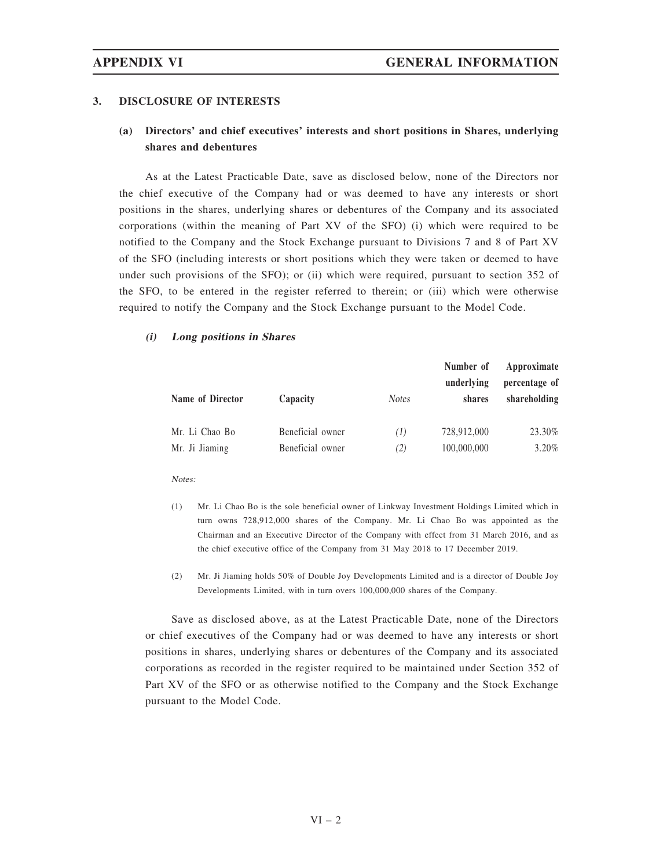### 3. DISCLOSURE OF INTERESTS

# (a) Directors' and chief executives' interests and short positions in Shares, underlying shares and debentures

As at the Latest Practicable Date, save as disclosed below, none of the Directors nor the chief executive of the Company had or was deemed to have any interests or short positions in the shares, underlying shares or debentures of the Company and its associated corporations (within the meaning of Part XV of the SFO) (i) which were required to be notified to the Company and the Stock Exchange pursuant to Divisions 7 and 8 of Part XV of the SFO (including interests or short positions which they were taken or deemed to have under such provisions of the SFO); or (ii) which were required, pursuant to section 352 of the SFO, to be entered in the register referred to therein; or (iii) which were otherwise required to notify the Company and the Stock Exchange pursuant to the Model Code.

## (i) Long positions in Shares

|                  |                  |              | Number of<br>underlying | Approximate<br>percentage of |  |
|------------------|------------------|--------------|-------------------------|------------------------------|--|
| Name of Director | Capacity         | <b>Notes</b> | shares                  | shareholding                 |  |
| Mr. Li Chao Bo   | Beneficial owner | (1)          | 728,912,000             | 23.30%                       |  |
| Mr. Ji Jiaming   | Beneficial owner | (2)          | 100,000,000             | $3.20\%$                     |  |

Notes:

- (1) Mr. Li Chao Bo is the sole beneficial owner of Linkway Investment Holdings Limited which in turn owns 728,912,000 shares of the Company. Mr. Li Chao Bo was appointed as the Chairman and an Executive Director of the Company with effect from 31 March 2016, and as the chief executive office of the Company from 31 May 2018 to 17 December 2019.
- (2) Mr. Ji Jiaming holds 50% of Double Joy Developments Limited and is a director of Double Joy Developments Limited, with in turn overs 100,000,000 shares of the Company.

Save as disclosed above, as at the Latest Practicable Date, none of the Directors or chief executives of the Company had or was deemed to have any interests or short positions in shares, underlying shares or debentures of the Company and its associated corporations as recorded in the register required to be maintained under Section 352 of Part XV of the SFO or as otherwise notified to the Company and the Stock Exchange pursuant to the Model Code.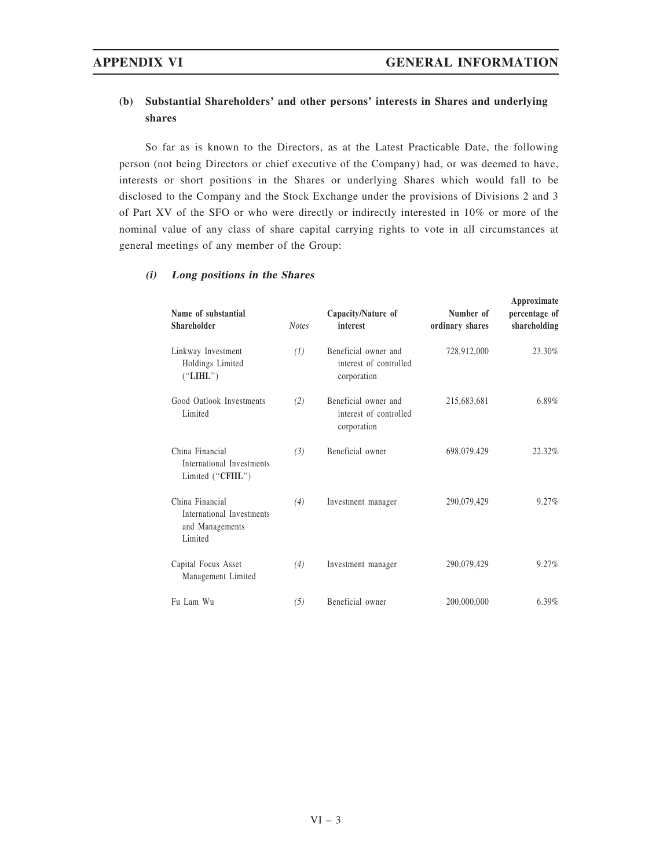# (b) Substantial Shareholders' and other persons' interests in Shares and underlying shares

So far as is known to the Directors, as at the Latest Practicable Date, the following person (not being Directors or chief executive of the Company) had, or was deemed to have, interests or short positions in the Shares or underlying Shares which would fall to be disclosed to the Company and the Stock Exchange under the provisions of Divisions 2 and 3 of Part XV of the SFO or who were directly or indirectly interested in 10% or more of the nominal value of any class of share capital carrying rights to vote in all circumstances at general meetings of any member of the Group:

## (i) Long positions in the Shares

| Name of substantial<br>Shareholder                                         | <b>Notes</b> | Capacity/Nature of<br>interest                                | Number of<br>ordinary shares | Approximate<br>percentage of<br>shareholding |
|----------------------------------------------------------------------------|--------------|---------------------------------------------------------------|------------------------------|----------------------------------------------|
| Linkway Investment<br>Holdings Limited<br>("LIHL")                         | (1)          | Beneficial owner and<br>interest of controlled<br>corporation | 728,912,000                  | 23.30%                                       |
| Good Outlook Investments<br>Limited                                        | (2)          | Beneficial owner and<br>interest of controlled<br>corporation | 215,683,681                  | $6.89\%$                                     |
| China Financial<br>International Investments<br>Limited ("CFIIL")          | (3)          | Beneficial owner                                              | 698,079,429                  | 22.32%                                       |
| China Financial<br>International Investments<br>and Managements<br>Limited | (4)          | Investment manager                                            | 290,079,429                  | 9.27%                                        |
| Capital Focus Asset<br>Management Limited                                  | (4)          | Investment manager                                            | 290,079,429                  | 9.27%                                        |
| Fu Lam Wu                                                                  | (5)          | Beneficial owner                                              | 200,000,000                  | 6.39%                                        |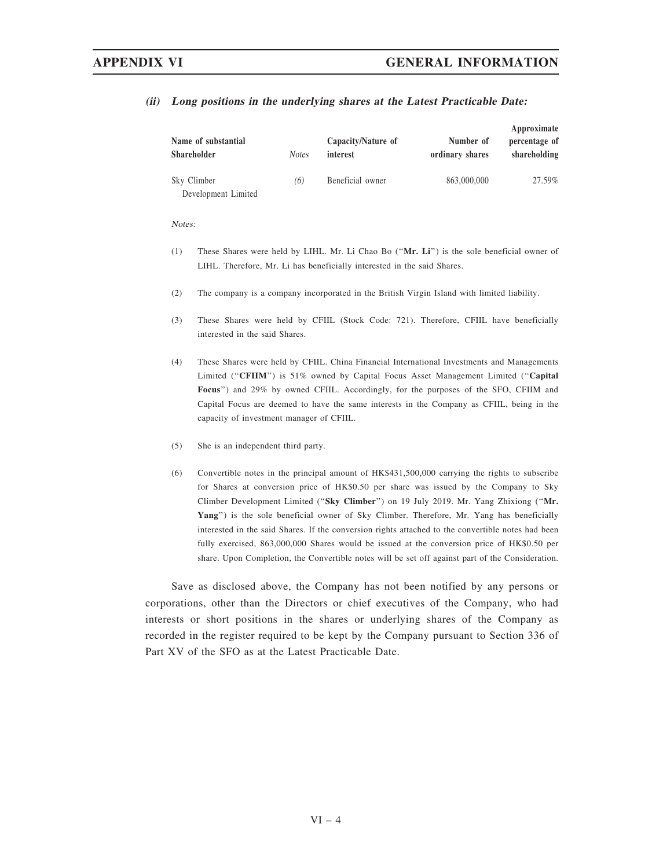| Name of substantial<br>Shareholder | <i>Notes</i> | Capacity/Nature of<br>interest | Number of<br>ordinary shares | Approximate<br>percentage of<br>shareholding |
|------------------------------------|--------------|--------------------------------|------------------------------|----------------------------------------------|
| Sky Climber                        | (6)          | Beneficial owner               | 863,000,000                  | 27.59%                                       |
| Development Limited                |              |                                |                              |                                              |

# (ii) Long positions in the underlying shares at the Latest Practicable Date:

Notes:

- (1) These Shares were held by LIHL. Mr. Li Chao Bo (''Mr. Li'') is the sole beneficial owner of LIHL. Therefore, Mr. Li has beneficially interested in the said Shares.
- (2) The company is a company incorporated in the British Virgin Island with limited liability.
- (3) These Shares were held by CFIIL (Stock Code: 721). Therefore, CFIIL have beneficially interested in the said Shares.
- (4) These Shares were held by CFIIL. China Financial International Investments and Managements Limited (''CFIIM'') is 51% owned by Capital Focus Asset Management Limited (''Capital Focus'') and 29% by owned CFIIL. Accordingly, for the purposes of the SFO, CFIIM and Capital Focus are deemed to have the same interests in the Company as CFIIL, being in the capacity of investment manager of CFIIL.
- (5) She is an independent third party.
- (6) Convertible notes in the principal amount of HK\$431,500,000 carrying the rights to subscribe for Shares at conversion price of HK\$0.50 per share was issued by the Company to Sky Climber Development Limited (''Sky Climber'') on 19 July 2019. Mr. Yang Zhixiong (''Mr. Yang") is the sole beneficial owner of Sky Climber. Therefore, Mr. Yang has beneficially interested in the said Shares. If the conversion rights attached to the convertible notes had been fully exercised, 863,000,000 Shares would be issued at the conversion price of HK\$0.50 per share. Upon Completion, the Convertible notes will be set off against part of the Consideration.

Save as disclosed above, the Company has not been notified by any persons or corporations, other than the Directors or chief executives of the Company, who had interests or short positions in the shares or underlying shares of the Company as recorded in the register required to be kept by the Company pursuant to Section 336 of Part XV of the SFO as at the Latest Practicable Date.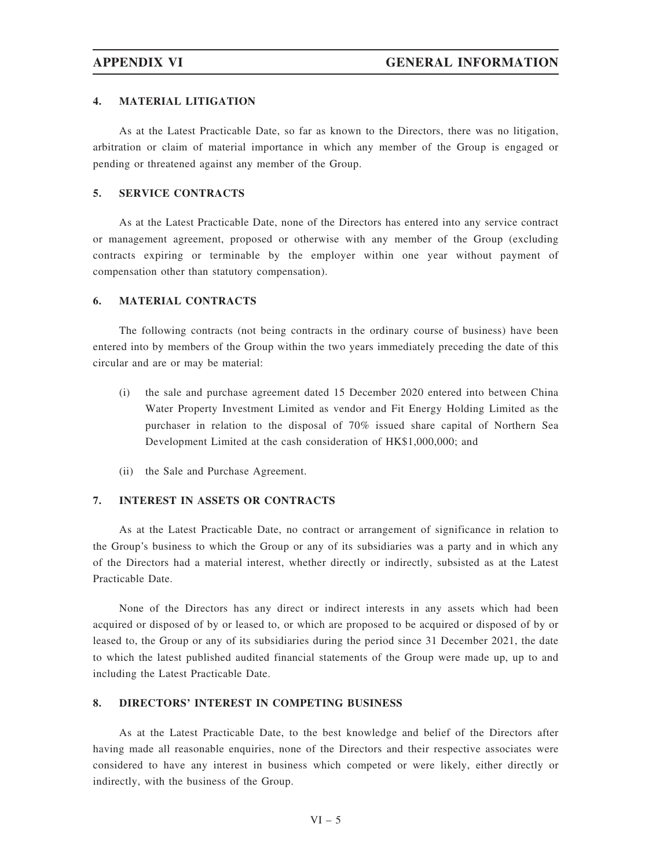### 4. MATERIAL LITIGATION

As at the Latest Practicable Date, so far as known to the Directors, there was no litigation, arbitration or claim of material importance in which any member of the Group is engaged or pending or threatened against any member of the Group.

## 5. SERVICE CONTRACTS

As at the Latest Practicable Date, none of the Directors has entered into any service contract or management agreement, proposed or otherwise with any member of the Group (excluding contracts expiring or terminable by the employer within one year without payment of compensation other than statutory compensation).

# 6. MATERIAL CONTRACTS

The following contracts (not being contracts in the ordinary course of business) have been entered into by members of the Group within the two years immediately preceding the date of this circular and are or may be material:

- (i) the sale and purchase agreement dated 15 December 2020 entered into between China Water Property Investment Limited as vendor and Fit Energy Holding Limited as the purchaser in relation to the disposal of 70% issued share capital of Northern Sea Development Limited at the cash consideration of HK\$1,000,000; and
- (ii) the Sale and Purchase Agreement.

# 7. INTEREST IN ASSETS OR CONTRACTS

As at the Latest Practicable Date, no contract or arrangement of significance in relation to the Group's business to which the Group or any of its subsidiaries was a party and in which any of the Directors had a material interest, whether directly or indirectly, subsisted as at the Latest Practicable Date.

None of the Directors has any direct or indirect interests in any assets which had been acquired or disposed of by or leased to, or which are proposed to be acquired or disposed of by or leased to, the Group or any of its subsidiaries during the period since 31 December 2021, the date to which the latest published audited financial statements of the Group were made up, up to and including the Latest Practicable Date.

## 8. DIRECTORS' INTEREST IN COMPETING BUSINESS

As at the Latest Practicable Date, to the best knowledge and belief of the Directors after having made all reasonable enquiries, none of the Directors and their respective associates were considered to have any interest in business which competed or were likely, either directly or indirectly, with the business of the Group.

 $VI - 5$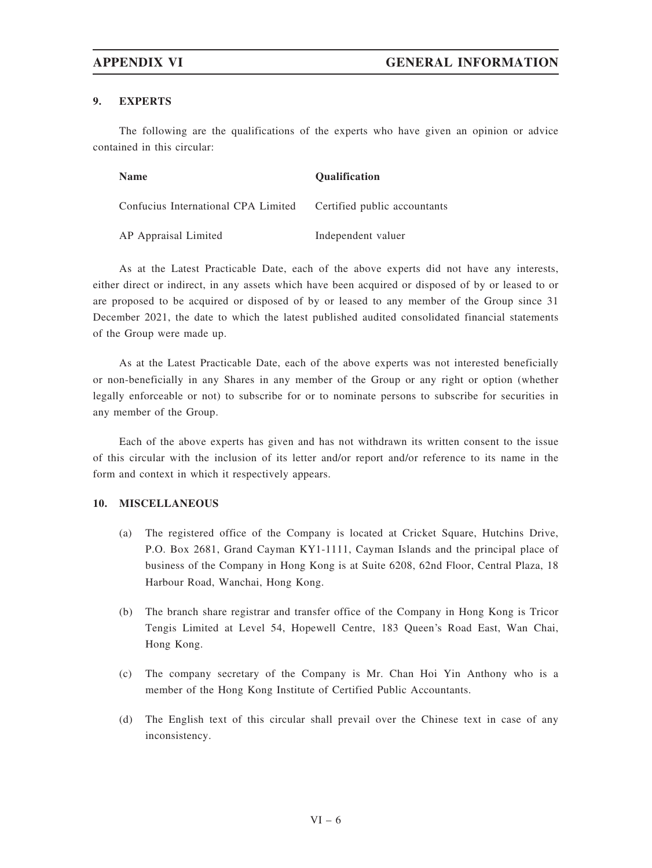## 9. EXPERTS

The following are the qualifications of the experts who have given an opinion or advice contained in this circular:

| <b>Name</b>                         | <b>Oualification</b>         |
|-------------------------------------|------------------------------|
| Confucius International CPA Limited | Certified public accountants |
| AP Appraisal Limited                | Independent valuer           |

As at the Latest Practicable Date, each of the above experts did not have any interests, either direct or indirect, in any assets which have been acquired or disposed of by or leased to or are proposed to be acquired or disposed of by or leased to any member of the Group since 31 December 2021, the date to which the latest published audited consolidated financial statements of the Group were made up.

As at the Latest Practicable Date, each of the above experts was not interested beneficially or non-beneficially in any Shares in any member of the Group or any right or option (whether legally enforceable or not) to subscribe for or to nominate persons to subscribe for securities in any member of the Group.

Each of the above experts has given and has not withdrawn its written consent to the issue of this circular with the inclusion of its letter and/or report and/or reference to its name in the form and context in which it respectively appears.

# 10. MISCELLANEOUS

- (a) The registered office of the Company is located at Cricket Square, Hutchins Drive, P.O. Box 2681, Grand Cayman KY1-1111, Cayman Islands and the principal place of business of the Company in Hong Kong is at Suite 6208, 62nd Floor, Central Plaza, 18 Harbour Road, Wanchai, Hong Kong.
- (b) The branch share registrar and transfer office of the Company in Hong Kong is Tricor Tengis Limited at Level 54, Hopewell Centre, 183 Queen's Road East, Wan Chai, Hong Kong.
- (c) The company secretary of the Company is Mr. Chan Hoi Yin Anthony who is a member of the Hong Kong Institute of Certified Public Accountants.
- (d) The English text of this circular shall prevail over the Chinese text in case of any inconsistency.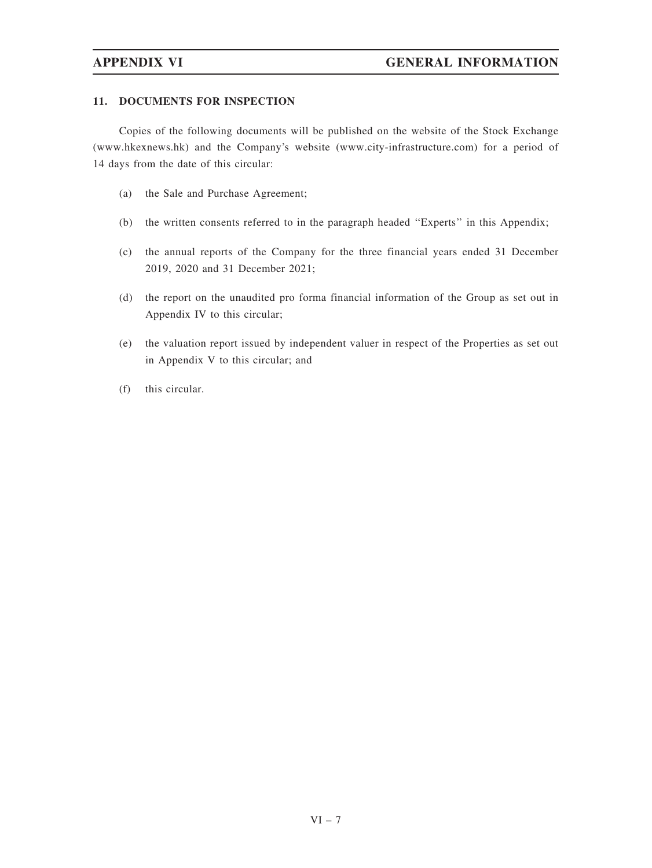# 11. DOCUMENTS FOR INSPECTION

Copies of the following documents will be published on the website of the Stock Exchange (www.hkexnews.hk) and the Company's website (www.city-infrastructure.com) for a period of 14 days from the date of this circular:

- (a) the Sale and Purchase Agreement;
- (b) the written consents referred to in the paragraph headed ''Experts'' in this Appendix;
- (c) the annual reports of the Company for the three financial years ended 31 December 2019, 2020 and 31 December 2021;
- (d) the report on the unaudited pro forma financial information of the Group as set out in Appendix IV to this circular;
- (e) the valuation report issued by independent valuer in respect of the Properties as set out in Appendix V to this circular; and
- (f) this circular.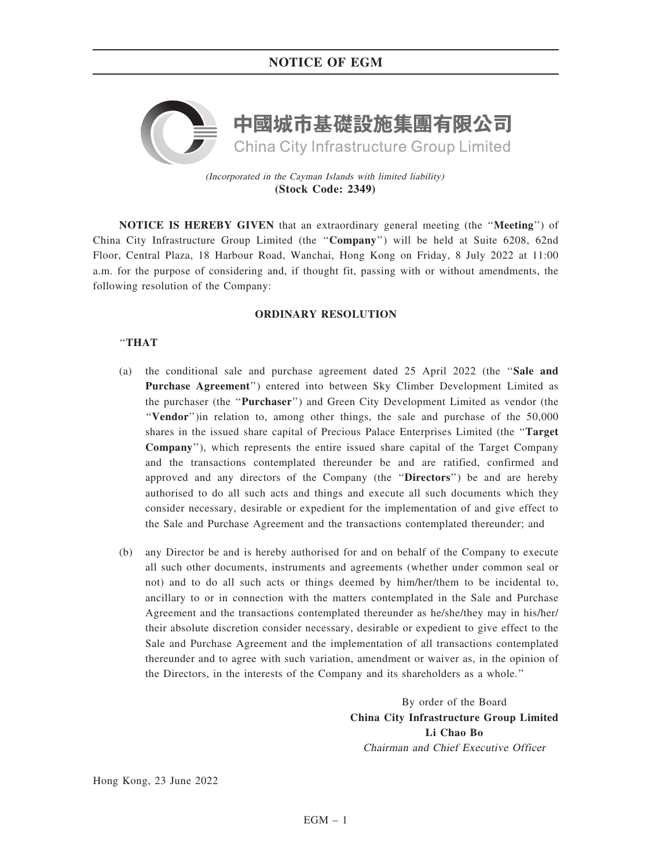# NOTICE OF EGM



(Incorporated in the Cayman Islands with limited liability) **(Stock Code: 2349)**

NOTICE IS HEREBY GIVEN that an extraordinary general meeting (the ''Meeting'') of China City Infrastructure Group Limited (the ''Company'') will be held at Suite 6208, 62nd Floor, Central Plaza, 18 Harbour Road, Wanchai, Hong Kong on Friday, 8 July 2022 at 11:00 a.m. for the purpose of considering and, if thought fit, passing with or without amendments, the following resolution of the Company:

## ORDINARY RESOLUTION

## ''THAT

- (a) the conditional sale and purchase agreement dated 25 April 2022 (the ''Sale and Purchase Agreement'') entered into between Sky Climber Development Limited as the purchaser (the ''Purchaser'') and Green City Development Limited as vendor (the ''Vendor'')in relation to, among other things, the sale and purchase of the 50,000 shares in the issued share capital of Precious Palace Enterprises Limited (the ''Target Company''), which represents the entire issued share capital of the Target Company and the transactions contemplated thereunder be and are ratified, confirmed and approved and any directors of the Company (the ''Directors'') be and are hereby authorised to do all such acts and things and execute all such documents which they consider necessary, desirable or expedient for the implementation of and give effect to the Sale and Purchase Agreement and the transactions contemplated thereunder; and
- (b) any Director be and is hereby authorised for and on behalf of the Company to execute all such other documents, instruments and agreements (whether under common seal or not) and to do all such acts or things deemed by him/her/them to be incidental to, ancillary to or in connection with the matters contemplated in the Sale and Purchase Agreement and the transactions contemplated thereunder as he/she/they may in his/her/ their absolute discretion consider necessary, desirable or expedient to give effect to the Sale and Purchase Agreement and the implementation of all transactions contemplated thereunder and to agree with such variation, amendment or waiver as, in the opinion of the Directors, in the interests of the Company and its shareholders as a whole.''

By order of the Board China City Infrastructure Group Limited Li Chao Bo Chairman and Chief Executive Officer

Hong Kong, 23 June 2022